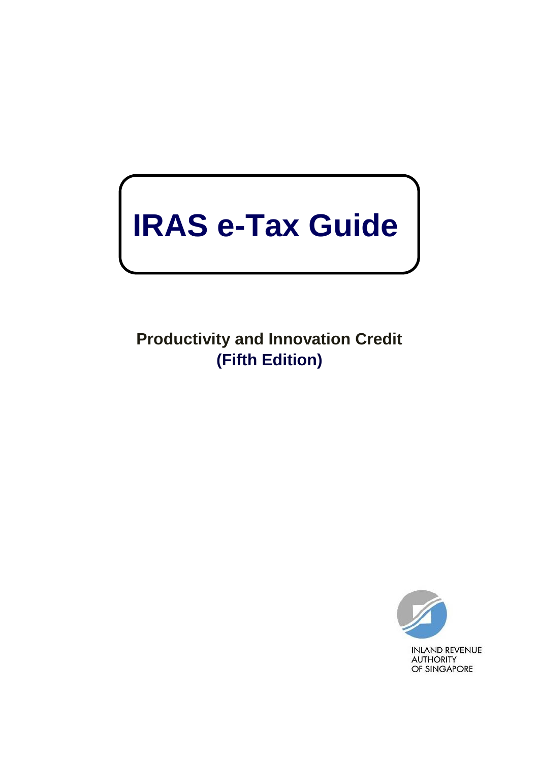# **IRAS e-Tax Guide**

**Productivity and Innovation Credit (Fifth Edition)**

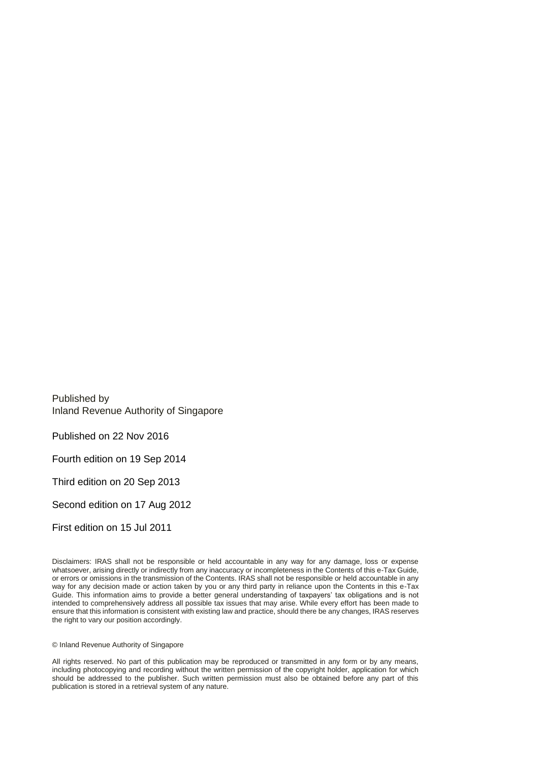Published by Inland Revenue Authority of Singapore

Published on 22 Nov 2016

Fourth edition on 19 Sep 2014

Third edition on 20 Sep 2013

Second edition on 17 Aug 2012

First edition on 15 Jul 2011

Disclaimers: IRAS shall not be responsible or held accountable in any way for any damage, loss or expense whatsoever, arising directly or indirectly from any inaccuracy or incompleteness in the Contents of this e-Tax Guide, or errors or omissions in the transmission of the Contents. IRAS shall not be responsible or held accountable in any way for any decision made or action taken by you or any third party in reliance upon the Contents in this e-Tax Guide. This information aims to provide a better general understanding of taxpayers' tax obligations and is not intended to comprehensively address all possible tax issues that may arise. While every effort has been made to ensure that this information is consistent with existing law and practice, should there be any changes, IRAS reserves the right to vary our position accordingly.

© Inland Revenue Authority of Singapore

All rights reserved. No part of this publication may be reproduced or transmitted in any form or by any means, including photocopying and recording without the written permission of the copyright holder, application for which should be addressed to the publisher. Such written permission must also be obtained before any part of this publication is stored in a retrieval system of any nature.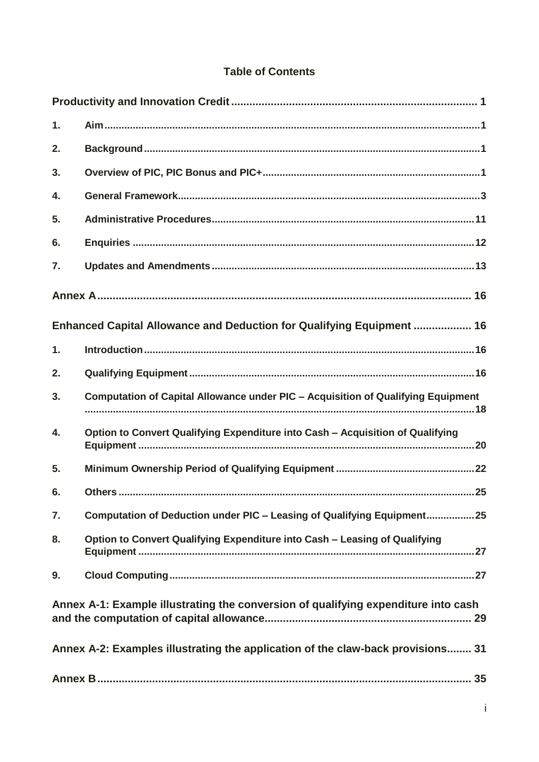## **Table of Contents**

| 1. |                                                                                    |
|----|------------------------------------------------------------------------------------|
| 2. |                                                                                    |
| 3. |                                                                                    |
| 4. |                                                                                    |
| 5. |                                                                                    |
| 6. |                                                                                    |
| 7. |                                                                                    |
|    |                                                                                    |
|    | Enhanced Capital Allowance and Deduction for Qualifying Equipment  16              |
| 1. |                                                                                    |
| 2. |                                                                                    |
| 3. | Computation of Capital Allowance under PIC - Acquisition of Qualifying Equipment   |
| 4. | Option to Convert Qualifying Expenditure into Cash - Acquisition of Qualifying     |
| 5. |                                                                                    |
| 6. |                                                                                    |
| 7. | Computation of Deduction under PIC - Leasing of Qualifying Equipment25             |
| 8. | Option to Convert Qualifying Expenditure into Cash - Leasing of Qualifying         |
| 9. |                                                                                    |
|    | Annex A-1: Example illustrating the conversion of qualifying expenditure into cash |
|    | Annex A-2: Examples illustrating the application of the claw-back provisions 31    |
|    |                                                                                    |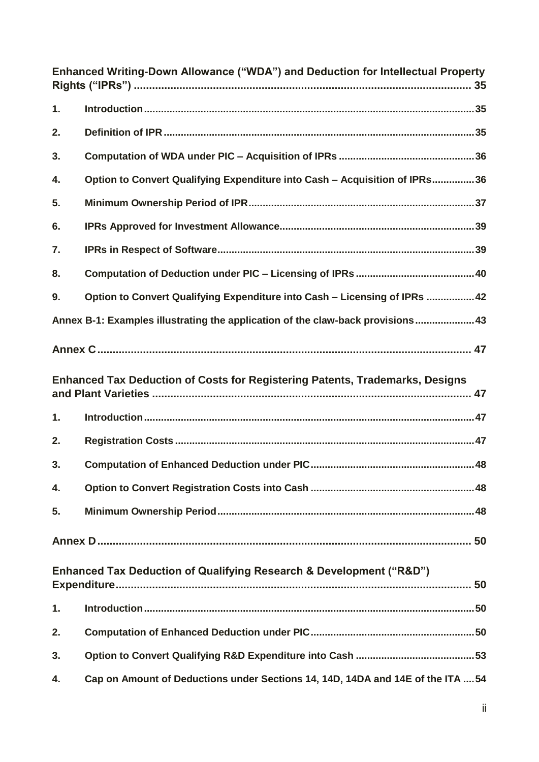| Enhanced Writing-Down Allowance ("WDA") and Deduction for Intellectual Property    |                                                                                     |  |  |
|------------------------------------------------------------------------------------|-------------------------------------------------------------------------------------|--|--|
| 1.                                                                                 |                                                                                     |  |  |
| 2.                                                                                 |                                                                                     |  |  |
| 3.                                                                                 |                                                                                     |  |  |
| 4.                                                                                 | Option to Convert Qualifying Expenditure into Cash - Acquisition of IPRs36          |  |  |
| 5.                                                                                 |                                                                                     |  |  |
| 6.                                                                                 |                                                                                     |  |  |
| 7.                                                                                 |                                                                                     |  |  |
| 8.                                                                                 |                                                                                     |  |  |
| 9.                                                                                 | Option to Convert Qualifying Expenditure into Cash - Licensing of IPRs  42          |  |  |
|                                                                                    | Annex B-1: Examples illustrating the application of the claw-back provisions43      |  |  |
|                                                                                    |                                                                                     |  |  |
|                                                                                    | <b>Enhanced Tax Deduction of Costs for Registering Patents, Trademarks, Designs</b> |  |  |
| 1.                                                                                 |                                                                                     |  |  |
| 2.                                                                                 |                                                                                     |  |  |
| 3.                                                                                 |                                                                                     |  |  |
| 4.                                                                                 |                                                                                     |  |  |
| 5.                                                                                 |                                                                                     |  |  |
|                                                                                    |                                                                                     |  |  |
| <b>Enhanced Tax Deduction of Qualifying Research &amp; Development ("R&amp;D")</b> |                                                                                     |  |  |
| 1.                                                                                 |                                                                                     |  |  |
| 2.                                                                                 |                                                                                     |  |  |
| 3.                                                                                 |                                                                                     |  |  |
| 4.                                                                                 | Cap on Amount of Deductions under Sections 14, 14D, 14DA and 14E of the ITA 54      |  |  |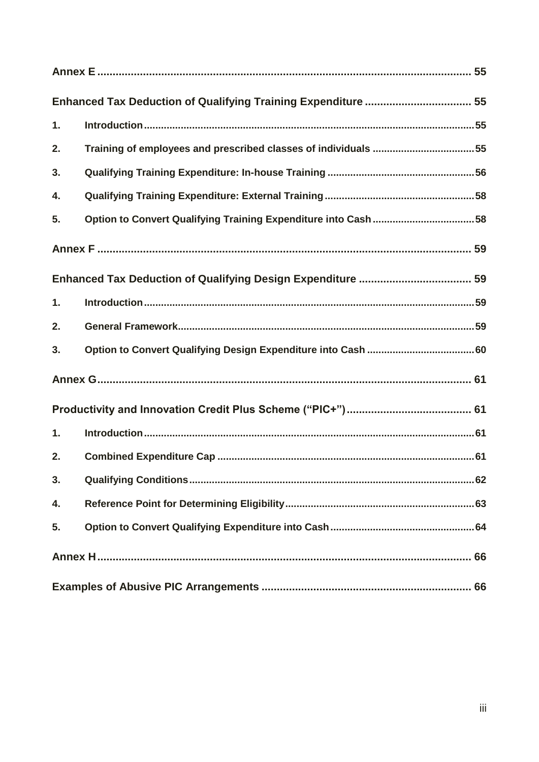|    | Enhanced Tax Deduction of Qualifying Training Expenditure  55  |  |  |
|----|----------------------------------------------------------------|--|--|
| 1. |                                                                |  |  |
| 2. | Training of employees and prescribed classes of individuals 55 |  |  |
| 3. |                                                                |  |  |
| 4. |                                                                |  |  |
| 5. | Option to Convert Qualifying Training Expenditure into Cash 58 |  |  |
|    |                                                                |  |  |
|    |                                                                |  |  |
| 1. |                                                                |  |  |
| 2. |                                                                |  |  |
| 3. |                                                                |  |  |
|    |                                                                |  |  |
|    |                                                                |  |  |
| 1. |                                                                |  |  |
| 2. |                                                                |  |  |
| 3. |                                                                |  |  |
| 4. |                                                                |  |  |
| 5. |                                                                |  |  |
|    |                                                                |  |  |
|    |                                                                |  |  |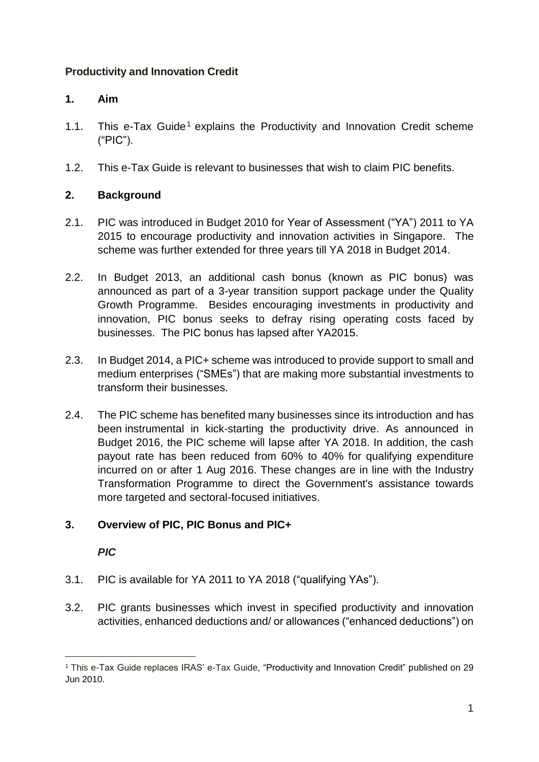### <span id="page-5-0"></span>**Productivity and Innovation Credit**

#### <span id="page-5-1"></span>**1. Aim**

- 1.1. This e-Tax Guide<sup>1</sup> explains the Productivity and Innovation Credit scheme ("PIC").
- 1.2. This e-Tax Guide is relevant to businesses that wish to claim PIC benefits.

### <span id="page-5-2"></span>**2. Background**

- 2.1. PIC was introduced in Budget 2010 for Year of Assessment ("YA") 2011 to YA 2015 to encourage productivity and innovation activities in Singapore. The scheme was further extended for three years till YA 2018 in Budget 2014.
- 2.2. In Budget 2013, an additional cash bonus (known as PIC bonus) was announced as part of a 3-year transition support package under the Quality Growth Programme. Besides encouraging investments in productivity and innovation, PIC bonus seeks to defray rising operating costs faced by businesses. The PIC bonus has lapsed after YA2015.
- 2.3. In Budget 2014, a PIC+ scheme was introduced to provide support to small and medium enterprises ("SMEs") that are making more substantial investments to transform their businesses.
- 2.4. The PIC scheme has benefited many businesses since its introduction and has been instrumental in kick-starting the productivity drive. As announced in Budget 2016, the PIC scheme will lapse after YA 2018. In addition, the cash payout rate has been reduced from 60% to 40% for qualifying expenditure incurred on or after 1 Aug 2016. These changes are in line with the Industry Transformation Programme to direct the Government's assistance towards more targeted and sectoral-focused initiatives.

## <span id="page-5-3"></span>**3. Overview of PIC, PIC Bonus and PIC+**

#### *PIC*

- 3.1. PIC is available for YA 2011 to YA 2018 ("qualifying YAs").
- 3.2. PIC grants businesses which invest in specified productivity and innovation activities, enhanced deductions and/ or allowances ("enhanced deductions") on

<sup>1</sup> This e-Tax Guide replaces IRAS' e-Tax Guide, "Productivity and Innovation Credit" published on 29 Jun 2010.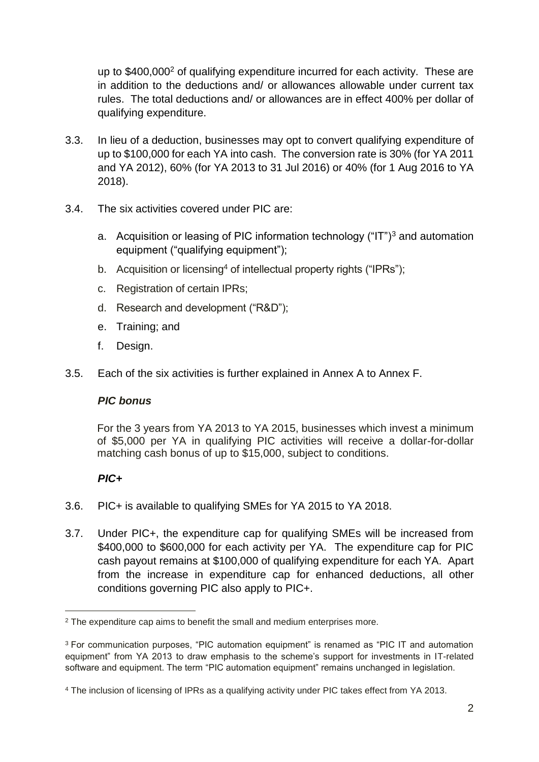up to  $$400,000^2$  of qualifying expenditure incurred for each activity. These are in addition to the deductions and/ or allowances allowable under current tax rules. The total deductions and/ or allowances are in effect 400% per dollar of qualifying expenditure.

- 3.3. In lieu of a deduction, businesses may opt to convert qualifying expenditure of up to \$100,000 for each YA into cash. The conversion rate is 30% (for YA 2011 and YA 2012), 60% (for YA 2013 to 31 Jul 2016) or 40% (for 1 Aug 2016 to YA 2018).
- 3.4. The six activities covered under PIC are:
	- a. Acquisition or leasing of PIC information technology  $("IT")^3$  and automation equipment ("qualifying equipment");
	- b. Acquisition or licensing<sup>4</sup> of intellectual property rights ("IPRs");
	- c. Registration of certain IPRs;
	- d. Research and development ("R&D");
	- e. Training; and
	- f. Design.
- 3.5. Each of the six activities is further explained in Annex A to Annex F.

#### *PIC bonus*

For the 3 years from YA 2013 to YA 2015, businesses which invest a minimum of \$5,000 per YA in qualifying PIC activities will receive a dollar-for-dollar matching cash bonus of up to \$15,000, subject to conditions.

#### *PIC+*

- 3.6. PIC+ is available to qualifying SMEs for YA 2015 to YA 2018.
- 3.7. Under PIC+, the expenditure cap for qualifying SMEs will be increased from \$400,000 to \$600,000 for each activity per YA. The expenditure cap for PIC cash payout remains at \$100,000 of qualifying expenditure for each YA. Apart from the increase in expenditure cap for enhanced deductions, all other conditions governing PIC also apply to PIC+.

<sup>&</sup>lt;sup>2</sup> The expenditure cap aims to benefit the small and medium enterprises more.

<sup>3</sup> For communication purposes, "PIC automation equipment" is renamed as "PIC IT and automation equipment" from YA 2013 to draw emphasis to the scheme's support for investments in IT-related software and equipment. The term "PIC automation equipment" remains unchanged in legislation.

<sup>4</sup> The inclusion of licensing of IPRs as a qualifying activity under PIC takes effect from YA 2013.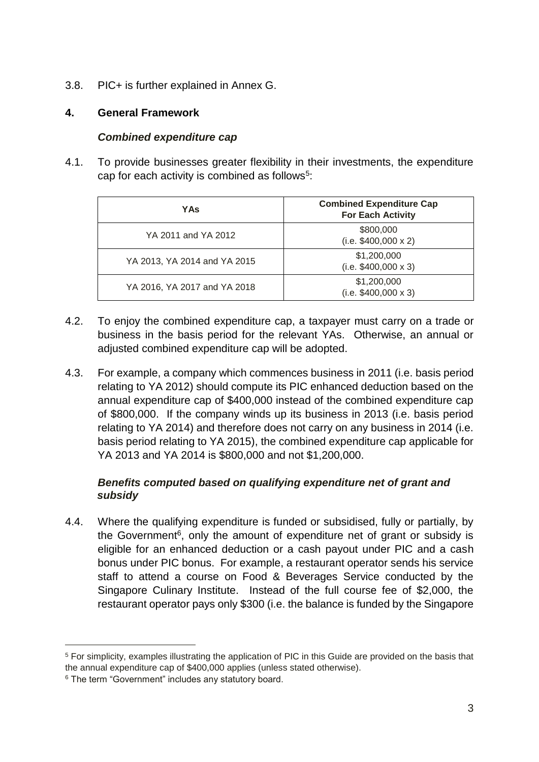3.8. PIC+ is further explained in Annex G.

#### <span id="page-7-0"></span>**4. General Framework**

#### *Combined expenditure cap*

4.1. To provide businesses greater flexibility in their investments, the expenditure cap for each activity is combined as follows<sup>5</sup>:

| YAs                          | <b>Combined Expenditure Cap</b><br><b>For Each Activity</b> |
|------------------------------|-------------------------------------------------------------|
| YA 2011 and YA 2012          | \$800,000<br>$(i.e. $400,000 \times 2)$                     |
| YA 2013, YA 2014 and YA 2015 | \$1,200,000<br>$(i.e. $400,000 \times 3)$                   |
| YA 2016, YA 2017 and YA 2018 | \$1,200,000<br>$(i.e. $400,000 \times 3)$                   |

- 4.2. To enjoy the combined expenditure cap, a taxpayer must carry on a trade or business in the basis period for the relevant YAs. Otherwise, an annual or adjusted combined expenditure cap will be adopted.
- 4.3. For example, a company which commences business in 2011 (i.e. basis period relating to YA 2012) should compute its PIC enhanced deduction based on the annual expenditure cap of \$400,000 instead of the combined expenditure cap of \$800,000. If the company winds up its business in 2013 (i.e. basis period relating to YA 2014) and therefore does not carry on any business in 2014 (i.e. basis period relating to YA 2015), the combined expenditure cap applicable for YA 2013 and YA 2014 is \$800,000 and not \$1,200,000.

#### *Benefits computed based on qualifying expenditure net of grant and subsidy*

4.4. Where the qualifying expenditure is funded or subsidised, fully or partially, by the Government<sup>6</sup>, only the amount of expenditure net of grant or subsidy is eligible for an enhanced deduction or a cash payout under PIC and a cash bonus under PIC bonus. For example, a restaurant operator sends his service staff to attend a course on Food & Beverages Service conducted by the Singapore Culinary Institute. Instead of the full course fee of \$2,000, the restaurant operator pays only \$300 (i.e. the balance is funded by the Singapore

<sup>5</sup> For simplicity, examples illustrating the application of PIC in this Guide are provided on the basis that the annual expenditure cap of \$400,000 applies (unless stated otherwise).

<sup>6</sup> The term "Government" includes any statutory board.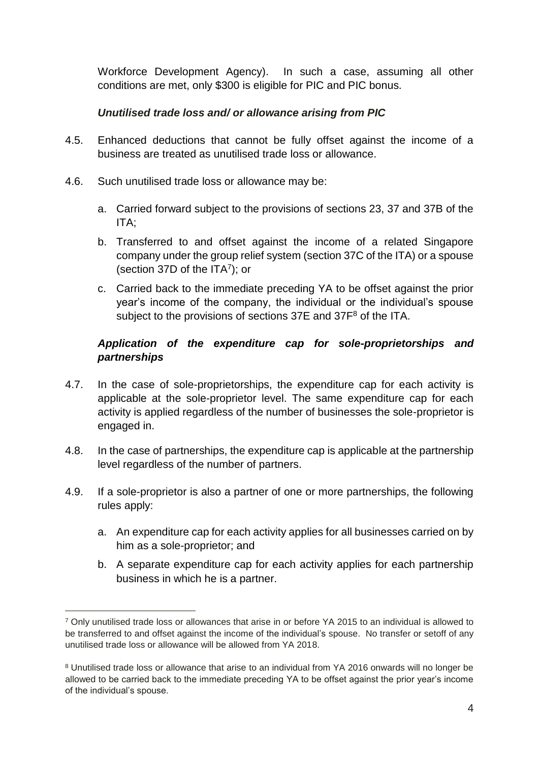Workforce Development Agency). In such a case, assuming all other conditions are met, only \$300 is eligible for PIC and PIC bonus.

#### *Unutilised trade loss and/ or allowance arising from PIC*

- 4.5. Enhanced deductions that cannot be fully offset against the income of a business are treated as unutilised trade loss or allowance.
- 4.6. Such unutilised trade loss or allowance may be:
	- a. Carried forward subject to the provisions of sections 23, 37 and 37B of the ITA;
	- b. Transferred to and offset against the income of a related Singapore company under the group relief system (section 37C of the ITA) or a spouse (section 37D of the  $ITA<sup>7</sup>$ ); or
	- c. Carried back to the immediate preceding YA to be offset against the prior year's income of the company, the individual or the individual's spouse subject to the provisions of sections 37E and 37F<sup>8</sup> of the ITA.

#### *Application of the expenditure cap for sole-proprietorships and partnerships*

- 4.7. In the case of sole-proprietorships, the expenditure cap for each activity is applicable at the sole-proprietor level. The same expenditure cap for each activity is applied regardless of the number of businesses the sole-proprietor is engaged in.
- 4.8. In the case of partnerships, the expenditure cap is applicable at the partnership level regardless of the number of partners.
- 4.9. If a sole-proprietor is also a partner of one or more partnerships, the following rules apply:
	- a. An expenditure cap for each activity applies for all businesses carried on by him as a sole-proprietor; and
	- b. A separate expenditure cap for each activity applies for each partnership business in which he is a partner.

<sup>7</sup> Only unutilised trade loss or allowances that arise in or before YA 2015 to an individual is allowed to be transferred to and offset against the income of the individual's spouse. No transfer or setoff of any unutilised trade loss or allowance will be allowed from YA 2018.

<sup>8</sup> Unutilised trade loss or allowance that arise to an individual from YA 2016 onwards will no longer be allowed to be carried back to the immediate preceding YA to be offset against the prior year's income of the individual's spouse.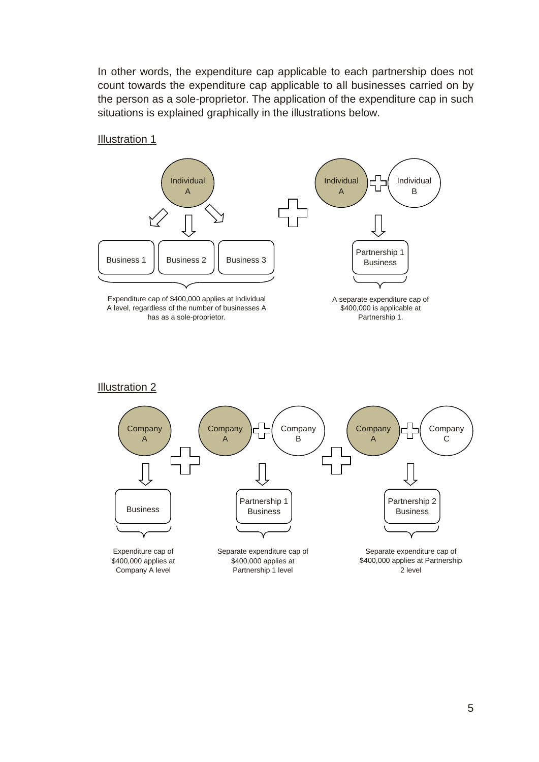In other words, the expenditure cap applicable to each partnership does not count towards the expenditure cap applicable to all businesses carried on by the person as a sole-proprietor. The application of the expenditure cap in such situations is explained graphically in the illustrations below.

#### Illustration 1



Expenditure cap of \$400,000 applies at Individual A level, regardless of the number of businesses A has as a sole-proprietor.

A separate expenditure cap of \$400,000 is applicable at Partnership 1.

#### Illustration 2

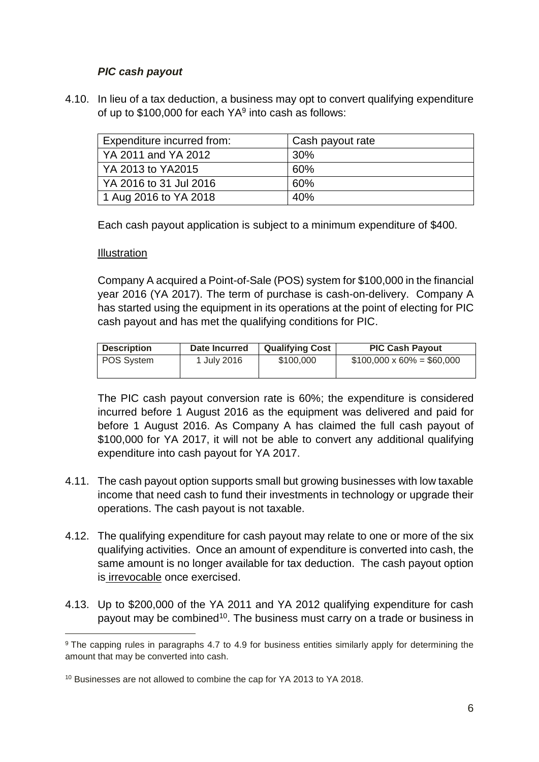#### *PIC cash payout*

4.10. In lieu of a tax deduction, a business may opt to convert qualifying expenditure of up to  $$100,000$  for each YA<sup>9</sup> into cash as follows:

| Expenditure incurred from: | Cash payout rate |
|----------------------------|------------------|
| YA 2011 and YA 2012        | 30 <sup>%</sup>  |
| YA 2013 to YA2015          | 60%              |
| l YA 2016 to 31 Jul 2016   | 60%              |
| 1 Aug 2016 to YA 2018      | 40%              |

Each cash payout application is subject to a minimum expenditure of \$400.

#### Illustration

-

Company A acquired a Point-of-Sale (POS) system for \$100,000 in the financial year 2016 (YA 2017). The term of purchase is cash-on-delivery. Company A has started using the equipment in its operations at the point of electing for PIC cash payout and has met the qualifying conditions for PIC.

| <b>Description</b>        | Date Incurred | <b>Qualifying Cost</b> | <b>PIC Cash Payout</b>           |
|---------------------------|---------------|------------------------|----------------------------------|
| POS System<br>1 July 2016 |               | \$100,000              | $$100,000 \times 60\% = $60,000$ |

The PIC cash payout conversion rate is 60%; the expenditure is considered incurred before 1 August 2016 as the equipment was delivered and paid for before 1 August 2016. As Company A has claimed the full cash payout of \$100,000 for YA 2017, it will not be able to convert any additional qualifying expenditure into cash payout for YA 2017.

- 4.11. The cash payout option supports small but growing businesses with low taxable income that need cash to fund their investments in technology or upgrade their operations. The cash payout is not taxable.
- 4.12. The qualifying expenditure for cash payout may relate to one or more of the six qualifying activities. Once an amount of expenditure is converted into cash, the same amount is no longer available for tax deduction. The cash payout option is irrevocable once exercised.
- 4.13. Up to \$200,000 of the YA 2011 and YA 2012 qualifying expenditure for cash payout may be combined<sup>10</sup>. The business must carry on a trade or business in

<sup>&</sup>lt;sup>9</sup> The capping rules in paragraphs 4.7 to 4.9 for business entities similarly apply for determining the amount that may be converted into cash.

<sup>10</sup> Businesses are not allowed to combine the cap for YA 2013 to YA 2018.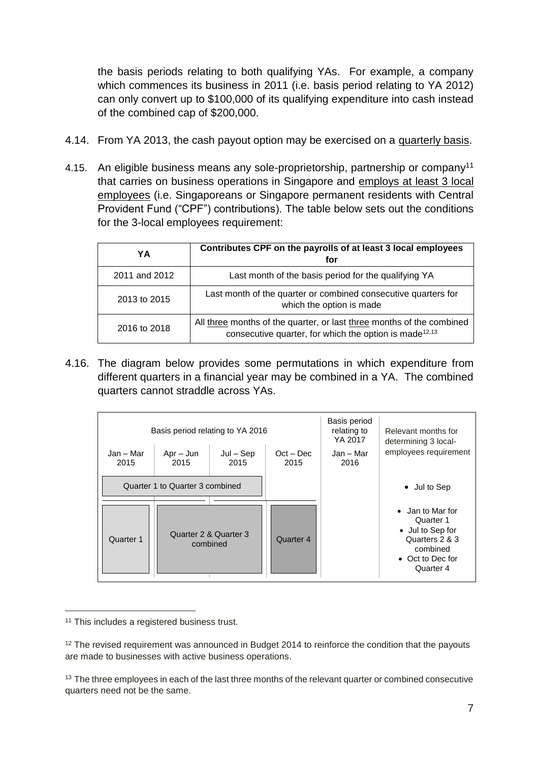the basis periods relating to both qualifying YAs. For example, a company which commences its business in 2011 (i.e. basis period relating to YA 2012) can only convert up to \$100,000 of its qualifying expenditure into cash instead of the combined cap of \$200,000.

- 4.14. From YA 2013, the cash payout option may be exercised on a quarterly basis.
- 4.15. An eligible business means any sole-proprietorship, partnership or company<sup>11</sup> that carries on business operations in Singapore and employs at least 3 local employees (i.e. Singaporeans or Singapore permanent residents with Central Provident Fund ("CPF") contributions). The table below sets out the conditions for the 3-local employees requirement:

|               | Contributes CPF on the payrolls of at least 3 local employees                                                                               |
|---------------|---------------------------------------------------------------------------------------------------------------------------------------------|
| YΑ            | for                                                                                                                                         |
| 2011 and 2012 | Last month of the basis period for the qualifying YA                                                                                        |
| 2013 to 2015  | Last month of the quarter or combined consecutive quarters for<br>which the option is made                                                  |
| 2016 to 2018  | All three months of the quarter, or last three months of the combined<br>consecutive quarter, for which the option is made <sup>12,13</sup> |

4.16. The diagram below provides some permutations in which expenditure from different quarters in a financial year may be combined in a YA. The combined quarters cannot straddle across YAs.

|                                                                 | Basis period relating to YA 2016 |                     | Basis period<br>relating to<br>YA 2017 | Relevant months for<br>determining 3 local-                                                                      |              |
|-----------------------------------------------------------------|----------------------------------|---------------------|----------------------------------------|------------------------------------------------------------------------------------------------------------------|--------------|
| Jan - Mar<br>$Jul - Sep$<br>$Apr - Jun$<br>2015<br>2015<br>2015 |                                  | $Oct - Dec$<br>2015 | Jan – Mar<br>2016                      | employees requirement                                                                                            |              |
| Quarter 1 to Quarter 3 combined                                 |                                  |                     |                                        |                                                                                                                  | • Jul to Sep |
| Quarter 2 & Quarter 3<br>Quarter 1<br>combined                  |                                  | Quarter 4           |                                        | • Jan to Mar for<br>Quarter 1<br>• Jul to Sep for<br>Quarters 2 & 3<br>combined<br>• Oct to Dec for<br>Quarter 4 |              |

<sup>&</sup>lt;sup>11</sup> This includes a registered business trust.

<sup>&</sup>lt;sup>12</sup> The revised requirement was announced in Budget 2014 to reinforce the condition that the payouts are made to businesses with active business operations.

<sup>&</sup>lt;sup>13</sup> The three employees in each of the last three months of the relevant quarter or combined consecutive quarters need not be the same.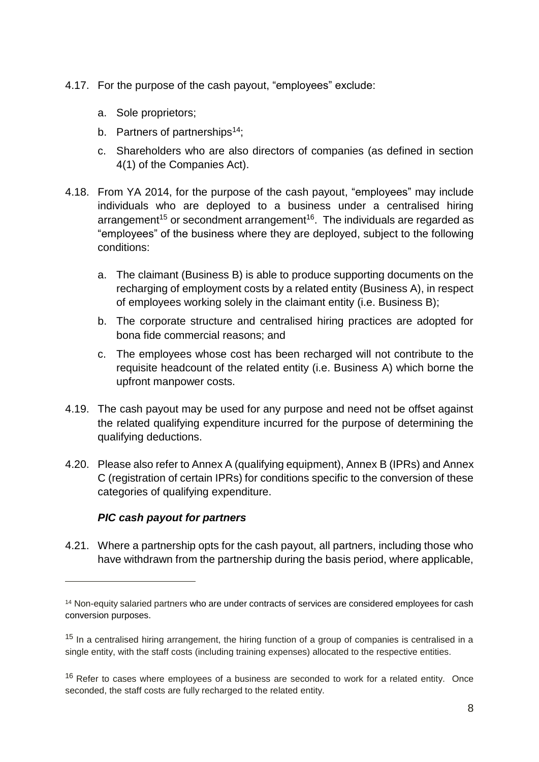- 4.17. For the purpose of the cash payout, "employees" exclude:
	- a. Sole proprietors;
	- b. Partners of partnerships<sup>14</sup>;
	- c. Shareholders who are also directors of companies (as defined in section 4(1) of the Companies Act).
- 4.18. From YA 2014, for the purpose of the cash payout, "employees" may include individuals who are deployed to a business under a centralised hiring arrangement<sup>15</sup> or secondment arrangement<sup>16</sup>. The individuals are regarded as "employees" of the business where they are deployed, subject to the following conditions:
	- a. The claimant (Business B) is able to produce supporting documents on the recharging of employment costs by a related entity (Business A), in respect of employees working solely in the claimant entity (i.e. Business B);
	- b. The corporate structure and centralised hiring practices are adopted for bona fide commercial reasons; and
	- c. The employees whose cost has been recharged will not contribute to the requisite headcount of the related entity (i.e. Business A) which borne the upfront manpower costs.
- 4.19. The cash payout may be used for any purpose and need not be offset against the related qualifying expenditure incurred for the purpose of determining the qualifying deductions.
- 4.20. Please also refer to Annex A (qualifying equipment), Annex B (IPRs) and Annex C (registration of certain IPRs) for conditions specific to the conversion of these categories of qualifying expenditure.

#### *PIC cash payout for partners*

-

4.21. Where a partnership opts for the cash payout, all partners, including those who have withdrawn from the partnership during the basis period, where applicable,

<sup>&</sup>lt;sup>14</sup> Non-equity salaried partners who are under contracts of services are considered employees for cash conversion purposes.

<sup>&</sup>lt;sup>15</sup> In a centralised hiring arrangement, the hiring function of a group of companies is centralised in a single entity, with the staff costs (including training expenses) allocated to the respective entities.

 $16$  Refer to cases where employees of a business are seconded to work for a related entity. Once seconded, the staff costs are fully recharged to the related entity.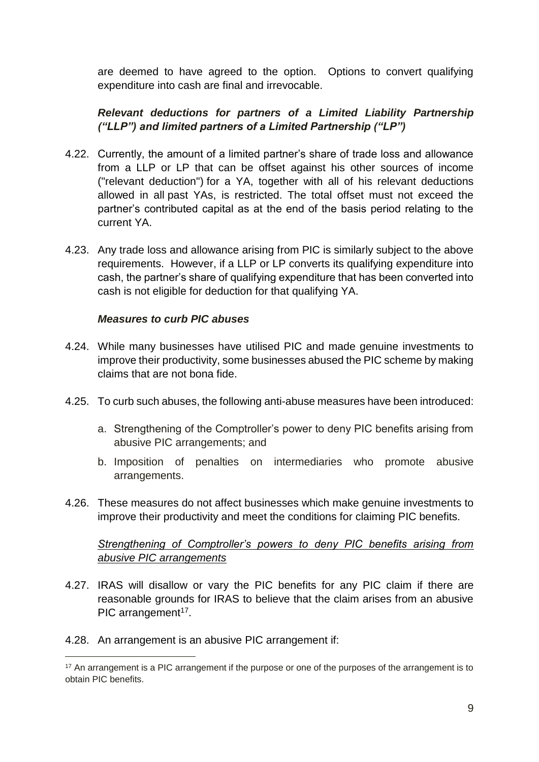are deemed to have agreed to the option. Options to convert qualifying expenditure into cash are final and irrevocable.

### *Relevant deductions for partners of a Limited Liability Partnership ("LLP") and limited partners of a Limited Partnership ("LP")*

- 4.22. Currently, the amount of a limited partner's share of trade loss and allowance from a LLP or LP that can be offset against his other sources of income ("relevant deduction") for a YA, together with all of his relevant deductions allowed in all past YAs, is restricted. The total offset must not exceed the partner's contributed capital as at the end of the basis period relating to the current YA.
- 4.23. Any trade loss and allowance arising from PIC is similarly subject to the above requirements. However, if a LLP or LP converts its qualifying expenditure into cash, the partner's share of qualifying expenditure that has been converted into cash is not eligible for deduction for that qualifying YA.

#### *Measures to curb PIC abuses*

- 4.24. While many businesses have utilised PIC and made genuine investments to improve their productivity, some businesses abused the PIC scheme by making claims that are not bona fide.
- 4.25. To curb such abuses, the following anti-abuse measures have been introduced:
	- a. Strengthening of the Comptroller's power to deny PIC benefits arising from abusive PIC arrangements; and
	- b. Imposition of penalties on intermediaries who promote abusive arrangements.
- 4.26. These measures do not affect businesses which make genuine investments to improve their productivity and meet the conditions for claiming PIC benefits.

#### *Strengthening of Comptroller's powers to deny PIC benefits arising from abusive PIC arrangements*

- 4.27. IRAS will disallow or vary the PIC benefits for any PIC claim if there are reasonable grounds for IRAS to believe that the claim arises from an abusive PIC arrangement<sup>17</sup>.
- 4.28. An arrangement is an abusive PIC arrangement if:

<sup>&</sup>lt;sup>17</sup> An arrangement is a PIC arrangement if the purpose or one of the purposes of the arrangement is to obtain PIC benefits.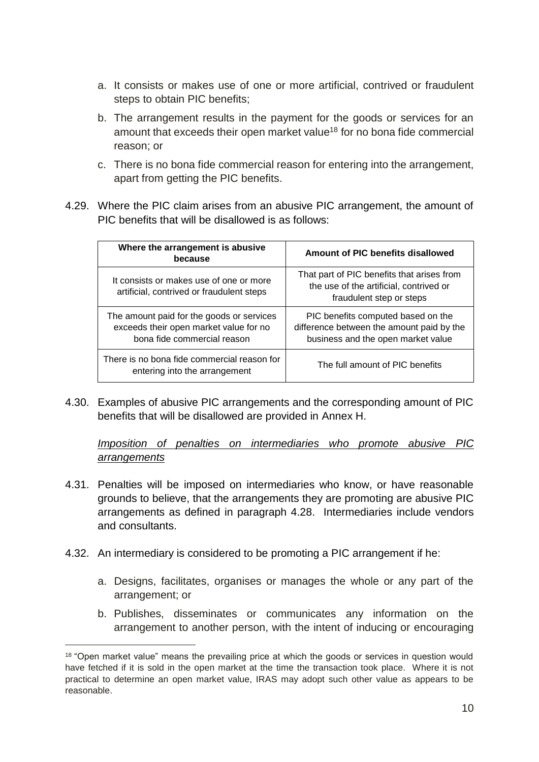- a. It consists or makes use of one or more artificial, contrived or fraudulent steps to obtain PIC benefits;
- b. The arrangement results in the payment for the goods or services for an amount that exceeds their open market value<sup>18</sup> for no bona fide commercial reason; or
- c. There is no bona fide commercial reason for entering into the arrangement, apart from getting the PIC benefits.
- 4.29. Where the PIC claim arises from an abusive PIC arrangement, the amount of PIC benefits that will be disallowed is as follows:

| Where the arrangement is abusive<br>because                                                                        | Amount of PIC benefits disallowed                                                                                     |
|--------------------------------------------------------------------------------------------------------------------|-----------------------------------------------------------------------------------------------------------------------|
| It consists or makes use of one or more<br>artificial, contrived or fraudulent steps                               | That part of PIC benefits that arises from<br>the use of the artificial, contrived or<br>fraudulent step or steps     |
| The amount paid for the goods or services<br>exceeds their open market value for no<br>bona fide commercial reason | PIC benefits computed based on the<br>difference between the amount paid by the<br>business and the open market value |
| There is no bona fide commercial reason for<br>entering into the arrangement                                       | The full amount of PIC benefits                                                                                       |

4.30. Examples of abusive PIC arrangements and the corresponding amount of PIC benefits that will be disallowed are provided in Annex H.

*Imposition of penalties on intermediaries who promote abusive PIC arrangements*

- 4.31. Penalties will be imposed on intermediaries who know, or have reasonable grounds to believe, that the arrangements they are promoting are abusive PIC arrangements as defined in paragraph 4.28. Intermediaries include vendors and consultants.
- 4.32. An intermediary is considered to be promoting a PIC arrangement if he:

- a. Designs, facilitates, organises or manages the whole or any part of the arrangement; or
- b. Publishes, disseminates or communicates any information on the arrangement to another person, with the intent of inducing or encouraging

<sup>&</sup>lt;sup>18</sup> "Open market value" means the prevailing price at which the goods or services in question would have fetched if it is sold in the open market at the time the transaction took place. Where it is not practical to determine an open market value, IRAS may adopt such other value as appears to be reasonable.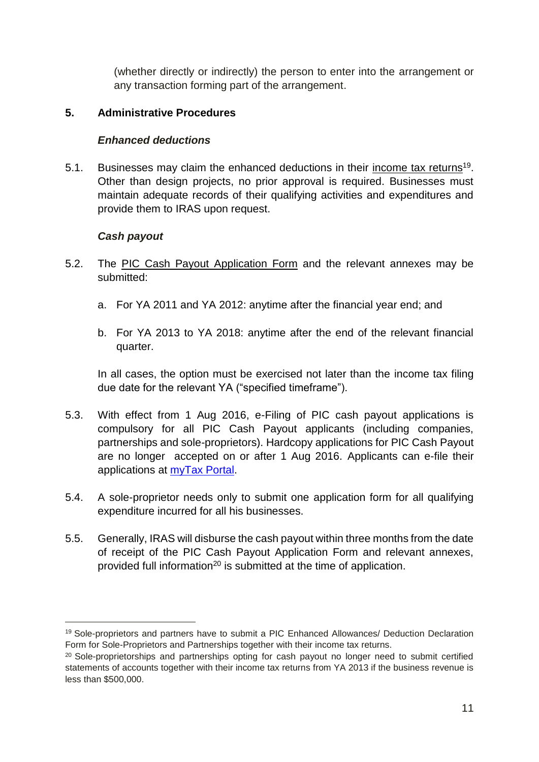(whether directly or indirectly) the person to enter into the arrangement or any transaction forming part of the arrangement.

#### <span id="page-15-0"></span>**5. Administrative Procedures**

#### *Enhanced deductions*

5.1. Businesses may claim the enhanced deductions in their income tax returns<sup>19</sup>. Other than design projects, no prior approval is required. Businesses must maintain adequate records of their qualifying activities and expenditures and provide them to IRAS upon request.

#### *Cash payout*

 $\overline{a}$ 

- 5.2. The PIC Cash Payout Application Form and the relevant annexes mav be submitted:
	- a. For YA 2011 and YA 2012: anytime after the financial year end; and
	- b. For YA 2013 to YA 2018: anytime after the end of the relevant financial quarter.

In all cases, the option must be exercised not later than the income tax filing due date for the relevant YA ("specified timeframe").

- 5.3. With effect from 1 Aug 2016, e-Filing of PIC cash payout applications is compulsory for all PIC Cash Payout applicants (including companies, partnerships and sole-proprietors). Hardcopy applications for PIC Cash Payout are no longer accepted on or after 1 Aug 2016. Applicants can e-file their applications at [myTax Portal.](https://mytax.iras.gov.sg/ESVWeb/default.aspx)
- 5.4. A sole-proprietor needs only to submit one application form for all qualifying expenditure incurred for all his businesses.
- 5.5. Generally, IRAS will disburse the cash payout within three months from the date of receipt of the PIC Cash Payout Application Form and relevant annexes, provided full information<sup>20</sup> is submitted at the time of application.

<sup>19</sup> Sole-proprietors and partners have to submit a PIC Enhanced Allowances/ Deduction Declaration Form for Sole-Proprietors and Partnerships together with their income tax returns.

<sup>&</sup>lt;sup>20</sup> Sole-proprietorships and partnerships opting for cash payout no longer need to submit certified statements of accounts together with their income tax returns from YA 2013 if the business revenue is less than \$500,000.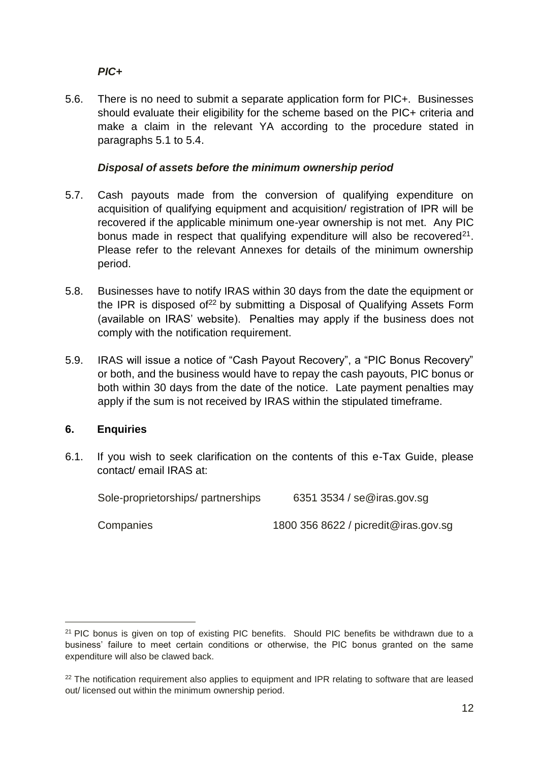#### *PIC+*

5.6. There is no need to submit a separate application form for PIC+. Businesses should evaluate their eligibility for the scheme based on the PIC+ criteria and make a claim in the relevant YA according to the procedure stated in paragraphs 5.1 to 5.4.

#### *Disposal of assets before the minimum ownership period*

- 5.7. Cash payouts made from the conversion of qualifying expenditure on acquisition of qualifying equipment and acquisition/ registration of IPR will be recovered if the applicable minimum one-year ownership is not met. Any PIC bonus made in respect that qualifying expenditure will also be recovered $2^1$ . Please refer to the relevant Annexes for details of the minimum ownership period.
- 5.8. Businesses have to notify IRAS within 30 days from the date the equipment or the IPR is disposed of<sup>22</sup> by submitting a Disposal of Qualifying Assets Form (available on IRAS' website). Penalties may apply if the business does not comply with the notification requirement.
- 5.9. IRAS will issue a notice of "Cash Payout Recovery", a "PIC Bonus Recovery" or both, and the business would have to repay the cash payouts, PIC bonus or both within 30 days from the date of the notice. Late payment penalties may apply if the sum is not received by IRAS within the stipulated timeframe.

#### <span id="page-16-0"></span>**6. Enquiries**

 $\overline{a}$ 

6.1. If you wish to seek clarification on the contents of this e-Tax Guide, please contact/ email IRAS at:

| Sole-proprietorships/partnerships | 6351 3534 / se@iras.gov.sg           |
|-----------------------------------|--------------------------------------|
| Companies                         | 1800 356 8622 / picredit@iras.gov.sg |

 $21$  PIC bonus is given on top of existing PIC benefits. Should PIC benefits be withdrawn due to a business' failure to meet certain conditions or otherwise, the PIC bonus granted on the same expenditure will also be clawed back.

<sup>&</sup>lt;sup>22</sup> The notification requirement also applies to equipment and IPR relating to software that are leased out/ licensed out within the minimum ownership period.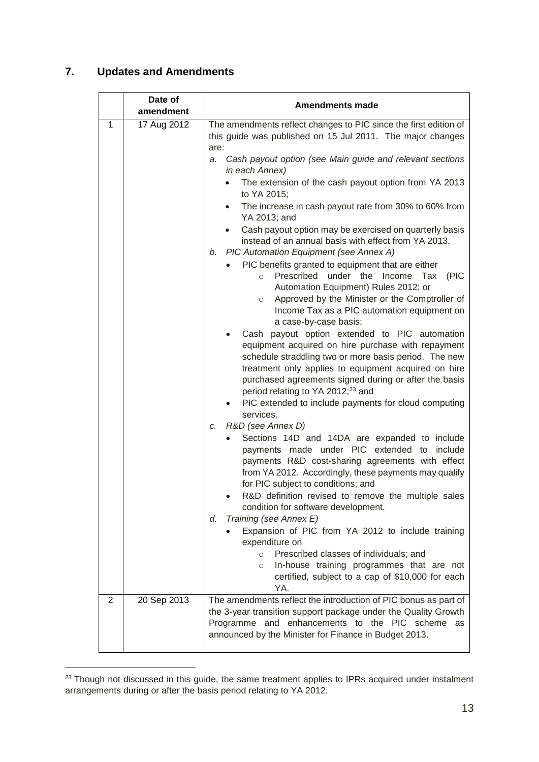## <span id="page-17-0"></span>**7. Updates and Amendments**

|                | Date of<br>amendment | <b>Amendments made</b>                                                                                                                                                                                                                                                                                                                                                                                |
|----------------|----------------------|-------------------------------------------------------------------------------------------------------------------------------------------------------------------------------------------------------------------------------------------------------------------------------------------------------------------------------------------------------------------------------------------------------|
| 1              | 17 Aug 2012          | The amendments reflect changes to PIC since the first edition of<br>this guide was published on 15 Jul 2011. The major changes<br>are:                                                                                                                                                                                                                                                                |
|                |                      | Cash payout option (see Main guide and relevant sections<br>a.<br>in each Annex)                                                                                                                                                                                                                                                                                                                      |
|                |                      | The extension of the cash payout option from YA 2013<br>to YA 2015;                                                                                                                                                                                                                                                                                                                                   |
|                |                      | The increase in cash payout rate from 30% to 60% from<br>$\bullet$<br>YA 2013; and                                                                                                                                                                                                                                                                                                                    |
|                |                      | Cash payout option may be exercised on quarterly basis<br>instead of an annual basis with effect from YA 2013.<br>PIC Automation Equipment (see Annex A)<br>b.                                                                                                                                                                                                                                        |
|                |                      | PIC benefits granted to equipment that are either<br>Prescribed under the<br>Income Tax<br>(PIC<br>$\circ$<br>Automation Equipment) Rules 2012; or<br>Approved by the Minister or the Comptroller of<br>$\circ$<br>Income Tax as a PIC automation equipment on<br>a case-by-case basis;                                                                                                               |
|                |                      | Cash payout option extended to PIC automation<br>equipment acquired on hire purchase with repayment<br>schedule straddling two or more basis period. The new<br>treatment only applies to equipment acquired on hire<br>purchased agreements signed during or after the basis<br>period relating to YA 2012; <sup>23</sup> and                                                                        |
|                |                      | PIC extended to include payments for cloud computing<br>services.                                                                                                                                                                                                                                                                                                                                     |
|                |                      | c. R&D (see Annex D)<br>Sections 14D and 14DA are expanded to include<br>payments made under PIC extended to include<br>payments R&D cost-sharing agreements with effect<br>from YA 2012. Accordingly, these payments may qualify<br>for PIC subject to conditions; and<br>R&D definition revised to remove the multiple sales<br>condition for software development.<br>Training (see Annex E)<br>d. |
|                |                      | Expansion of PIC from YA 2012 to include training<br>expenditure on                                                                                                                                                                                                                                                                                                                                   |
|                |                      | Prescribed classes of individuals; and<br>$\circ$<br>In-house training programmes that are not<br>$\circ$<br>certified, subject to a cap of \$10,000 for each<br>YA.                                                                                                                                                                                                                                  |
| $\overline{2}$ | 20 Sep 2013          | The amendments reflect the introduction of PIC bonus as part of<br>the 3-year transition support package under the Quality Growth<br>Programme and enhancements to the PIC scheme as<br>announced by the Minister for Finance in Budget 2013.                                                                                                                                                         |

 $23$  Though not discussed in this guide, the same treatment applies to IPRs acquired under instalment arrangements during or after the basis period relating to YA 2012.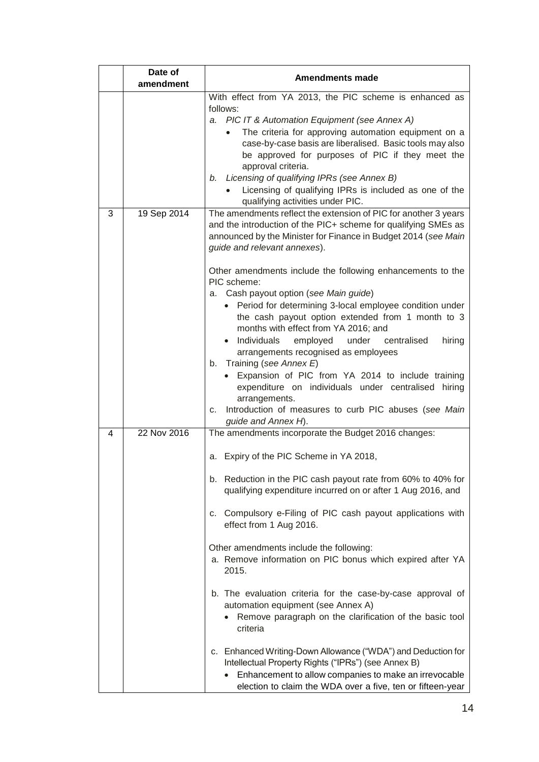|   | Date of       | <b>Amendments made</b>                                                                                                                                                                                                                                                                                                                                                                                                                                                                                                                                                                                                                                                                                                                                                                                                                                                |  |
|---|---------------|-----------------------------------------------------------------------------------------------------------------------------------------------------------------------------------------------------------------------------------------------------------------------------------------------------------------------------------------------------------------------------------------------------------------------------------------------------------------------------------------------------------------------------------------------------------------------------------------------------------------------------------------------------------------------------------------------------------------------------------------------------------------------------------------------------------------------------------------------------------------------|--|
|   | amendment     |                                                                                                                                                                                                                                                                                                                                                                                                                                                                                                                                                                                                                                                                                                                                                                                                                                                                       |  |
|   |               | With effect from YA 2013, the PIC scheme is enhanced as<br>follows:<br>a. PIC IT & Automation Equipment (see Annex A)<br>The criteria for approving automation equipment on a<br>$\bullet$<br>case-by-case basis are liberalised. Basic tools may also<br>be approved for purposes of PIC if they meet the<br>approval criteria.<br>b. Licensing of qualifying IPRs (see Annex B)<br>Licensing of qualifying IPRs is included as one of the<br>qualifying activities under PIC.                                                                                                                                                                                                                                                                                                                                                                                       |  |
| 3 | 19 Sep 2014   | The amendments reflect the extension of PIC for another 3 years<br>and the introduction of the PIC+ scheme for qualifying SMEs as<br>announced by the Minister for Finance in Budget 2014 (see Main<br>guide and relevant annexes).<br>Other amendments include the following enhancements to the<br>PIC scheme:<br>a. Cash payout option (see Main guide)<br>• Period for determining 3-local employee condition under<br>the cash payout option extended from 1 month to 3<br>months with effect from YA 2016; and<br>· Individuals employed under centralised<br>hiring<br>arrangements recognised as employees<br>b. Training (see Annex E)<br>Expansion of PIC from YA 2014 to include training<br>expenditure on individuals under centralised hiring<br>arrangements.<br>Introduction of measures to curb PIC abuses (see Main<br>C.                           |  |
|   | $22$ Nov 2016 | guide and Annex H).                                                                                                                                                                                                                                                                                                                                                                                                                                                                                                                                                                                                                                                                                                                                                                                                                                                   |  |
| 4 |               | The amendments incorporate the Budget 2016 changes:<br>a. Expiry of the PIC Scheme in YA 2018,<br>b. Reduction in the PIC cash payout rate from 60% to 40% for<br>qualifying expenditure incurred on or after 1 Aug 2016, and<br>Compulsory e-Filing of PIC cash payout applications with<br>C.<br>effect from 1 Aug 2016.<br>Other amendments include the following:<br>a. Remove information on PIC bonus which expired after YA<br>2015.<br>b. The evaluation criteria for the case-by-case approval of<br>automation equipment (see Annex A)<br>Remove paragraph on the clarification of the basic tool<br>criteria<br>c. Enhanced Writing-Down Allowance ("WDA") and Deduction for<br>Intellectual Property Rights ("IPRs") (see Annex B)<br>Enhancement to allow companies to make an irrevocable<br>election to claim the WDA over a five, ten or fifteen-year |  |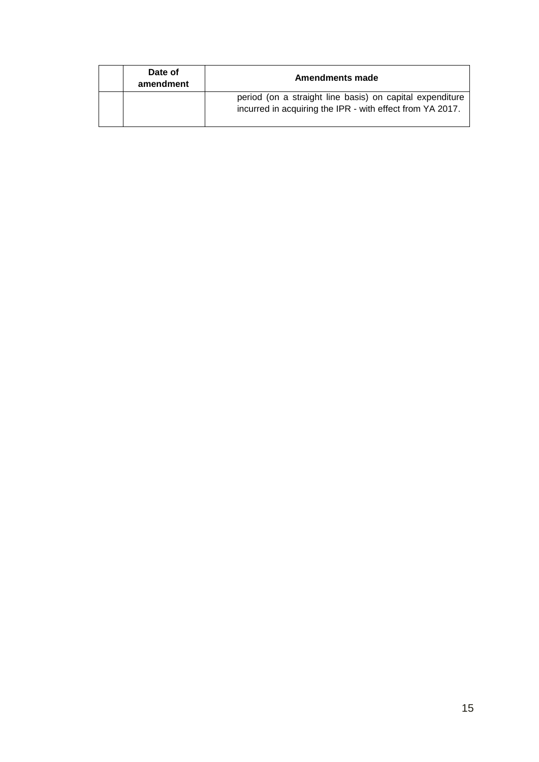| Date of<br>amendment | Amendments made                                                                                                       |  |
|----------------------|-----------------------------------------------------------------------------------------------------------------------|--|
|                      | period (on a straight line basis) on capital expenditure<br>incurred in acquiring the IPR - with effect from YA 2017. |  |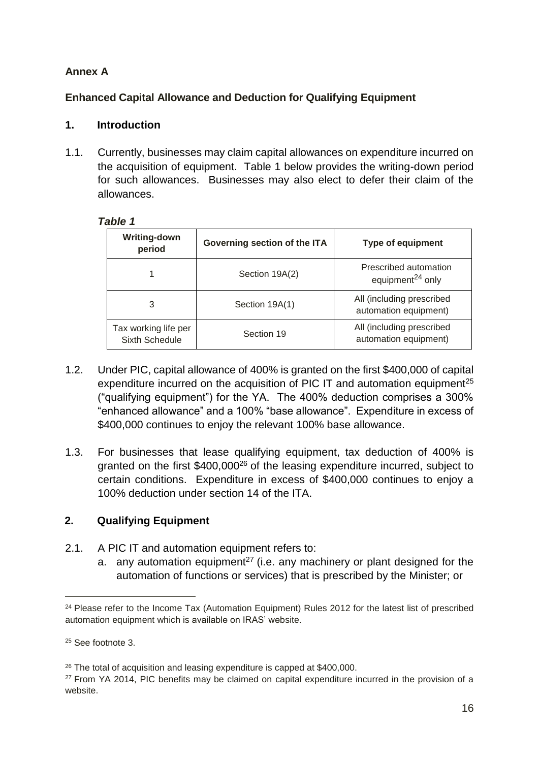## <span id="page-20-0"></span>**Annex A**

## <span id="page-20-1"></span>**Enhanced Capital Allowance and Deduction for Qualifying Equipment**

#### <span id="page-20-2"></span>**1. Introduction**

1.1. Currently, businesses may claim capital allowances on expenditure incurred on the acquisition of equipment. Table 1 below provides the writing-down period for such allowances. Businesses may also elect to defer their claim of the allowances.

#### *Table 1*

| <b>Writing-down</b><br>Governing section of the ITA<br>period |                | <b>Type of equipment</b>                              |
|---------------------------------------------------------------|----------------|-------------------------------------------------------|
|                                                               | Section 19A(2) | Prescribed automation<br>equipment <sup>24</sup> only |
| 3                                                             | Section 19A(1) | All (including prescribed<br>automation equipment)    |
| Tax working life per<br>Sixth Schedule                        | Section 19     | All (including prescribed<br>automation equipment)    |

- 1.2. Under PIC, capital allowance of 400% is granted on the first \$400,000 of capital expenditure incurred on the acquisition of PIC IT and automation equipment<sup>25</sup> ("qualifying equipment") for the YA. The 400% deduction comprises a 300% "enhanced allowance" and a 100% "base allowance". Expenditure in excess of \$400,000 continues to enjoy the relevant 100% base allowance.
- 1.3. For businesses that lease qualifying equipment, tax deduction of 400% is granted on the first \$400,000<sup>26</sup> of the leasing expenditure incurred, subject to certain conditions. Expenditure in excess of \$400,000 continues to enjoy a 100% deduction under section 14 of the ITA.

## <span id="page-20-3"></span>**2. Qualifying Equipment**

- 2.1. A PIC IT and automation equipment refers to:
	- a. any automation equipment<sup>27</sup> (i.e. any machinery or plant designed for the automation of functions or services) that is prescribed by the Minister; or

<sup>&</sup>lt;sup>24</sup> Please refer to the Income Tax (Automation Equipment) Rules 2012 for the latest list of prescribed automation equipment which is available on IRAS' website.

<sup>25</sup> See footnote 3.

<sup>&</sup>lt;sup>26</sup> The total of acquisition and leasing expenditure is capped at \$400,000.

<sup>&</sup>lt;sup>27</sup> From YA 2014, PIC benefits may be claimed on capital expenditure incurred in the provision of a website.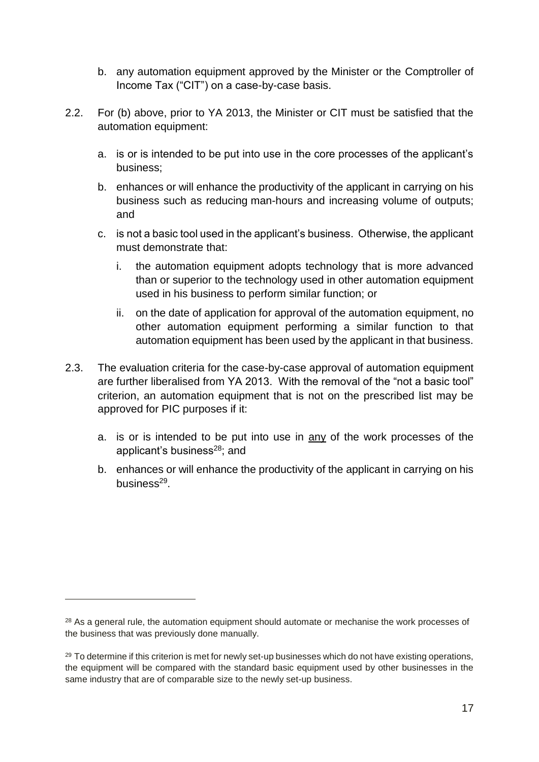- b. any automation equipment approved by the Minister or the Comptroller of Income Tax ("CIT") on a case-by-case basis.
- 2.2. For (b) above, prior to YA 2013, the Minister or CIT must be satisfied that the automation equipment:
	- a. is or is intended to be put into use in the core processes of the applicant's business;
	- b. enhances or will enhance the productivity of the applicant in carrying on his business such as reducing man-hours and increasing volume of outputs; and
	- c. is not a basic tool used in the applicant's business. Otherwise, the applicant must demonstrate that:
		- i. the automation equipment adopts technology that is more advanced than or superior to the technology used in other automation equipment used in his business to perform similar function; or
		- ii. on the date of application for approval of the automation equipment, no other automation equipment performing a similar function to that automation equipment has been used by the applicant in that business.
- 2.3. The evaluation criteria for the case-by-case approval of automation equipment are further liberalised from YA 2013. With the removal of the "not a basic tool" criterion, an automation equipment that is not on the prescribed list may be approved for PIC purposes if it:
	- a. is or is intended to be put into use in  $\frac{any}{any}$  of the work processes of the applicant's business<sup>28</sup>; and
	- b. enhances or will enhance the productivity of the applicant in carrying on his business<sup>29</sup>.

<sup>&</sup>lt;sup>28</sup> As a general rule, the automation equipment should automate or mechanise the work processes of the business that was previously done manually.

<sup>&</sup>lt;sup>29</sup> To determine if this criterion is met for newly set-up businesses which do not have existing operations, the equipment will be compared with the standard basic equipment used by other businesses in the same industry that are of comparable size to the newly set-up business.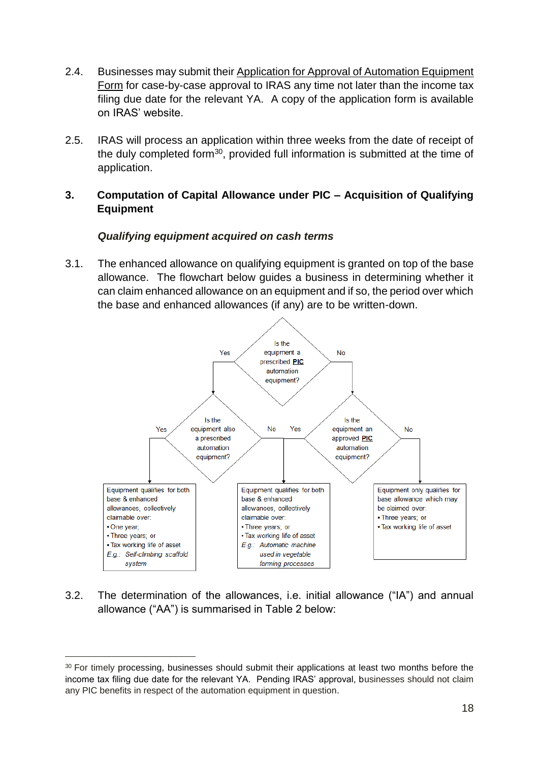- 2.4. Businesses may submit their Application for Approval of Automation Equipment Form for case-by-case approval to IRAS any time not later than the income tax filing due date for the relevant YA. A copy of the application form is available on IRAS' website.
- 2.5. IRAS will process an application within three weeks from the date of receipt of the duly completed form<sup>30</sup>, provided full information is submitted at the time of application.

#### <span id="page-22-0"></span>**3. Computation of Capital Allowance under PIC – Acquisition of Qualifying Equipment**

#### *Qualifying equipment acquired on cash terms*

3.1. The enhanced allowance on qualifying equipment is granted on top of the base allowance. The flowchart below guides a business in determining whether it can claim enhanced allowance on an equipment and if so, the period over which the base and enhanced allowances (if any) are to be written-down.



3.2. The determination of the allowances, i.e. initial allowance ("IA") and annual allowance ("AA") is summarised in Table 2 below:

<sup>&</sup>lt;sup>30</sup> For timely processing, businesses should submit their applications at least two months before the income tax filing due date for the relevant YA. Pending IRAS' approval, businesses should not claim any PIC benefits in respect of the automation equipment in question.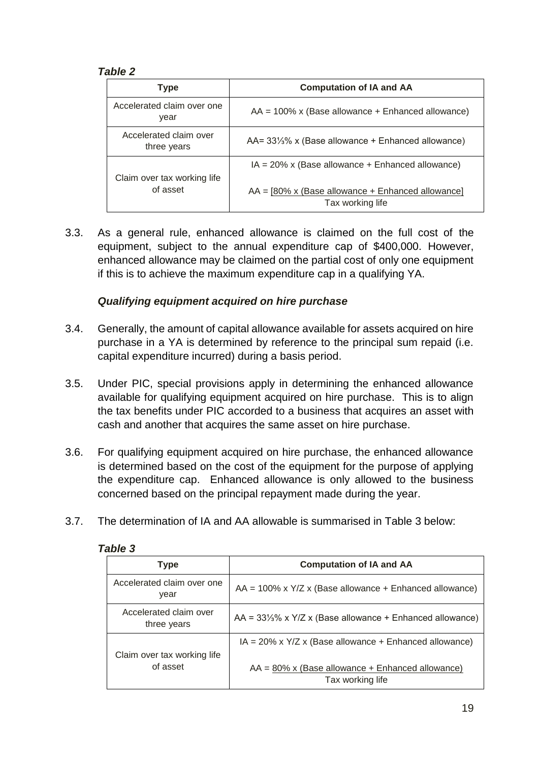#### *Table 2*

| <b>Type</b>                           | <b>Computation of IA and AA</b>                                               |  |
|---------------------------------------|-------------------------------------------------------------------------------|--|
| Accelerated claim over one<br>year    | $AA = 100\%$ x (Base allowance + Enhanced allowance)                          |  |
| Accelerated claim over<br>three years | $AA = 33\frac{1}{3}\%$ x (Base allowance + Enhanced allowance)                |  |
| Claim over tax working life           | $IA = 20\%$ x (Base allowance + Enhanced allowance)                           |  |
| of asset                              | $AA = [80\% \times (Base$ allowance + Enhanced allowance]<br>Tax working life |  |

3.3. As a general rule, enhanced allowance is claimed on the full cost of the equipment, subject to the annual expenditure cap of \$400,000. However, enhanced allowance may be claimed on the partial cost of only one equipment if this is to achieve the maximum expenditure cap in a qualifying YA.

#### *Qualifying equipment acquired on hire purchase*

- 3.4. Generally, the amount of capital allowance available for assets acquired on hire purchase in a YA is determined by reference to the principal sum repaid (i.e. capital expenditure incurred) during a basis period.
- 3.5. Under PIC, special provisions apply in determining the enhanced allowance available for qualifying equipment acquired on hire purchase. This is to align the tax benefits under PIC accorded to a business that acquires an asset with cash and another that acquires the same asset on hire purchase.
- 3.6. For qualifying equipment acquired on hire purchase, the enhanced allowance is determined based on the cost of the equipment for the purpose of applying the expenditure cap. Enhanced allowance is only allowed to the business concerned based on the principal repayment made during the year.
- 3.7. The determination of IA and AA allowable is summarised in Table 3 below:

| Type                                  | <b>Computation of IA and AA</b>                                         |
|---------------------------------------|-------------------------------------------------------------------------|
| Accelerated claim over one<br>year    | $AA = 100\%$ x $Y/Z$ x (Base allowance + Enhanced allowance)            |
| Accelerated claim over<br>three years | $AA = 33\frac{1}{3}\%$ x $Y/Z$ x (Base allowance + Enhanced allowance)  |
| Claim over tax working life           | $IA = 20\%$ x $Y/Z$ x (Base allowance + Enhanced allowance)             |
| of asset                              | $AA = 80\%$ x (Base allowance + Enhanced allowance)<br>Tax working life |

#### *Table 3*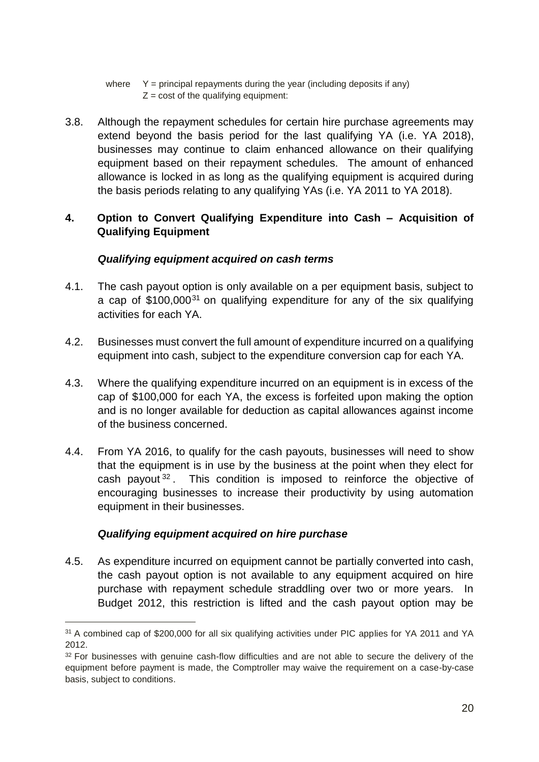where  $Y =$  principal repayments during the year (including deposits if any)  $Z = \text{cost}$  of the qualifying equipment:

3.8. Although the repayment schedules for certain hire purchase agreements may extend beyond the basis period for the last qualifying YA (i.e. YA 2018), businesses may continue to claim enhanced allowance on their qualifying equipment based on their repayment schedules. The amount of enhanced allowance is locked in as long as the qualifying equipment is acquired during the basis periods relating to any qualifying YAs (i.e. YA 2011 to YA 2018).

#### <span id="page-24-0"></span>**4. Option to Convert Qualifying Expenditure into Cash – Acquisition of Qualifying Equipment**

#### *Qualifying equipment acquired on cash terms*

- 4.1. The cash payout option is only available on a per equipment basis, subject to a cap of  $$100,000^{31}$  on qualifying expenditure for any of the six qualifying activities for each YA.
- 4.2. Businesses must convert the full amount of expenditure incurred on a qualifying equipment into cash, subject to the expenditure conversion cap for each YA.
- 4.3. Where the qualifying expenditure incurred on an equipment is in excess of the cap of \$100,000 for each YA, the excess is forfeited upon making the option and is no longer available for deduction as capital allowances against income of the business concerned.
- 4.4. From YA 2016, to qualify for the cash payouts, businesses will need to show that the equipment is in use by the business at the point when they elect for cash payout <sup>32</sup> . This condition is imposed to reinforce the objective of encouraging businesses to increase their productivity by using automation equipment in their businesses.

#### *Qualifying equipment acquired on hire purchase*

 $\overline{a}$ 

4.5. As expenditure incurred on equipment cannot be partially converted into cash, the cash payout option is not available to any equipment acquired on hire purchase with repayment schedule straddling over two or more years. In Budget 2012, this restriction is lifted and the cash payout option may be

<sup>&</sup>lt;sup>31</sup> A combined cap of \$200,000 for all six qualifying activities under PIC applies for YA 2011 and YA 2012.

<sup>&</sup>lt;sup>32</sup> For businesses with genuine cash-flow difficulties and are not able to secure the delivery of the equipment before payment is made, the Comptroller may waive the requirement on a case-by-case basis, subject to conditions.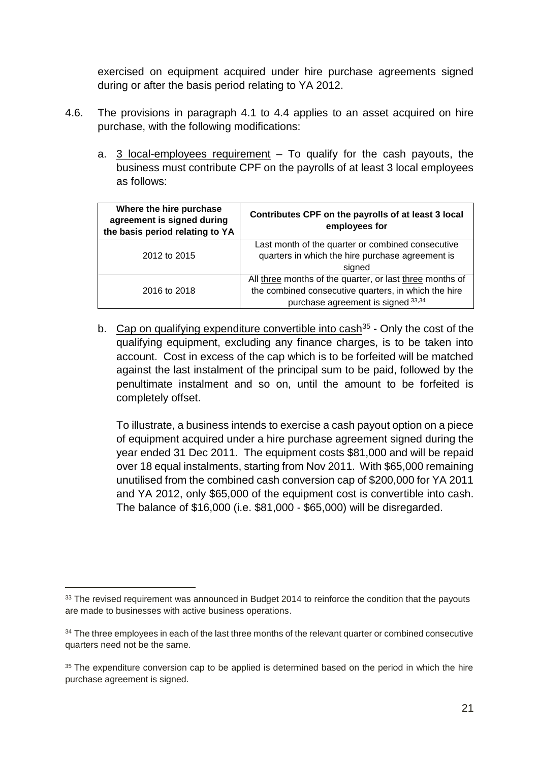exercised on equipment acquired under hire purchase agreements signed during or after the basis period relating to YA 2012.

- 4.6. The provisions in paragraph 4.1 to 4.4 applies to an asset acquired on hire purchase, with the following modifications:
	- a. 3 local-employees requirement To qualify for the cash payouts, the business must contribute CPF on the payrolls of at least 3 local employees as follows:

| Where the hire purchase<br>agreement is signed during<br>the basis period relating to YA | Contributes CPF on the payrolls of at least 3 local<br>employees for                                                                                   |  |
|------------------------------------------------------------------------------------------|--------------------------------------------------------------------------------------------------------------------------------------------------------|--|
| 2012 to 2015                                                                             | Last month of the quarter or combined consecutive<br>quarters in which the hire purchase agreement is<br>signed                                        |  |
| 2016 to 2018                                                                             | All three months of the quarter, or last three months of<br>the combined consecutive quarters, in which the hire<br>purchase agreement is signed 33,34 |  |

b. Cap on qualifying expenditure convertible into cash<sup>35</sup> - Only the cost of the qualifying equipment, excluding any finance charges, is to be taken into account. Cost in excess of the cap which is to be forfeited will be matched against the last instalment of the principal sum to be paid, followed by the penultimate instalment and so on, until the amount to be forfeited is completely offset.

To illustrate, a business intends to exercise a cash payout option on a piece of equipment acquired under a hire purchase agreement signed during the year ended 31 Dec 2011. The equipment costs \$81,000 and will be repaid over 18 equal instalments, starting from Nov 2011. With \$65,000 remaining unutilised from the combined cash conversion cap of \$200,000 for YA 2011 and YA 2012, only \$65,000 of the equipment cost is convertible into cash. The balance of \$16,000 (i.e. \$81,000 - \$65,000) will be disregarded.

<sup>&</sup>lt;sup>33</sup> The revised requirement was announced in Budget 2014 to reinforce the condition that the payouts are made to businesses with active business operations.

<sup>&</sup>lt;sup>34</sup> The three employees in each of the last three months of the relevant quarter or combined consecutive quarters need not be the same.

<sup>&</sup>lt;sup>35</sup> The expenditure conversion cap to be applied is determined based on the period in which the hire purchase agreement is signed.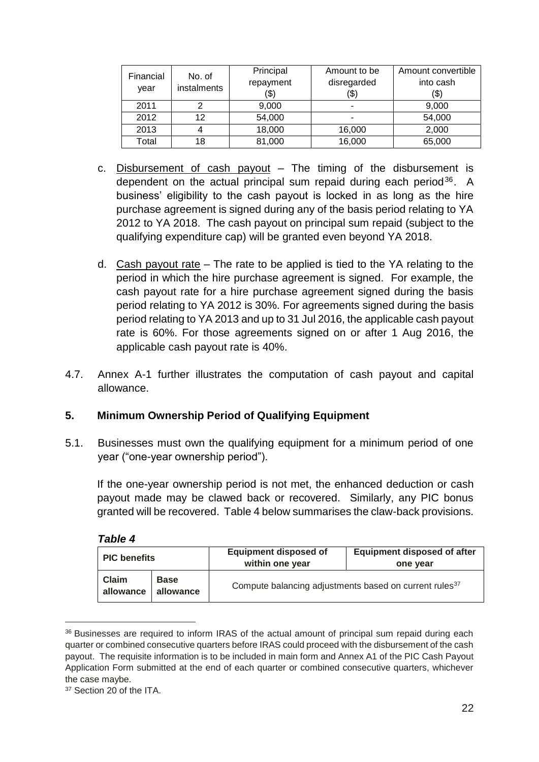| Financial<br>vear | No. of<br>instalments | Principal<br>repayment<br>(\$) | Amount to be<br>disregarded<br>(\$) | Amount convertible<br>into cash<br>(\$) |
|-------------------|-----------------------|--------------------------------|-------------------------------------|-----------------------------------------|
| 2011              |                       | 9,000                          | ۰                                   | 9,000                                   |
| 2012              | 12                    | 54,000                         |                                     | 54,000                                  |
| 2013              | 4                     | 18,000                         | 16,000                              | 2,000                                   |
| Total             | 18                    | 81,000                         | 16,000                              | 65,000                                  |

- c. Disbursement of cash payout The timing of the disbursement is dependent on the actual principal sum repaid during each period<sup>36</sup>. A business' eligibility to the cash payout is locked in as long as the hire purchase agreement is signed during any of the basis period relating to YA 2012 to YA 2018. The cash payout on principal sum repaid (subject to the qualifying expenditure cap) will be granted even beyond YA 2018.
- d. Cash payout rate The rate to be applied is tied to the YA relating to the period in which the hire purchase agreement is signed. For example, the cash payout rate for a hire purchase agreement signed during the basis period relating to YA 2012 is 30%. For agreements signed during the basis period relating to YA 2013 and up to 31 Jul 2016, the applicable cash payout rate is 60%. For those agreements signed on or after 1 Aug 2016, the applicable cash payout rate is 40%.
- 4.7. Annex A-1 further illustrates the computation of cash payout and capital allowance.

#### <span id="page-26-0"></span>**5. Minimum Ownership Period of Qualifying Equipment**

5.1. Businesses must own the qualifying equipment for a minimum period of one year ("one-year ownership period").

If the one-year ownership period is not met, the enhanced deduction or cash payout made may be clawed back or recovered. Similarly, any PIC bonus granted will be recovered. Table 4 below summarises the claw-back provisions.

| <b>PIC benefits</b>       |                          | <b>Equipment disposed of</b><br>within one year                    | <b>Equipment disposed of after</b><br>one year |
|---------------------------|--------------------------|--------------------------------------------------------------------|------------------------------------------------|
| <b>Claim</b><br>allowance | <b>Base</b><br>allowance | Compute balancing adjustments based on current rules <sup>37</sup> |                                                |

| Table | 4 |
|-------|---|
|       |   |

 $\overline{a}$ 

<sup>&</sup>lt;sup>36</sup> Businesses are required to inform IRAS of the actual amount of principal sum repaid during each quarter or combined consecutive quarters before IRAS could proceed with the disbursement of the cash payout. The requisite information is to be included in main form and Annex A1 of the PIC Cash Payout Application Form submitted at the end of each quarter or combined consecutive quarters, whichever the case maybe.

<sup>&</sup>lt;sup>37</sup> Section 20 of the ITA.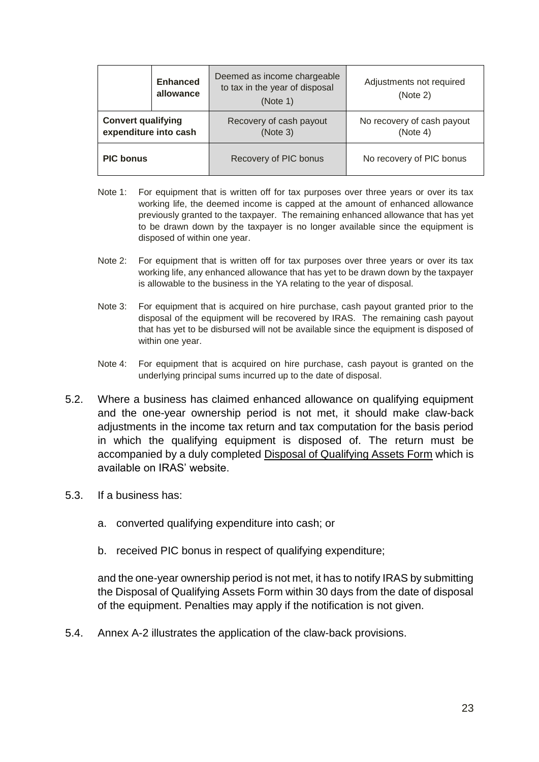| <b>Enhanced</b><br>allowance                       |  | Deemed as income chargeable<br>to tax in the year of disposal<br>(Note 1) | Adjustments not required<br>(Note 2)   |
|----------------------------------------------------|--|---------------------------------------------------------------------------|----------------------------------------|
| <b>Convert qualifying</b><br>expenditure into cash |  | Recovery of cash payout<br>(Note 3)                                       | No recovery of cash payout<br>(Note 4) |
| <b>PIC bonus</b>                                   |  | Recovery of PIC bonus                                                     | No recovery of PIC bonus               |

- Note 1: For equipment that is written off for tax purposes over three years or over its tax working life, the deemed income is capped at the amount of enhanced allowance previously granted to the taxpayer. The remaining enhanced allowance that has yet to be drawn down by the taxpayer is no longer available since the equipment is disposed of within one year.
- Note 2: For equipment that is written off for tax purposes over three years or over its tax working life, any enhanced allowance that has yet to be drawn down by the taxpayer is allowable to the business in the YA relating to the year of disposal.
- Note 3: For equipment that is acquired on hire purchase, cash payout granted prior to the disposal of the equipment will be recovered by IRAS. The remaining cash payout that has yet to be disbursed will not be available since the equipment is disposed of within one year.
- Note 4: For equipment that is acquired on hire purchase, cash payout is granted on the underlying principal sums incurred up to the date of disposal.
- 5.2. Where a business has claimed enhanced allowance on qualifying equipment and the one-year ownership period is not met, it should make claw-back adjustments in the income tax return and tax computation for the basis period in which the qualifying equipment is disposed of. The return must be accompanied by a duly completed Disposal of Qualifying Assets Form which is available on IRAS' website.
- 5.3. If a business has:
	- a. converted qualifying expenditure into cash; or
	- b. received PIC bonus in respect of qualifying expenditure;

and the one-year ownership period is not met, it has to notify IRAS by submitting the Disposal of Qualifying Assets Form within 30 days from the date of disposal of the equipment. Penalties may apply if the notification is not given.

5.4. Annex A-2 illustrates the application of the claw-back provisions.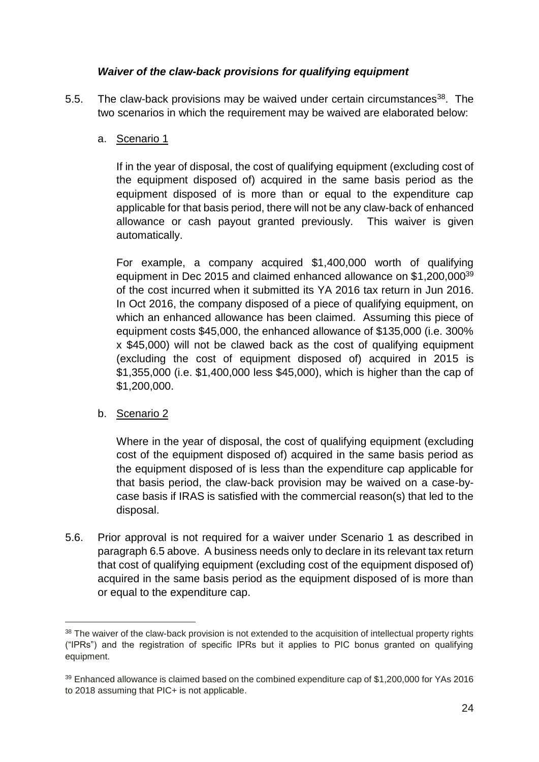#### *Waiver of the claw-back provisions for qualifying equipment*

5.5. The claw-back provisions may be waived under certain circumstances<sup>38</sup>. The two scenarios in which the requirement may be waived are elaborated below:

#### a. Scenario 1

If in the year of disposal, the cost of qualifying equipment (excluding cost of the equipment disposed of) acquired in the same basis period as the equipment disposed of is more than or equal to the expenditure cap applicable for that basis period, there will not be any claw-back of enhanced allowance or cash payout granted previously. This waiver is given automatically.

For example, a company acquired \$1,400,000 worth of qualifying equipment in Dec 2015 and claimed enhanced allowance on \$1,200,000<sup>39</sup> of the cost incurred when it submitted its YA 2016 tax return in Jun 2016. In Oct 2016, the company disposed of a piece of qualifying equipment, on which an enhanced allowance has been claimed. Assuming this piece of equipment costs \$45,000, the enhanced allowance of \$135,000 (i.e. 300% x \$45,000) will not be clawed back as the cost of qualifying equipment (excluding the cost of equipment disposed of) acquired in 2015 is \$1,355,000 (i.e. \$1,400,000 less \$45,000), which is higher than the cap of \$1,200,000.

#### b. Scenario 2

 $\overline{a}$ 

Where in the year of disposal, the cost of qualifying equipment (excluding cost of the equipment disposed of) acquired in the same basis period as the equipment disposed of is less than the expenditure cap applicable for that basis period, the claw-back provision may be waived on a case-bycase basis if IRAS is satisfied with the commercial reason(s) that led to the disposal.

5.6. Prior approval is not required for a waiver under Scenario 1 as described in paragraph 6.5 above. A business needs only to declare in its relevant tax return that cost of qualifying equipment (excluding cost of the equipment disposed of) acquired in the same basis period as the equipment disposed of is more than or equal to the expenditure cap.

<sup>&</sup>lt;sup>38</sup> The waiver of the claw-back provision is not extended to the acquisition of intellectual property rights ("IPRs") and the registration of specific IPRs but it applies to PIC bonus granted on qualifying equipment.

<sup>39</sup> Enhanced allowance is claimed based on the combined expenditure cap of \$1,200,000 for YAs 2016 to 2018 assuming that PIC+ is not applicable.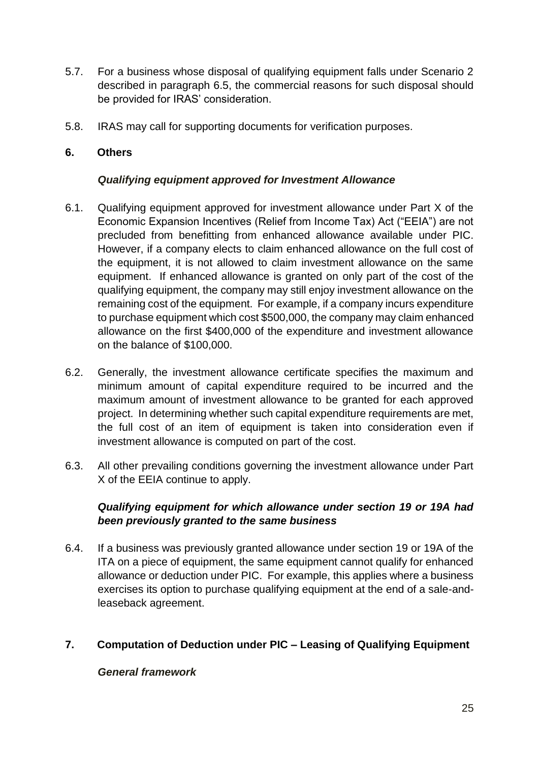- 5.7. For a business whose disposal of qualifying equipment falls under Scenario 2 described in paragraph 6.5, the commercial reasons for such disposal should be provided for IRAS' consideration.
- 5.8. IRAS may call for supporting documents for verification purposes.

#### <span id="page-29-0"></span>**6. Others**

#### *Qualifying equipment approved for Investment Allowance*

- 6.1. Qualifying equipment approved for investment allowance under Part X of the Economic Expansion Incentives (Relief from Income Tax) Act ("EEIA") are not precluded from benefitting from enhanced allowance available under PIC. However, if a company elects to claim enhanced allowance on the full cost of the equipment, it is not allowed to claim investment allowance on the same equipment. If enhanced allowance is granted on only part of the cost of the qualifying equipment, the company may still enjoy investment allowance on the remaining cost of the equipment. For example, if a company incurs expenditure to purchase equipment which cost \$500,000, the company may claim enhanced allowance on the first \$400,000 of the expenditure and investment allowance on the balance of \$100,000.
- 6.2. Generally, the investment allowance certificate specifies the maximum and minimum amount of capital expenditure required to be incurred and the maximum amount of investment allowance to be granted for each approved project. In determining whether such capital expenditure requirements are met, the full cost of an item of equipment is taken into consideration even if investment allowance is computed on part of the cost.
- 6.3. All other prevailing conditions governing the investment allowance under Part X of the EEIA continue to apply.

#### *Qualifying equipment for which allowance under section 19 or 19A had been previously granted to the same business*

6.4. If a business was previously granted allowance under section 19 or 19A of the ITA on a piece of equipment, the same equipment cannot qualify for enhanced allowance or deduction under PIC. For example, this applies where a business exercises its option to purchase qualifying equipment at the end of a sale-andleaseback agreement.

#### <span id="page-29-1"></span>**7. Computation of Deduction under PIC – Leasing of Qualifying Equipment**

#### *General framework*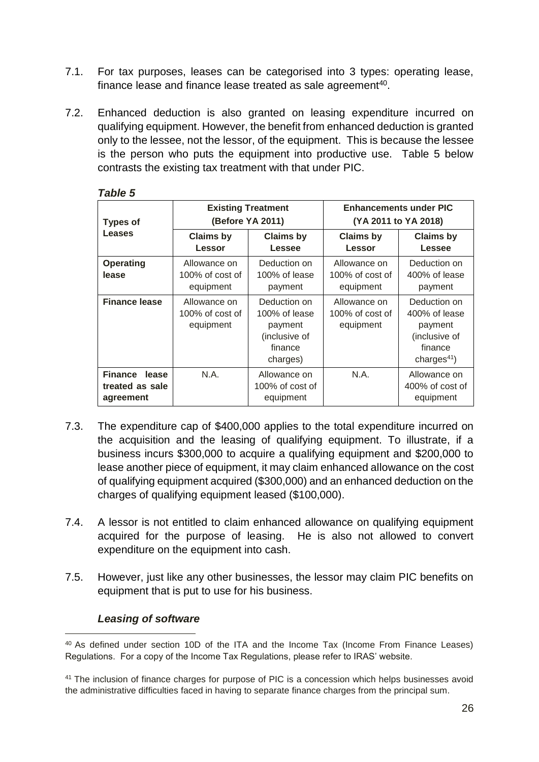- 7.1. For tax purposes, leases can be categorised into 3 types: operating lease, finance lease and finance lease treated as sale agreement $40$ .
- 7.2. Enhanced deduction is also granted on leasing expenditure incurred on qualifying equipment. However, the benefit from enhanced deduction is granted only to the lessee, not the lessor, of the equipment. This is because the lessee is the person who puts the equipment into productive use. Table 5 below contrasts the existing tax treatment with that under PIC.

| <b>Types of</b>                               | <b>Existing Treatment</b><br>(Before YA 2011) |                                                                                  | <b>Enhancements under PIC</b><br>(YA 2011 to YA 2018) |                                                                                        |
|-----------------------------------------------|-----------------------------------------------|----------------------------------------------------------------------------------|-------------------------------------------------------|----------------------------------------------------------------------------------------|
| <b>Leases</b>                                 | <b>Claims by</b><br>Lessor                    | <b>Claims by</b><br>Lessee                                                       | <b>Claims by</b><br><b>Lessor</b>                     | <b>Claims by</b><br>Lessee                                                             |
| <b>Operating</b><br>lease                     | Allowance on<br>100% of cost of<br>equipment  | Deduction on<br>100% of lease<br>payment                                         | Allowance on<br>$100\%$ of cost of<br>equipment       | Deduction on<br>400% of lease<br>payment                                               |
| <b>Finance lease</b>                          | Allowance on<br>100% of cost of<br>equipment  | Deduction on<br>100% of lease<br>payment<br>(inclusive of<br>finance<br>charges) | Allowance on<br>$100\%$ of cost of<br>equipment       | Deduction on<br>400% of lease<br>payment<br>(inclusive of<br>finance<br>charges $41$ ) |
| Finance lease<br>treated as sale<br>agreement | N.A.                                          | Allowance on<br>100% of cost of<br>equipment                                     | N.A.                                                  | Allowance on<br>400% of cost of<br>equipment                                           |

#### *Table 5*

- 7.3. The expenditure cap of \$400,000 applies to the total expenditure incurred on the acquisition and the leasing of qualifying equipment. To illustrate, if a business incurs \$300,000 to acquire a qualifying equipment and \$200,000 to lease another piece of equipment, it may claim enhanced allowance on the cost of qualifying equipment acquired (\$300,000) and an enhanced deduction on the charges of qualifying equipment leased (\$100,000).
- 7.4. A lessor is not entitled to claim enhanced allowance on qualifying equipment acquired for the purpose of leasing. He is also not allowed to convert expenditure on the equipment into cash.
- 7.5. However, just like any other businesses, the lessor may claim PIC benefits on equipment that is put to use for his business.

#### *Leasing of software*

<sup>40</sup> As defined under section 10D of the ITA and the Income Tax (Income From Finance Leases) Regulations. For a copy of the Income Tax Regulations, please refer to IRAS' website.

<sup>&</sup>lt;sup>41</sup> The inclusion of finance charges for purpose of PIC is a concession which helps businesses avoid the administrative difficulties faced in having to separate finance charges from the principal sum.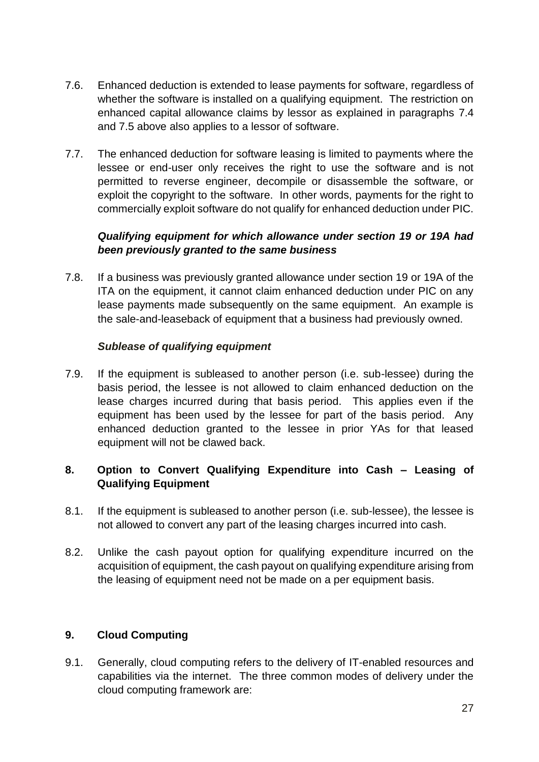- 7.6. Enhanced deduction is extended to lease payments for software, regardless of whether the software is installed on a qualifying equipment. The restriction on enhanced capital allowance claims by lessor as explained in paragraphs 7.4 and 7.5 above also applies to a lessor of software.
- 7.7. The enhanced deduction for software leasing is limited to payments where the lessee or end-user only receives the right to use the software and is not permitted to reverse engineer, decompile or disassemble the software, or exploit the copyright to the software. In other words, payments for the right to commercially exploit software do not qualify for enhanced deduction under PIC.

#### *Qualifying equipment for which allowance under section 19 or 19A had been previously granted to the same business*

7.8. If a business was previously granted allowance under section 19 or 19A of the ITA on the equipment, it cannot claim enhanced deduction under PIC on any lease payments made subsequently on the same equipment. An example is the sale-and-leaseback of equipment that a business had previously owned.

#### *Sublease of qualifying equipment*

7.9. If the equipment is subleased to another person (i.e. sub-lessee) during the basis period, the lessee is not allowed to claim enhanced deduction on the lease charges incurred during that basis period. This applies even if the equipment has been used by the lessee for part of the basis period. Any enhanced deduction granted to the lessee in prior YAs for that leased equipment will not be clawed back.

#### <span id="page-31-0"></span>**8. Option to Convert Qualifying Expenditure into Cash – Leasing of Qualifying Equipment**

- 8.1. If the equipment is subleased to another person (i.e. sub-lessee), the lessee is not allowed to convert any part of the leasing charges incurred into cash.
- 8.2. Unlike the cash payout option for qualifying expenditure incurred on the acquisition of equipment, the cash payout on qualifying expenditure arising from the leasing of equipment need not be made on a per equipment basis.

## <span id="page-31-1"></span>**9. Cloud Computing**

9.1. Generally, cloud computing refers to the delivery of IT-enabled resources and capabilities via the internet. The three common modes of delivery under the cloud computing framework are: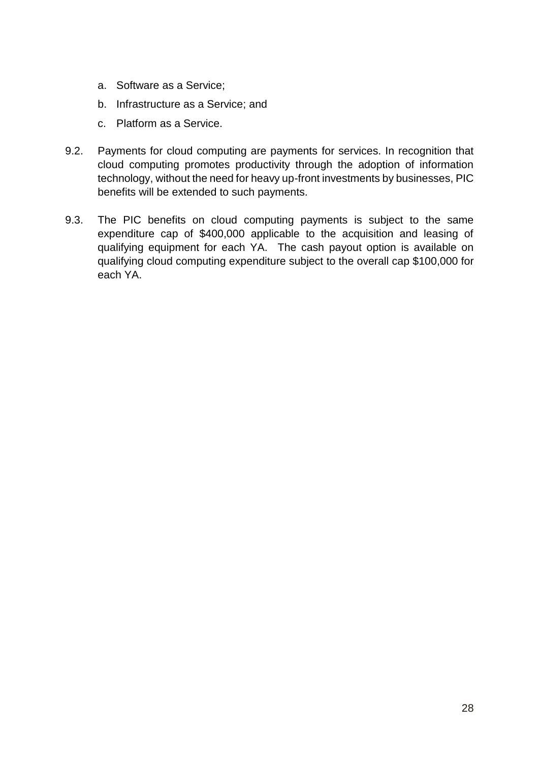- a. Software as a Service;
- b. Infrastructure as a Service; and
- c. Platform as a Service.
- 9.2. Payments for cloud computing are payments for services. In recognition that cloud computing promotes productivity through the adoption of information technology, without the need for heavy up-front investments by businesses, PIC benefits will be extended to such payments.
- 9.3. The PIC benefits on cloud computing payments is subject to the same expenditure cap of \$400,000 applicable to the acquisition and leasing of qualifying equipment for each YA. The cash payout option is available on qualifying cloud computing expenditure subject to the overall cap \$100,000 for each YA.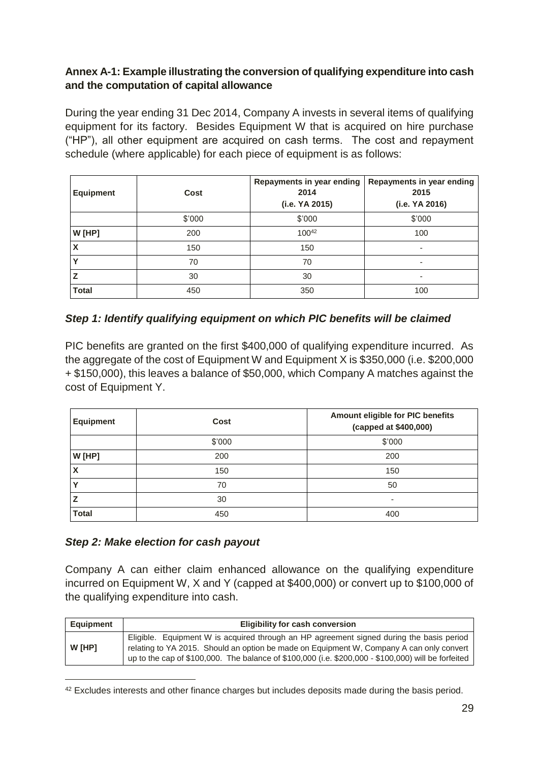#### <span id="page-33-0"></span>**Annex A-1: Example illustrating the conversion of qualifying expenditure into cash and the computation of capital allowance**

During the year ending 31 Dec 2014, Company A invests in several items of qualifying equipment for its factory. Besides Equipment W that is acquired on hire purchase ("HP"), all other equipment are acquired on cash terms. The cost and repayment schedule (where applicable) for each piece of equipment is as follows:

| <b>Equipment</b> | Repayments in year ending<br>2014<br>Cost<br>(i.e. YA 2015) |            | Repayments in year ending<br>2015<br>(i.e. YA 2016) |
|------------------|-------------------------------------------------------------|------------|-----------------------------------------------------|
|                  | \$'000                                                      | \$'000     | \$'000                                              |
| $W$ [HP]         | 200                                                         | $100^{42}$ | 100                                                 |
| X                | 150                                                         | 150        |                                                     |
|                  | 70                                                          | 70         | ٠                                                   |
|                  | 30                                                          | 30         | ٠                                                   |
| <b>Total</b>     | 450                                                         | 350        | 100                                                 |

#### *Step 1: Identify qualifying equipment on which PIC benefits will be claimed*

PIC benefits are granted on the first \$400,000 of qualifying expenditure incurred. As the aggregate of the cost of Equipment W and Equipment X is \$350,000 (i.e. \$200,000 + \$150,000), this leaves a balance of \$50,000, which Company A matches against the cost of Equipment Y.

| <b>Equipment</b> | Cost   | Amount eligible for PIC benefits<br>(capped at \$400,000) |
|------------------|--------|-----------------------------------------------------------|
|                  | \$'000 | \$'000                                                    |
| W [HP]           | 200    | 200                                                       |
| Χ                | 150    | 150                                                       |
| v                | 70     | 50                                                        |
|                  | 30     | $\overline{\phantom{a}}$                                  |
| <b>Total</b>     | 450    | 400                                                       |

#### *Step 2: Make election for cash payout*

-

Company A can either claim enhanced allowance on the qualifying expenditure incurred on Equipment W, X and Y (capped at \$400,000) or convert up to \$100,000 of the qualifying expenditure into cash.

| Equipment | <b>Eligibility for cash conversion</b>                                                                                                                                                                                                                                                      |  |  |  |
|-----------|---------------------------------------------------------------------------------------------------------------------------------------------------------------------------------------------------------------------------------------------------------------------------------------------|--|--|--|
| W [HP]    | Eligible. Equipment W is acquired through an HP agreement signed during the basis period<br>relating to YA 2015. Should an option be made on Equipment W, Company A can only convert<br>up to the cap of \$100,000. The balance of \$100,000 (i.e. \$200,000 - \$100,000) will be forfeited |  |  |  |

<sup>&</sup>lt;sup>42</sup> Excludes interests and other finance charges but includes deposits made during the basis period.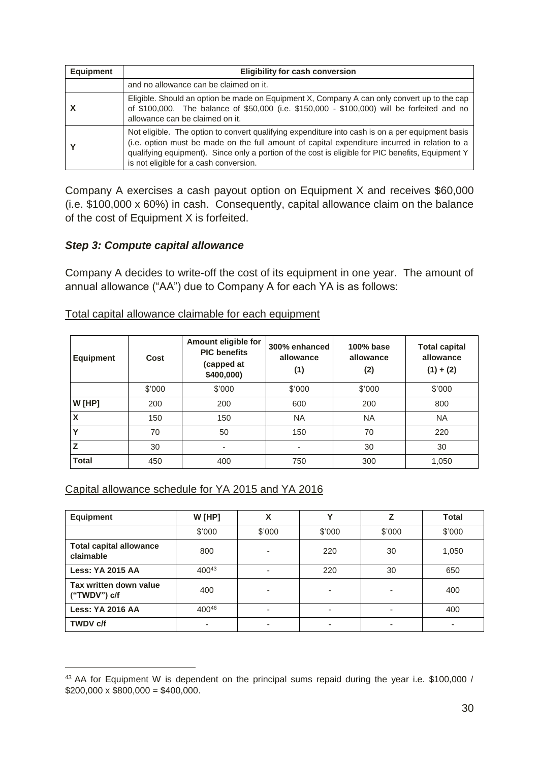| Equipment | <b>Eligibility for cash conversion</b>                                                                                                                                                                                                                                                                                                           |  |  |  |
|-----------|--------------------------------------------------------------------------------------------------------------------------------------------------------------------------------------------------------------------------------------------------------------------------------------------------------------------------------------------------|--|--|--|
|           | and no allowance can be claimed on it.                                                                                                                                                                                                                                                                                                           |  |  |  |
|           | Eligible. Should an option be made on Equipment X, Company A can only convert up to the cap<br>of \$100,000. The balance of \$50,000 (i.e. \$150,000 - \$100,000) will be forfeited and no<br>allowance can be claimed on it.                                                                                                                    |  |  |  |
|           | Not eligible. The option to convert qualifying expenditure into cash is on a per equipment basis<br>(i.e. option must be made on the full amount of capital expenditure incurred in relation to a<br>qualifying equipment). Since only a portion of the cost is eligible for PIC benefits, Equipment Y<br>is not eligible for a cash conversion. |  |  |  |

Company A exercises a cash payout option on Equipment X and receives \$60,000 (i.e. \$100,000 x 60%) in cash. Consequently, capital allowance claim on the balance of the cost of Equipment X is forfeited.

#### *Step 3: Compute capital allowance*

Company A decides to write-off the cost of its equipment in one year. The amount of annual allowance ("AA") due to Company A for each YA is as follows:

| <b>Equipment</b> | Cost   | Amount eligible for<br><b>PIC</b> benefits<br>(capped at<br>\$400,000) | 300% enhanced<br>allowance<br>(1) | 100% base<br>allowance<br>(2) | <b>Total capital</b><br>allowance<br>$(1) + (2)$ |
|------------------|--------|------------------------------------------------------------------------|-----------------------------------|-------------------------------|--------------------------------------------------|
|                  | \$'000 | \$'000                                                                 | \$'000                            | \$'000                        | \$'000                                           |
| $W$ [HP]         | 200    | 200                                                                    | 600                               | 200                           | 800                                              |
| X                | 150    | 150                                                                    | <b>NA</b>                         | <b>NA</b>                     | <b>NA</b>                                        |
| Υ                | 70     | 50                                                                     | 150                               | 70                            | 220                                              |
| Z                | 30     | ٠                                                                      |                                   | 30                            | 30                                               |
| <b>Total</b>     | 450    | 400                                                                    | 750                               | 300                           | 1,050                                            |

Total capital allowance claimable for each equipment

#### Capital allowance schedule for YA 2015 and YA 2016

| <b>Equipment</b>                            | $W$ [HP]   | X      | v      | Z      | <b>Total</b> |
|---------------------------------------------|------------|--------|--------|--------|--------------|
|                                             | \$'000     | \$'000 | \$'000 | \$'000 | \$'000       |
| <b>Total capital allowance</b><br>claimable | 800        |        | 220    | 30     | 1,050        |
| <b>Less: YA 2015 AA</b>                     | $400^{43}$ | ٠      | 220    | 30     | 650          |
| Tax written down value<br>("TWDV") c/f      | 400        | ۰      |        |        | 400          |
| <b>Less: YA 2016 AA</b>                     | 40046      | ٠      |        |        | 400          |
| <b>TWDV c/f</b>                             | ۰          | ۰      | -      | -      |              |

<sup>43</sup> AA for Equipment W is dependent on the principal sums repaid during the year i.e. \$100,000 /  $$200,000 \times $800,000 = $400,000.$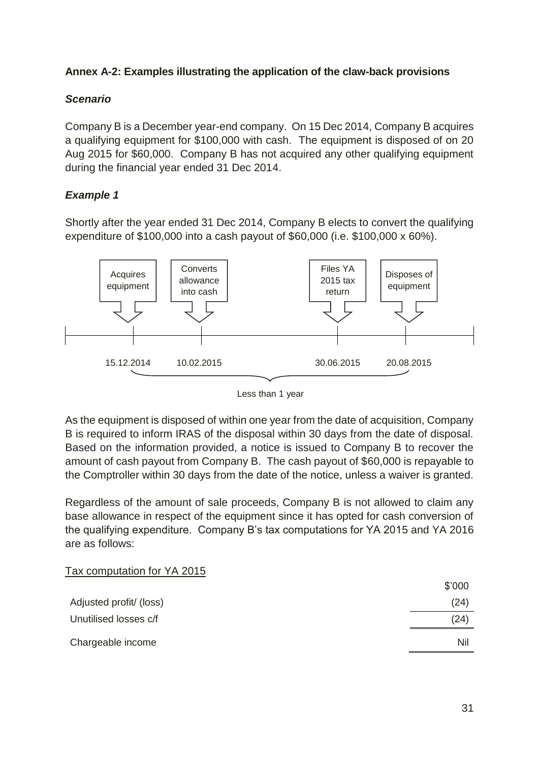#### <span id="page-35-0"></span>**Annex A-2: Examples illustrating the application of the claw-back provisions**

#### *Scenario*

Company B is a December year-end company. On 15 Dec 2014, Company B acquires a qualifying equipment for \$100,000 with cash. The equipment is disposed of on 20 Aug 2015 for \$60,000. Company B has not acquired any other qualifying equipment during the financial year ended 31 Dec 2014.

#### *Example 1*

Shortly after the year ended 31 Dec 2014, Company B elects to convert the qualifying expenditure of \$100,000 into a cash payout of \$60,000 (i.e. \$100,000 x 60%).



Less than 1 year

As the equipment is disposed of within one year from the date of acquisition, Company B is required to inform IRAS of the disposal within 30 days from the date of disposal. Based on the information provided, a notice is issued to Company B to recover the amount of cash payout from Company B. The cash payout of \$60,000 is repayable to the Comptroller within 30 days from the date of the notice, unless a waiver is granted.

Regardless of the amount of sale proceeds, Company B is not allowed to claim any base allowance in respect of the equipment since it has opted for cash conversion of the qualifying expenditure. Company B's tax computations for YA 2015 and YA 2016 are as follows:

| Tax computation for YA 2015 |        |
|-----------------------------|--------|
|                             | \$'000 |
| Adjusted profit/ (loss)     | (24)   |
| Unutilised losses c/f       | (24)   |
| Chargeable income           | Nil    |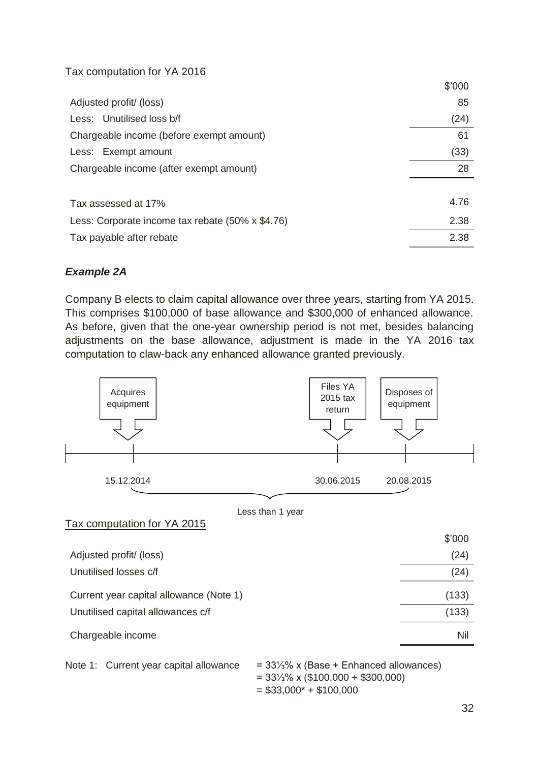### Tax computation for YA 2016

|                                                  | \$'000 |
|--------------------------------------------------|--------|
| Adjusted profit/ (loss)                          | 85     |
| Less: Unutilised loss b/f                        | (24)   |
| Chargeable income (before exempt amount)         | 61     |
| Less: Exempt amount                              | (33)   |
| Chargeable income (after exempt amount)          | 28     |
|                                                  |        |
| Tax assessed at 17%                              | 4.76   |
| Less: Corporate income tax rebate (50% x \$4.76) | 2.38   |
| Tax payable after rebate                         | 2.38   |
|                                                  |        |

### *Example 2A*

Company B elects to claim capital allowance over three years, starting from YA 2015. This comprises \$100,000 of base allowance and \$300,000 of enhanced allowance. As before, given that the one-year ownership period is not met, besides balancing adjustments on the base allowance, adjustment is made in the YA 2016 tax computation to claw-back any enhanced allowance granted previously.



Note 1: Current year capital allowance = 33¼% x (Base + Enhanced allowances)

```
= 33⅓% x ($100,000 + $300,000)
= $33,000^* + $100,000
```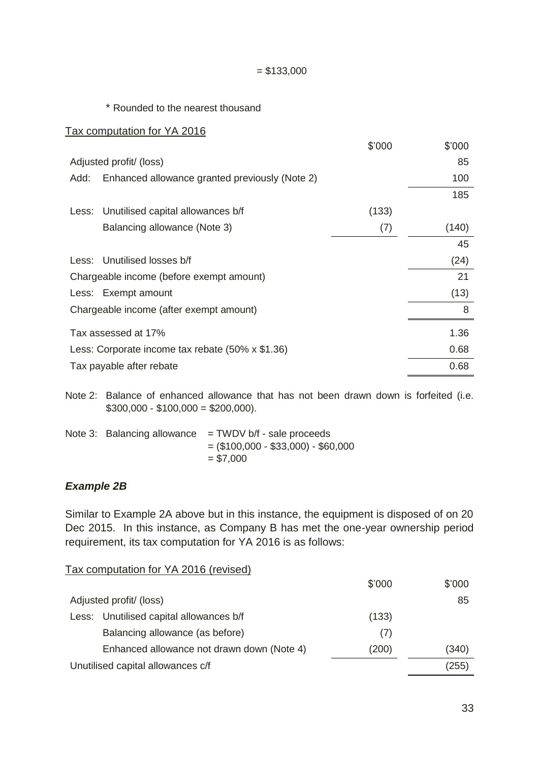#### $= $133,000$

\* Rounded to the nearest thousand

#### Tax computation for YA 2016

|                                         |                                                  | \$'000 | \$'000 |
|-----------------------------------------|--------------------------------------------------|--------|--------|
|                                         | Adjusted profit/ (loss)                          |        | 85     |
| Add:                                    | Enhanced allowance granted previously (Note 2)   |        | 100    |
|                                         |                                                  |        | 185    |
| Less:                                   | Unutilised capital allowances b/f                | (133)  |        |
|                                         | Balancing allowance (Note 3)                     | (7)    | (140)  |
|                                         |                                                  |        | 45     |
|                                         | Less: Unutilised losses b/f                      |        | (24)   |
|                                         | Chargeable income (before exempt amount)         |        | 21     |
|                                         | Less: Exempt amount                              |        | (13)   |
| Chargeable income (after exempt amount) | 8                                                |        |        |
|                                         | Tax assessed at 17%                              |        | 1.36   |
|                                         | Less: Corporate income tax rebate (50% x \$1.36) |        | 0.68   |
|                                         | Tax payable after rebate                         |        | 0.68   |
|                                         |                                                  |        |        |

Note 2: Balance of enhanced allowance that has not been drawn down is forfeited (i.e.  $$300,000 - $100,000 = $200,000$ .

Note 3: Balancing allowance  $=$  TWDV b/f - sale proceeds  $=$  (\$100,000 - \$33,000) - \$60,000  $= $7,000$ 

#### *Example 2B*

Similar to Example 2A above but in this instance, the equipment is disposed of on 20 Dec 2015. In this instance, as Company B has met the one-year ownership period requirement, its tax computation for YA 2016 is as follows:

Tax computation for YA 2016 (revised)

|                                            | \$'000 | \$'000 |
|--------------------------------------------|--------|--------|
| Adjusted profit/ (loss)                    |        | 85     |
| Less: Unutilised capital allowances b/f    | (133)  |        |
| Balancing allowance (as before)            | (7)    |        |
| Enhanced allowance not drawn down (Note 4) | (200)  | (340)  |
| Unutilised capital allowances c/f          |        | (255)  |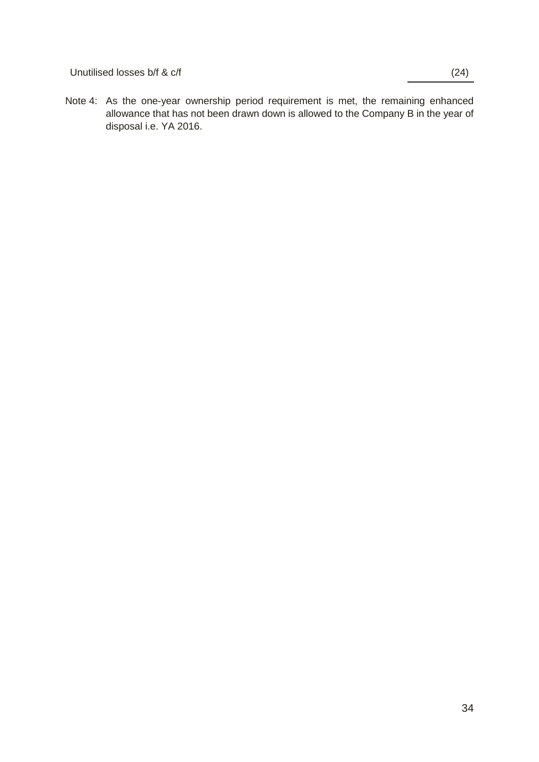Unutilised losses b/f & c/f (24)

Note 4: As the one-year ownership period requirement is met, the remaining enhanced allowance that has not been drawn down is allowed to the Company B in the year of disposal i.e. YA 2016.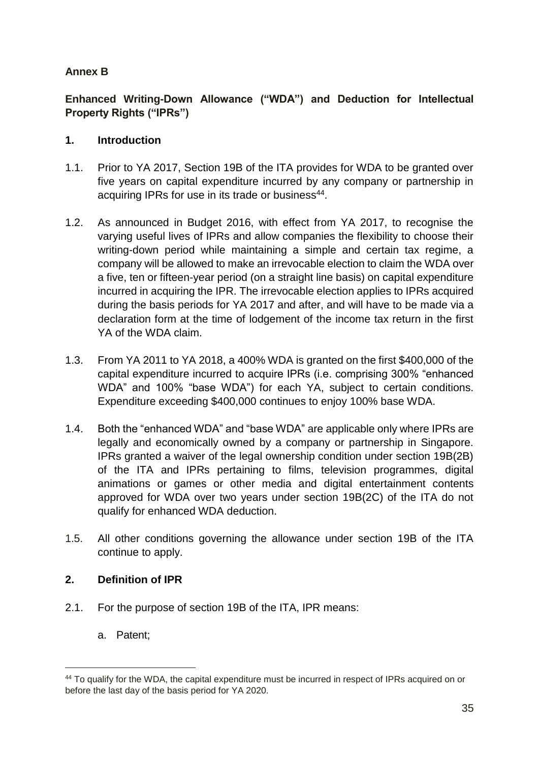## **Annex B**

**Enhanced Writing-Down Allowance ("WDA") and Deduction for Intellectual Property Rights ("IPRs")**

### **1. Introduction**

- 1.1. Prior to YA 2017, Section 19B of the ITA provides for WDA to be granted over five years on capital expenditure incurred by any company or partnership in acquiring IPRs for use in its trade or business<sup>44</sup>.
- 1.2. As announced in Budget 2016, with effect from YA 2017, to recognise the varying useful lives of IPRs and allow companies the flexibility to choose their writing-down period while maintaining a simple and certain tax regime, a company will be allowed to make an irrevocable election to claim the WDA over a five, ten or fifteen-year period (on a straight line basis) on capital expenditure incurred in acquiring the IPR. The irrevocable election applies to IPRs acquired during the basis periods for YA 2017 and after, and will have to be made via a declaration form at the time of lodgement of the income tax return in the first YA of the WDA claim.
- 1.3. From YA 2011 to YA 2018, a 400% WDA is granted on the first \$400,000 of the capital expenditure incurred to acquire IPRs (i.e. comprising 300% "enhanced WDA" and 100% "base WDA") for each YA, subject to certain conditions. Expenditure exceeding \$400,000 continues to enjoy 100% base WDA.
- 1.4. Both the "enhanced WDA" and "base WDA" are applicable only where IPRs are legally and economically owned by a company or partnership in Singapore. IPRs granted a waiver of the legal ownership condition under section 19B(2B) of the ITA and IPRs pertaining to films, television programmes, digital animations or games or other media and digital entertainment contents approved for WDA over two years under section 19B(2C) of the ITA do not qualify for enhanced WDA deduction.
- 1.5. All other conditions governing the allowance under section 19B of the ITA continue to apply.

### **2. Definition of IPR**

- 2.1. For the purpose of section 19B of the ITA, IPR means:
	- a. Patent;

-

<sup>44</sup> To qualify for the WDA, the capital expenditure must be incurred in respect of IPRs acquired on or before the last day of the basis period for YA 2020.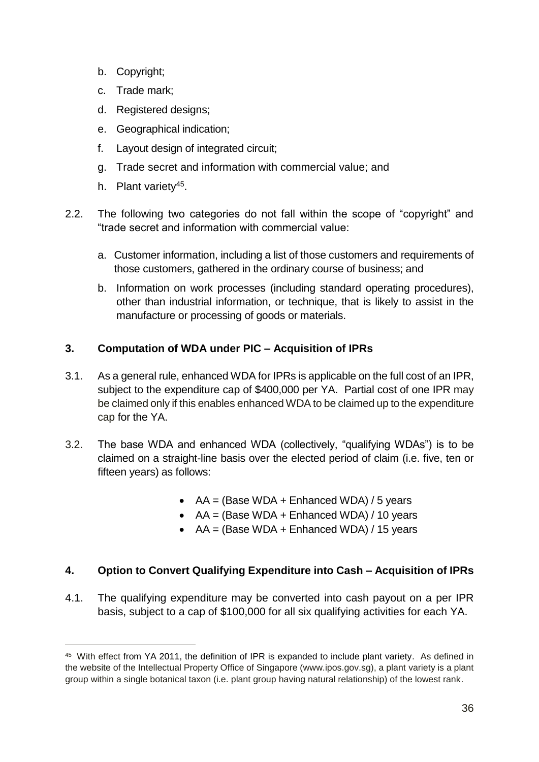- b. Copyright;
- c. Trade mark;
- d. Registered designs;
- e. Geographical indication;
- f. Layout design of integrated circuit;
- g. Trade secret and information with commercial value; and
- h. Plant variety<sup>45</sup>.

-

- 2.2. The following two categories do not fall within the scope of "copyright" and "trade secret and information with commercial value:
	- a. Customer information, including a list of those customers and requirements of those customers, gathered in the ordinary course of business; and
	- b. Information on work processes (including standard operating procedures), other than industrial information, or technique, that is likely to assist in the manufacture or processing of goods or materials.

# **3. Computation of WDA under PIC – Acquisition of IPRs**

- 3.1. As a general rule, enhanced WDA for IPRs is applicable on the full cost of an IPR, subject to the expenditure cap of \$400,000 per YA. Partial cost of one IPR may be claimed only if this enables enhanced WDA to be claimed up to the expenditure cap for the YA.
- 3.2. The base WDA and enhanced WDA (collectively, "qualifying WDAs") is to be claimed on a straight-line basis over the elected period of claim (i.e. five, ten or fifteen years) as follows:
	- $AA =$  (Base WDA + Enhanced WDA) / 5 years
	- $AA =$  (Base WDA + Enhanced WDA) / 10 years
	- $AA = (Base WDA + Enhanced WDA) / 15 years$

### **4. Option to Convert Qualifying Expenditure into Cash – Acquisition of IPRs**

4.1. The qualifying expenditure may be converted into cash payout on a per IPR basis, subject to a cap of \$100,000 for all six qualifying activities for each YA.

<sup>45</sup> With effect from YA 2011, the definition of IPR is expanded to include plant variety. As defined in the website of the Intellectual Property Office of Singapore (www.ipos.gov.sg), a plant variety is a plant group within a single botanical taxon (i.e. plant group having natural relationship) of the lowest rank.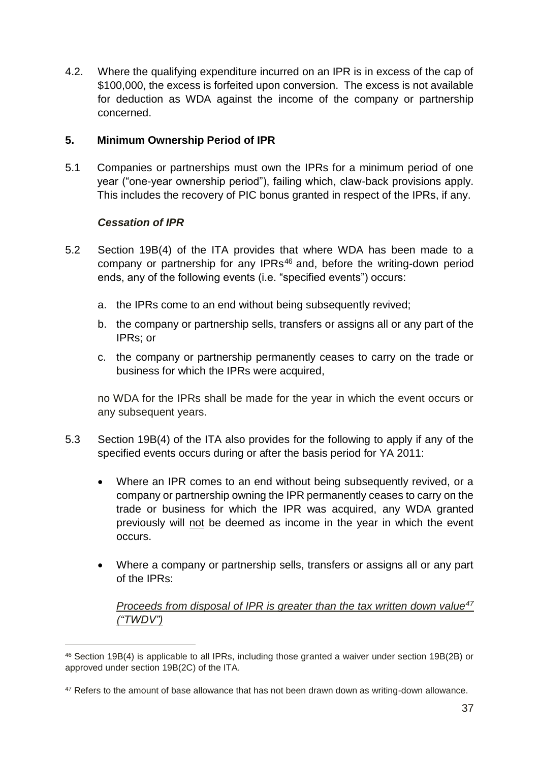4.2. Where the qualifying expenditure incurred on an IPR is in excess of the cap of \$100,000, the excess is forfeited upon conversion. The excess is not available for deduction as WDA against the income of the company or partnership concerned.

### **5. Minimum Ownership Period of IPR**

5.1 Companies or partnerships must own the IPRs for a minimum period of one year ("one-year ownership period"), failing which, claw-back provisions apply. This includes the recovery of PIC bonus granted in respect of the IPRs, if any.

### *Cessation of IPR*

-

- 5.2 Section 19B(4) of the ITA provides that where WDA has been made to a company or partnership for any IPRs<sup>46</sup> and, before the writing-down period ends, any of the following events (i.e. "specified events") occurs:
	- a. the IPRs come to an end without being subsequently revived;
	- b. the company or partnership sells, transfers or assigns all or any part of the IPRs; or
	- c. the company or partnership permanently ceases to carry on the trade or business for which the IPRs were acquired,

no WDA for the IPRs shall be made for the year in which the event occurs or any subsequent years.

- 5.3 Section 19B(4) of the ITA also provides for the following to apply if any of the specified events occurs during or after the basis period for YA 2011:
	- Where an IPR comes to an end without being subsequently revived, or a company or partnership owning the IPR permanently ceases to carry on the trade or business for which the IPR was acquired, any WDA granted previously will not be deemed as income in the year in which the event occurs.
	- Where a company or partnership sells, transfers or assigns all or any part of the IPRs:

*Proceeds from disposal of IPR is greater than the tax written down value<sup>47</sup> ("TWDV")*

<sup>46</sup> Section 19B(4) is applicable to all IPRs, including those granted a waiver under section 19B(2B) or approved under section 19B(2C) of the ITA.

<sup>&</sup>lt;sup>47</sup> Refers to the amount of base allowance that has not been drawn down as writing-down allowance.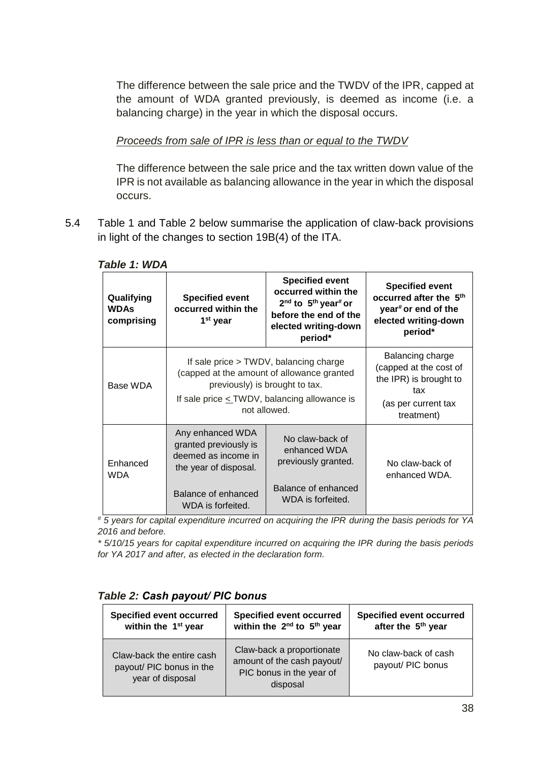The difference between the sale price and the TWDV of the IPR, capped at the amount of WDA granted previously, is deemed as income (i.e. a balancing charge) in the year in which the disposal occurs.

### *Proceeds from sale of IPR is less than or equal to the TWDV*

The difference between the sale price and the tax written down value of the IPR is not available as balancing allowance in the year in which the disposal occurs.

5.4 Table 1 and Table 2 below summarise the application of claw-back provisions in light of the changes to section 19B(4) of the ITA.

| Qualifying<br><b>WDAs</b><br>comprising | <b>Specified event</b><br>occurred within the<br>1 <sup>st</sup> year                                                                                                                       | <b>Specified event</b><br>occurred within the<br>2 <sup>nd</sup> to 5 <sup>th</sup> year <sup>#</sup> or<br>before the end of the<br>elected writing-down<br>period* | <b>Specified event</b><br>occurred after the 5 <sup>th</sup><br>year <sup>#</sup> or end of the<br>elected writing-down<br>period* |
|-----------------------------------------|---------------------------------------------------------------------------------------------------------------------------------------------------------------------------------------------|----------------------------------------------------------------------------------------------------------------------------------------------------------------------|------------------------------------------------------------------------------------------------------------------------------------|
| Base WDA                                | If sale price > TWDV, balancing charge<br>(capped at the amount of allowance granted<br>previously) is brought to tax.<br>If sale price $\leq$ TWDV, balancing allowance is<br>not allowed. | Balancing charge<br>(capped at the cost of<br>the IPR) is brought to<br>tax<br>(as per current tax<br>treatment)                                                     |                                                                                                                                    |
| Enhanced<br><b>WDA</b>                  | Any enhanced WDA<br>granted previously is<br>deemed as income in<br>the year of disposal.<br>Balance of enhanced<br>WDA is forfeited.                                                       | No claw-back of<br>enhanced WDA<br>previously granted.<br>Balance of enhanced<br>WDA is forfeited.                                                                   | No claw-back of<br>enhanced WDA.                                                                                                   |

#### *Table 1: WDA*

*# 5 years for capital expenditure incurred on acquiring the IPR during the basis periods for YA 2016 and before.*

*\* 5/10/15 years for capital expenditure incurred on acquiring the IPR during the basis periods for YA 2017 and after, as elected in the declaration form.*

### *Table 2: Cash payout/ PIC bonus*

| <b>Specified event occurred</b>                                           | <b>Specified event occurred</b>                                                                 | <b>Specified event occurred</b>           |
|---------------------------------------------------------------------------|-------------------------------------------------------------------------------------------------|-------------------------------------------|
| within the 1 <sup>st</sup> year                                           | within the 2 <sup>nd</sup> to 5 <sup>th</sup> year                                              | after the 5 <sup>th</sup> year            |
| Claw-back the entire cash<br>payout/ PIC bonus in the<br>year of disposal | Claw-back a proportionate<br>amount of the cash payout/<br>PIC bonus in the year of<br>disposal | No claw-back of cash<br>payout/ PIC bonus |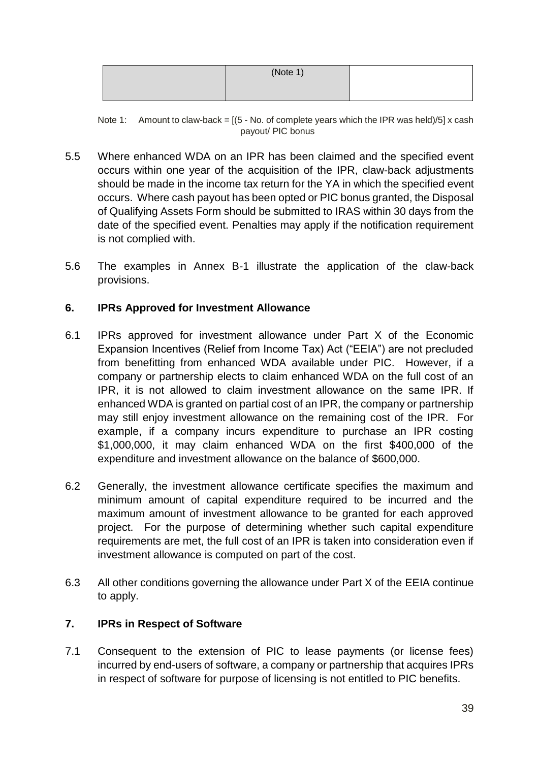| (Note 1) |  |
|----------|--|
|          |  |

Note 1: Amount to claw-back =  $(5 - No.$  of complete years which the IPR was held)/5] x cash payout/ PIC bonus

- 5.5 Where enhanced WDA on an IPR has been claimed and the specified event occurs within one year of the acquisition of the IPR, claw-back adjustments should be made in the income tax return for the YA in which the specified event occurs. Where cash payout has been opted or PIC bonus granted, the Disposal of Qualifying Assets Form should be submitted to IRAS within 30 days from the date of the specified event. Penalties may apply if the notification requirement is not complied with.
- 5.6 The examples in Annex B-1 illustrate the application of the claw-back provisions.

#### **6. IPRs Approved for Investment Allowance**

- 6.1 IPRs approved for investment allowance under Part X of the Economic Expansion Incentives (Relief from Income Tax) Act ("EEIA") are not precluded from benefitting from enhanced WDA available under PIC. However, if a company or partnership elects to claim enhanced WDA on the full cost of an IPR, it is not allowed to claim investment allowance on the same IPR. If enhanced WDA is granted on partial cost of an IPR, the company or partnership may still enjoy investment allowance on the remaining cost of the IPR. For example, if a company incurs expenditure to purchase an IPR costing \$1,000,000, it may claim enhanced WDA on the first \$400,000 of the expenditure and investment allowance on the balance of \$600,000.
- 6.2 Generally, the investment allowance certificate specifies the maximum and minimum amount of capital expenditure required to be incurred and the maximum amount of investment allowance to be granted for each approved project. For the purpose of determining whether such capital expenditure requirements are met, the full cost of an IPR is taken into consideration even if investment allowance is computed on part of the cost.
- 6.3 All other conditions governing the allowance under Part X of the EEIA continue to apply.

#### **7. IPRs in Respect of Software**

7.1 Consequent to the extension of PIC to lease payments (or license fees) incurred by end-users of software, a company or partnership that acquires IPRs in respect of software for purpose of licensing is not entitled to PIC benefits.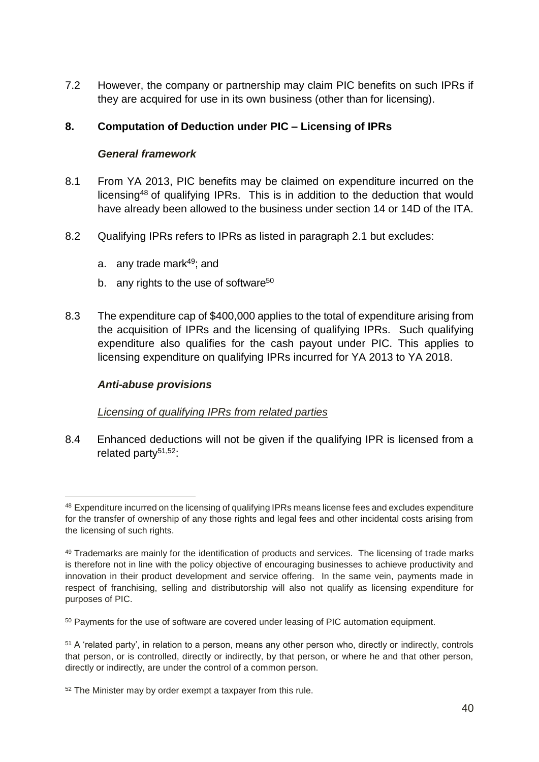7.2 However, the company or partnership may claim PIC benefits on such IPRs if they are acquired for use in its own business (other than for licensing).

### **8. Computation of Deduction under PIC – Licensing of IPRs**

#### *General framework*

- 8.1 From YA 2013, PIC benefits may be claimed on expenditure incurred on the licensing<sup>48</sup> of qualifying IPRs. This is in addition to the deduction that would have already been allowed to the business under section 14 or 14D of the ITA.
- 8.2 Qualifying IPRs refers to IPRs as listed in paragraph 2.1 but excludes:
	- a. any trade mark $49$ ; and
	- b. any rights to the use of software<sup>50</sup>
- 8.3 The expenditure cap of \$400,000 applies to the total of expenditure arising from the acquisition of IPRs and the licensing of qualifying IPRs. Such qualifying expenditure also qualifies for the cash payout under PIC. This applies to licensing expenditure on qualifying IPRs incurred for YA 2013 to YA 2018.

#### *Anti-abuse provisions*

-

#### *Licensing of qualifying IPRs from related parties*

8.4 Enhanced deductions will not be given if the qualifying IPR is licensed from a related party $51,52$ :

<sup>48</sup> Expenditure incurred on the licensing of qualifying IPRs means license fees and excludes expenditure for the transfer of ownership of any those rights and legal fees and other incidental costs arising from the licensing of such rights.

<sup>&</sup>lt;sup>49</sup> Trademarks are mainly for the identification of products and services. The licensing of trade marks is therefore not in line with the policy objective of encouraging businesses to achieve productivity and innovation in their product development and service offering. In the same vein, payments made in respect of franchising, selling and distributorship will also not qualify as licensing expenditure for purposes of PIC.

<sup>50</sup> Payments for the use of software are covered under leasing of PIC automation equipment.

<sup>51</sup> A 'related party', in relation to a person, means any other person who, directly or indirectly, controls that person, or is controlled, directly or indirectly, by that person, or where he and that other person, directly or indirectly, are under the control of a common person.

<sup>52</sup> The Minister may by order exempt a taxpayer from this rule.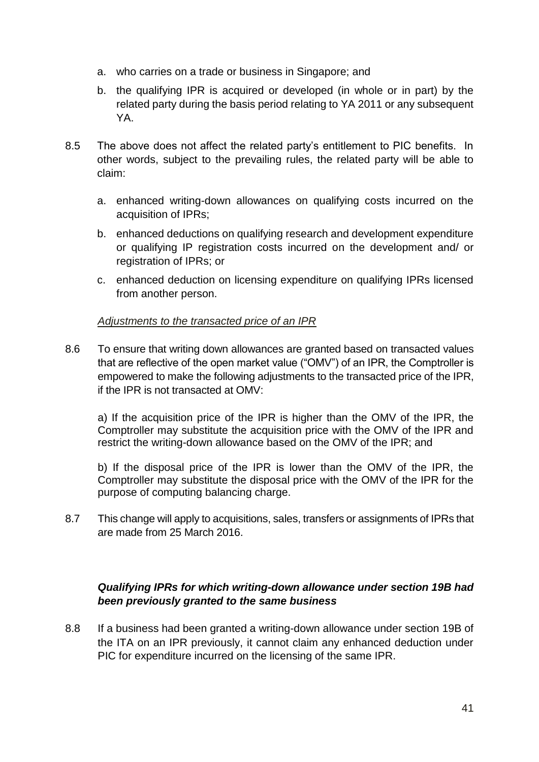- a. who carries on a trade or business in Singapore; and
- b. the qualifying IPR is acquired or developed (in whole or in part) by the related party during the basis period relating to YA 2011 or any subsequent YA.
- 8.5 The above does not affect the related party's entitlement to PIC benefits. In other words, subject to the prevailing rules, the related party will be able to claim:
	- a. enhanced writing-down allowances on qualifying costs incurred on the acquisition of IPRs;
	- b. enhanced deductions on qualifying research and development expenditure or qualifying IP registration costs incurred on the development and/ or registration of IPRs; or
	- c. enhanced deduction on licensing expenditure on qualifying IPRs licensed from another person.

### *Adjustments to the transacted price of an IPR*

8.6 To ensure that writing down allowances are granted based on transacted values that are reflective of the open market value ("OMV") of an IPR, the Comptroller is empowered to make the following adjustments to the transacted price of the IPR, if the IPR is not transacted at OMV:

a) If the acquisition price of the IPR is higher than the OMV of the IPR, the Comptroller may substitute the acquisition price with the OMV of the IPR and restrict the writing-down allowance based on the OMV of the IPR; and

b) If the disposal price of the IPR is lower than the OMV of the IPR, the Comptroller may substitute the disposal price with the OMV of the IPR for the purpose of computing balancing charge.

8.7 This change will apply to acquisitions, sales, transfers or assignments of IPRs that are made from 25 March 2016.

### *Qualifying IPRs for which writing-down allowance under section 19B had been previously granted to the same business*

8.8 If a business had been granted a writing-down allowance under section 19B of the ITA on an IPR previously, it cannot claim any enhanced deduction under PIC for expenditure incurred on the licensing of the same IPR.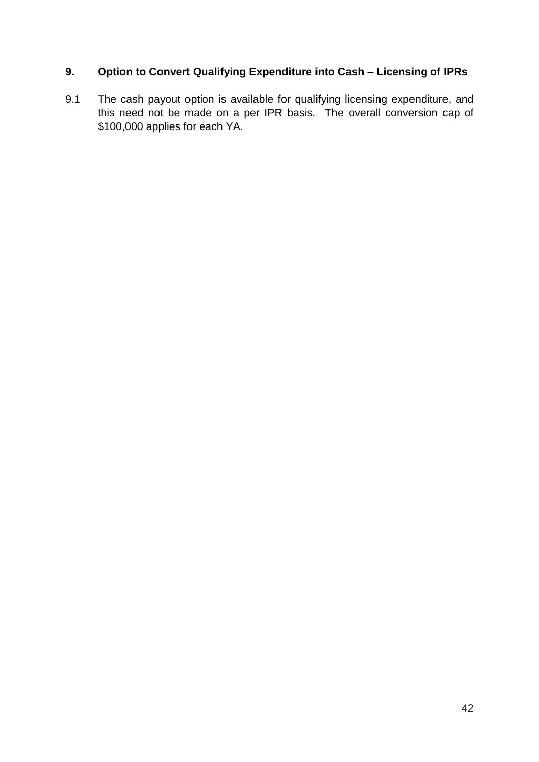# **9. Option to Convert Qualifying Expenditure into Cash – Licensing of IPRs**

9.1 The cash payout option is available for qualifying licensing expenditure, and this need not be made on a per IPR basis. The overall conversion cap of \$100,000 applies for each YA.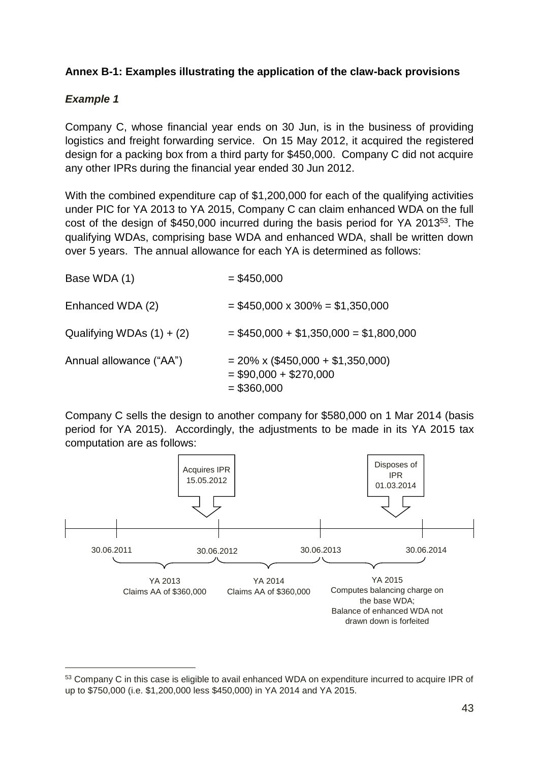### **Annex B-1: Examples illustrating the application of the claw-back provisions**

### *Example 1*

-

Company C, whose financial year ends on 30 Jun, is in the business of providing logistics and freight forwarding service. On 15 May 2012, it acquired the registered design for a packing box from a third party for \$450,000. Company C did not acquire any other IPRs during the financial year ended 30 Jun 2012.

With the combined expenditure cap of \$1,200,000 for each of the qualifying activities under PIC for YA 2013 to YA 2015, Company C can claim enhanced WDA on the full cost of the design of \$450,000 incurred during the basis period for YA 2013<sup>53</sup>. The qualifying WDAs, comprising base WDA and enhanced WDA, shall be written down over 5 years. The annual allowance for each YA is determined as follows:

| Base WDA (1)                | $= $450,000$                                                                        |
|-----------------------------|-------------------------------------------------------------------------------------|
| Enhanced WDA (2)            | $= $450,000 \times 300\% = $1,350,000$                                              |
| Qualifying WDAs $(1) + (2)$ | $= $450,000 + $1,350,000 = $1,800,000$                                              |
| Annual allowance ("AA")     | $= 20\% \times (\$450,000 + \$1,350,000)$<br>$= $90,000 + $270,000$<br>$= $360,000$ |

Company C sells the design to another company for \$580,000 on 1 Mar 2014 (basis period for YA 2015). Accordingly, the adjustments to be made in its YA 2015 tax computation are as follows:



<sup>53</sup> Company C in this case is eligible to avail enhanced WDA on expenditure incurred to acquire IPR of up to \$750,000 (i.e. \$1,200,000 less \$450,000) in YA 2014 and YA 2015.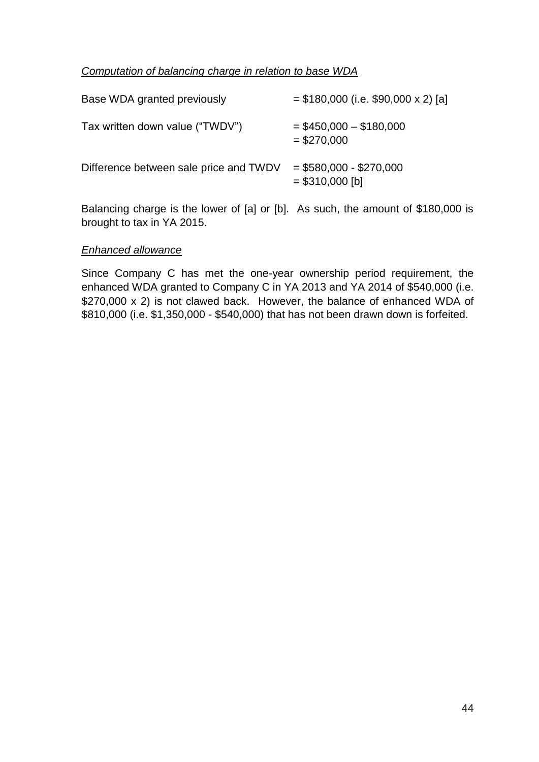#### *Computation of balancing charge in relation to base WDA*

| Base WDA granted previously            | $= $180,000$ (i.e. \$90,000 x 2) [a]        |
|----------------------------------------|---------------------------------------------|
| Tax written down value ("TWDV")        | $=$ \$450,000 $-$ \$180,000<br>$= $270,000$ |
| Difference between sale price and TWDV | $= $580,000 - $270,000$<br>$= $310,000$ [b] |

Balancing charge is the lower of [a] or [b]. As such, the amount of \$180,000 is brought to tax in YA 2015.

#### *Enhanced allowance*

Since Company C has met the one-year ownership period requirement, the enhanced WDA granted to Company C in YA 2013 and YA 2014 of \$540,000 (i.e. \$270,000 x 2) is not clawed back. However, the balance of enhanced WDA of \$810,000 (i.e. \$1,350,000 - \$540,000) that has not been drawn down is forfeited.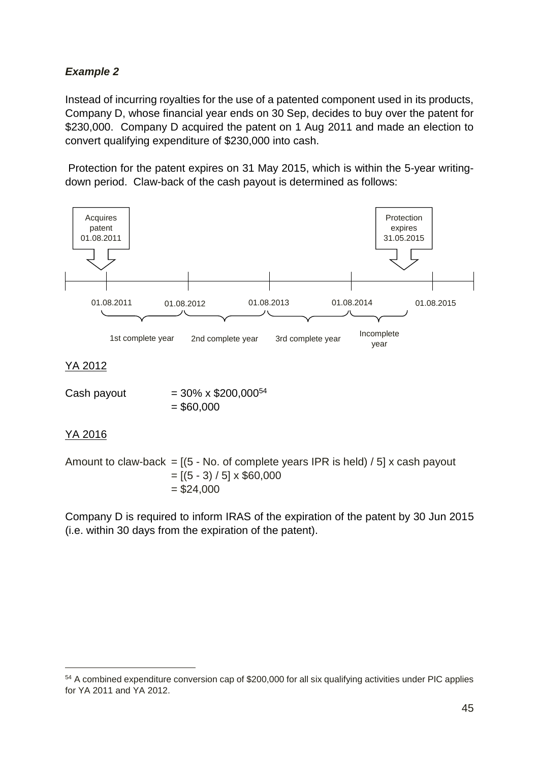# *Example 2*

Instead of incurring royalties for the use of a patented component used in its products, Company D, whose financial year ends on 30 Sep, decides to buy over the patent for \$230,000. Company D acquired the patent on 1 Aug 2011 and made an election to convert qualifying expenditure of \$230,000 into cash.

Protection for the patent expires on 31 May 2015, which is within the 5-year writingdown period. Claw-back of the cash payout is determined as follows:



### YA 2012

| Cash payout | $=$ 30% x \$200,000 <sup>54</sup> |
|-------------|-----------------------------------|
|             | $=$ \$60,000                      |

### YA 2016

-

Amount to claw-back =  $[(5 - No. of complete years IPR is held) / 5] x cash payout$  $=[(5 - 3) / 5] \times $60,000$  $= $24,000$ 

Company D is required to inform IRAS of the expiration of the patent by 30 Jun 2015 (i.e. within 30 days from the expiration of the patent).

<sup>54</sup> A combined expenditure conversion cap of \$200,000 for all six qualifying activities under PIC applies for YA 2011 and YA 2012.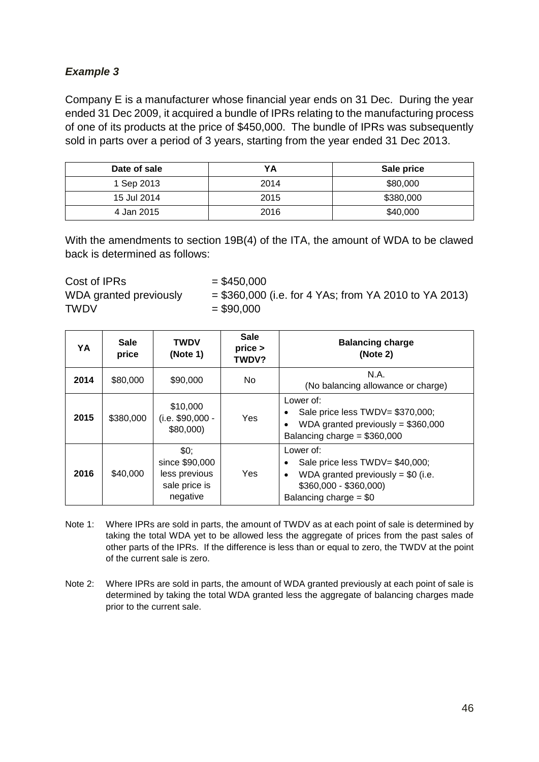# *Example 3*

Company E is a manufacturer whose financial year ends on 31 Dec. During the year ended 31 Dec 2009, it acquired a bundle of IPRs relating to the manufacturing process of one of its products at the price of \$450,000. The bundle of IPRs was subsequently sold in parts over a period of 3 years, starting from the year ended 31 Dec 2013.

| Date of sale | YA   | Sale price |
|--------------|------|------------|
| 1 Sep 2013   | 2014 | \$80,000   |
| 15 Jul 2014  | 2015 | \$380,000  |
| 4 Jan 2015   | 2016 | \$40,000   |

With the amendments to section 19B(4) of the ITA, the amount of WDA to be clawed back is determined as follows:

 $Cost of IPRs$   $= $450,000$ WDA granted previously  $= $360,000$  (i.e. for 4 YAs; from YA 2010 to YA 2013)  $TWDV = $90,000$ 

| YA   | <b>Sale</b><br>price | <b>TWDV</b><br>(Note 1)                                              | <b>Sale</b><br>price<br>TWDV? | <b>Balancing charge</b><br>(Note 2)                                                                                                                               |
|------|----------------------|----------------------------------------------------------------------|-------------------------------|-------------------------------------------------------------------------------------------------------------------------------------------------------------------|
| 2014 | \$80,000             | \$90,000                                                             | No.                           | N.A.<br>(No balancing allowance or charge)                                                                                                                        |
| 2015 | \$380,000            | \$10,000<br>(i.e. \$90,000 -<br>\$80,000                             | Yes                           | Lower of:<br>Sale price less TWDV= \$370,000;<br>WDA granted previously = $$360,000$<br>٠<br>Balancing charge = $$360,000$                                        |
| 2016 | \$40,000             | \$0;<br>since \$90,000<br>less previous<br>sale price is<br>negative | Yes                           | Lower of:<br>Sale price less TWDV= \$40,000;<br>$\bullet$<br>WDA granted previously = $$0$ (i.e.<br>$\bullet$<br>$$360,000 - $360,000$<br>Balancing charge = $$0$ |

- Note 1: Where IPRs are sold in parts, the amount of TWDV as at each point of sale is determined by taking the total WDA yet to be allowed less the aggregate of prices from the past sales of other parts of the IPRs. If the difference is less than or equal to zero, the TWDV at the point of the current sale is zero.
- Note 2: Where IPRs are sold in parts, the amount of WDA granted previously at each point of sale is determined by taking the total WDA granted less the aggregate of balancing charges made prior to the current sale.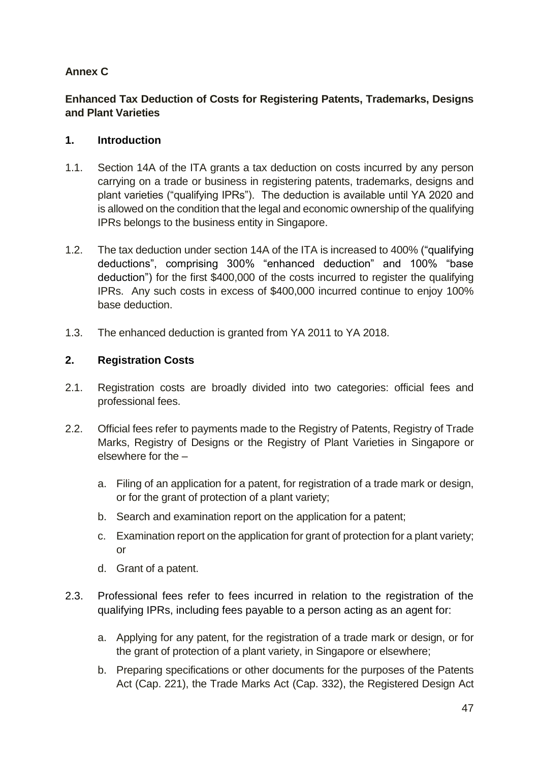# **Annex C**

## **Enhanced Tax Deduction of Costs for Registering Patents, Trademarks, Designs and Plant Varieties**

### **1. Introduction**

- 1.1. Section 14A of the ITA grants a tax deduction on costs incurred by any person carrying on a trade or business in registering patents, trademarks, designs and plant varieties ("qualifying IPRs"). The deduction is available until YA 2020 and is allowed on the condition that the legal and economic ownership of the qualifying IPRs belongs to the business entity in Singapore.
- 1.2. The tax deduction under section 14A of the ITA is increased to 400% ("qualifying deductions", comprising 300% "enhanced deduction" and 100% "base deduction") for the first \$400,000 of the costs incurred to register the qualifying IPRs. Any such costs in excess of \$400,000 incurred continue to enjoy 100% base deduction.
- 1.3. The enhanced deduction is granted from YA 2011 to YA 2018.

### **2. Registration Costs**

- 2.1. Registration costs are broadly divided into two categories: official fees and professional fees.
- 2.2. Official fees refer to payments made to the Registry of Patents, Registry of Trade Marks, Registry of Designs or the Registry of Plant Varieties in Singapore or elsewhere for the –
	- a. Filing of an application for a patent, for registration of a trade mark or design, or for the grant of protection of a plant variety;
	- b. Search and examination report on the application for a patent;
	- c. Examination report on the application for grant of protection for a plant variety; or
	- d. Grant of a patent.
- 2.3. Professional fees refer to fees incurred in relation to the registration of the qualifying IPRs, including fees payable to a person acting as an agent for:
	- a. Applying for any patent, for the registration of a trade mark or design, or for the grant of protection of a plant variety, in Singapore or elsewhere;
	- b. Preparing specifications or other documents for the purposes of the Patents Act (Cap. 221), the Trade Marks Act (Cap. 332), the Registered Design Act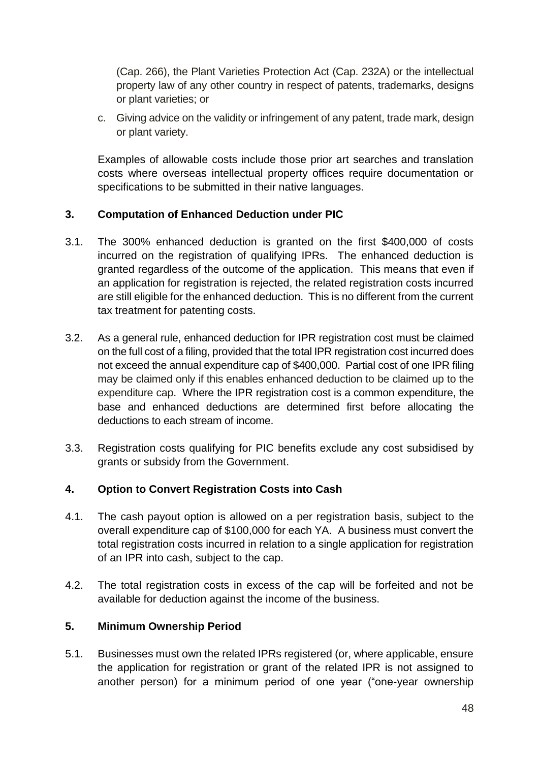(Cap. 266), the Plant Varieties Protection Act (Cap. 232A) or the intellectual property law of any other country in respect of patents, trademarks, designs or plant varieties; or

c. Giving advice on the validity or infringement of any patent, trade mark, design or plant variety.

Examples of allowable costs include those prior art searches and translation costs where overseas intellectual property offices require documentation or specifications to be submitted in their native languages.

#### **3. Computation of Enhanced Deduction under PIC**

- 3.1. The 300% enhanced deduction is granted on the first \$400,000 of costs incurred on the registration of qualifying IPRs. The enhanced deduction is granted regardless of the outcome of the application. This means that even if an application for registration is rejected, the related registration costs incurred are still eligible for the enhanced deduction. This is no different from the current tax treatment for patenting costs.
- 3.2. As a general rule, enhanced deduction for IPR registration cost must be claimed on the full cost of a filing, provided that the total IPR registration cost incurred does not exceed the annual expenditure cap of \$400,000. Partial cost of one IPR filing may be claimed only if this enables enhanced deduction to be claimed up to the expenditure cap. Where the IPR registration cost is a common expenditure, the base and enhanced deductions are determined first before allocating the deductions to each stream of income.
- 3.3. Registration costs qualifying for PIC benefits exclude any cost subsidised by grants or subsidy from the Government.

#### **4. Option to Convert Registration Costs into Cash**

- 4.1. The cash payout option is allowed on a per registration basis, subject to the overall expenditure cap of \$100,000 for each YA. A business must convert the total registration costs incurred in relation to a single application for registration of an IPR into cash, subject to the cap.
- 4.2. The total registration costs in excess of the cap will be forfeited and not be available for deduction against the income of the business.

#### **5. Minimum Ownership Period**

5.1. Businesses must own the related IPRs registered (or, where applicable, ensure the application for registration or grant of the related IPR is not assigned to another person) for a minimum period of one year ("one-year ownership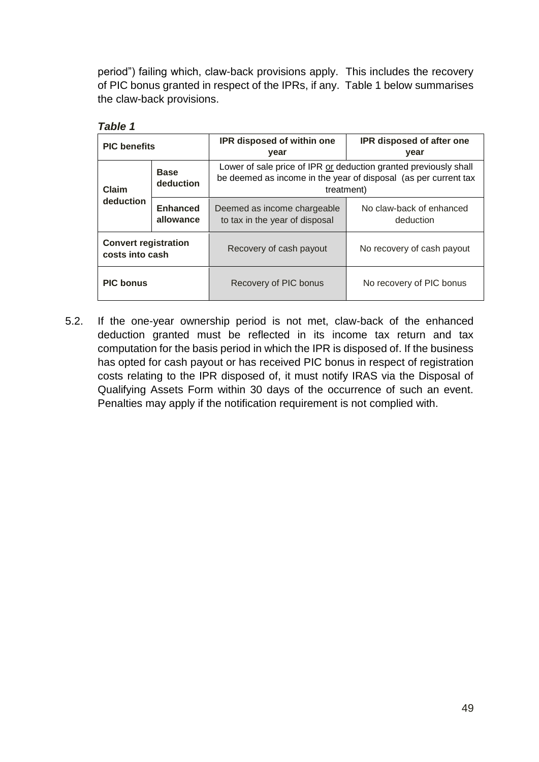period") failing which, claw-back provisions apply. This includes the recovery of PIC bonus granted in respect of the IPRs, if any. Table 1 below summarises the claw-back provisions.

| , ,,,,,,,                                      |                              |                                                                                                                                                   |                                       |  |
|------------------------------------------------|------------------------------|---------------------------------------------------------------------------------------------------------------------------------------------------|---------------------------------------|--|
| <b>PIC</b> benefits                            |                              | IPR disposed of within one<br>year                                                                                                                | IPR disposed of after one<br>year     |  |
| <b>Base</b><br>deduction<br>Claim              |                              | Lower of sale price of IPR or deduction granted previously shall<br>be deemed as income in the year of disposal (as per current tax<br>treatment) |                                       |  |
| deduction                                      | <b>Enhanced</b><br>allowance | Deemed as income chargeable<br>to tax in the year of disposal                                                                                     | No claw-back of enhanced<br>deduction |  |
| <b>Convert registration</b><br>costs into cash |                              | Recovery of cash payout                                                                                                                           | No recovery of cash payout            |  |
| <b>PIC bonus</b>                               |                              | Recovery of PIC bonus                                                                                                                             | No recovery of PIC bonus              |  |

| 1<br>ню |
|---------|
|---------|

5.2. If the one-year ownership period is not met, claw-back of the enhanced deduction granted must be reflected in its income tax return and tax computation for the basis period in which the IPR is disposed of. If the business has opted for cash payout or has received PIC bonus in respect of registration costs relating to the IPR disposed of, it must notify IRAS via the Disposal of Qualifying Assets Form within 30 days of the occurrence of such an event. Penalties may apply if the notification requirement is not complied with.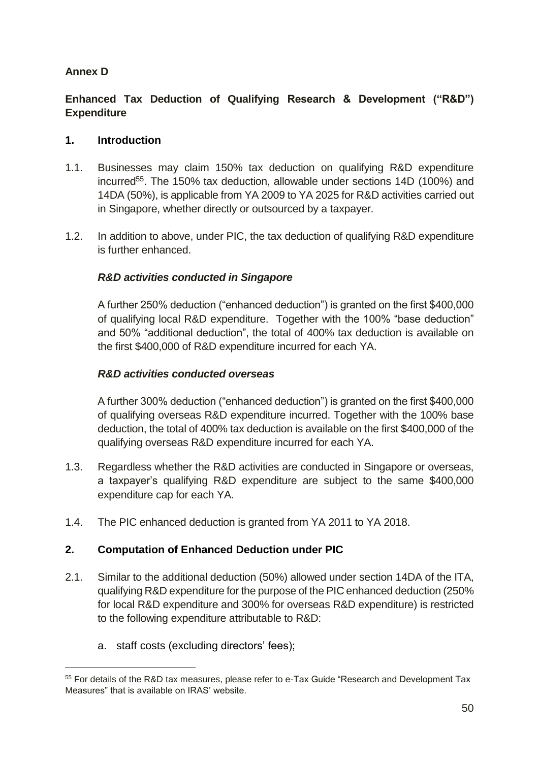## **Annex D**

## **Enhanced Tax Deduction of Qualifying Research & Development ("R&D") Expenditure**

#### **1. Introduction**

- 1.1. Businesses may claim 150% tax deduction on qualifying R&D expenditure incurred<sup>55</sup>. The 150% tax deduction, allowable under sections 14D (100%) and 14DA (50%), is applicable from YA 2009 to YA 2025 for R&D activities carried out in Singapore, whether directly or outsourced by a taxpayer.
- 1.2. In addition to above, under PIC, the tax deduction of qualifying R&D expenditure is further enhanced.

### *R&D activities conducted in Singapore*

A further 250% deduction ("enhanced deduction") is granted on the first \$400,000 of qualifying local R&D expenditure. Together with the 100% "base deduction" and 50% "additional deduction", the total of 400% tax deduction is available on the first \$400,000 of R&D expenditure incurred for each YA.

#### *R&D activities conducted overseas*

A further 300% deduction ("enhanced deduction") is granted on the first \$400,000 of qualifying overseas R&D expenditure incurred. Together with the 100% base deduction, the total of 400% tax deduction is available on the first \$400,000 of the qualifying overseas R&D expenditure incurred for each YA.

- 1.3. Regardless whether the R&D activities are conducted in Singapore or overseas, a taxpayer's qualifying R&D expenditure are subject to the same \$400,000 expenditure cap for each YA.
- 1.4. The PIC enhanced deduction is granted from YA 2011 to YA 2018.

### **2. Computation of Enhanced Deduction under PIC**

- 2.1. Similar to the additional deduction (50%) allowed under section 14DA of the ITA, qualifying R&D expenditure for the purpose of the PIC enhanced deduction (250% for local R&D expenditure and 300% for overseas R&D expenditure) is restricted to the following expenditure attributable to R&D:
	- a. staff costs (excluding directors' fees);

-

<sup>55</sup> For details of the R&D tax measures, please refer to e-Tax Guide "Research and Development Tax Measures" that is available on IRAS' website.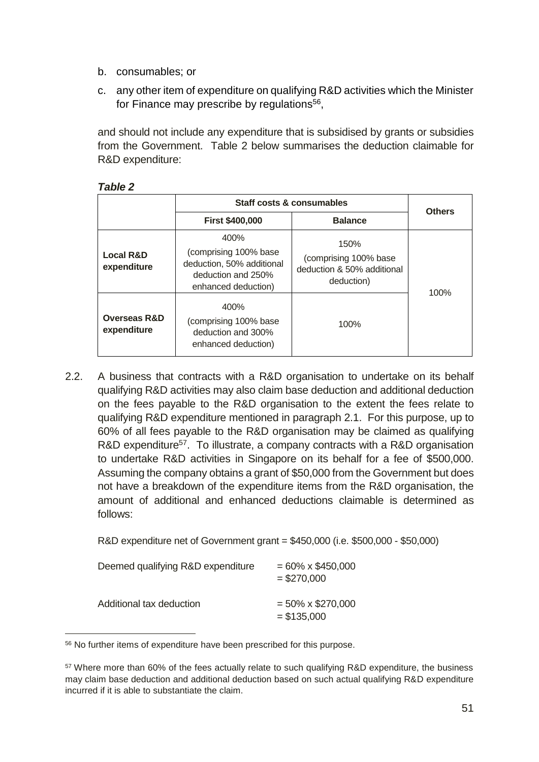- b. consumables; or
- c. any other item of expenditure on qualifying R&D activities which the Minister for Finance may prescribe by regulations<sup>56</sup>,

and should not include any expenditure that is subsidised by grants or subsidies from the Government. Table 2 below summarises the deduction claimable for R&D expenditure:

|                                        | Staff costs & consumables                                                                               |                                                                            |               |  |
|----------------------------------------|---------------------------------------------------------------------------------------------------------|----------------------------------------------------------------------------|---------------|--|
|                                        | <b>First \$400,000</b>                                                                                  | <b>Balance</b>                                                             | <b>Others</b> |  |
| <b>Local R&amp;D</b><br>expenditure    | 400%<br>(comprising 100% base<br>deduction, 50% additional<br>deduction and 250%<br>enhanced deduction) | 150%<br>(comprising 100% base)<br>deduction & 50% additional<br>deduction) | 100%          |  |
| <b>Overseas R&amp;D</b><br>expenditure | 400%<br>(comprising 100% base<br>deduction and 300%<br>enhanced deduction)                              | 100%                                                                       |               |  |

#### *Table 2*

-

2.2. A business that contracts with a R&D organisation to undertake on its behalf qualifying R&D activities may also claim base deduction and additional deduction on the fees payable to the R&D organisation to the extent the fees relate to qualifying R&D expenditure mentioned in paragraph 2.1. For this purpose, up to 60% of all fees payable to the R&D organisation may be claimed as qualifying R&D expenditure<sup>57</sup>. To illustrate, a company contracts with a R&D organisation to undertake R&D activities in Singapore on its behalf for a fee of \$500,000. Assuming the company obtains a grant of \$50,000 from the Government but does not have a breakdown of the expenditure items from the R&D organisation, the amount of additional and enhanced deductions claimable is determined as follows:

R&D expenditure net of Government grant = \$450,000 (i.e. \$500,000 - \$50,000)

| Deemed qualifying R&D expenditure | $= 60\% \times $450,000$<br>$= $270,000$ |
|-----------------------------------|------------------------------------------|
| Additional tax deduction          | $= 50\% \times $270,000$<br>$= $135,000$ |

<sup>56</sup> No further items of expenditure have been prescribed for this purpose.

<sup>57</sup> Where more than 60% of the fees actually relate to such qualifying R&D expenditure, the business may claim base deduction and additional deduction based on such actual qualifying R&D expenditure incurred if it is able to substantiate the claim.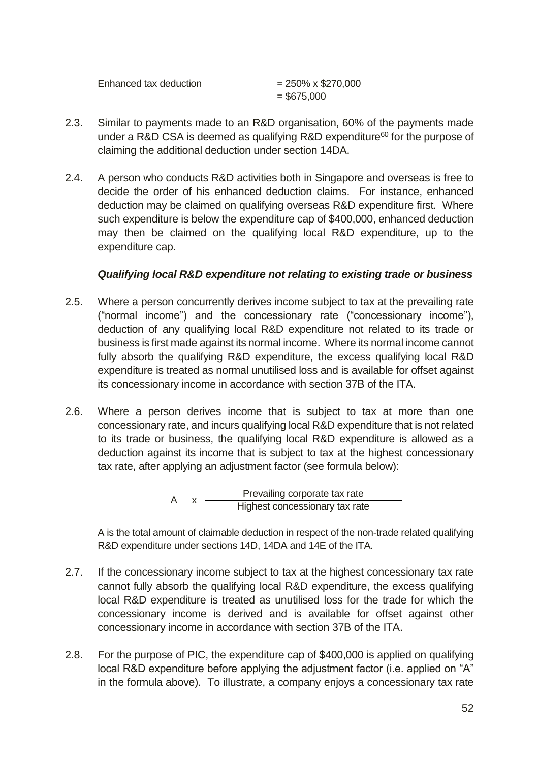| Enhanced tax deduction | $= 250\% \times $270,000$ |
|------------------------|---------------------------|
|                        | $=$ \$675,000             |

- 2.3. Similar to payments made to an R&D organisation, 60% of the payments made under a R&D CSA is deemed as qualifying R&D expenditure<sup>60</sup> for the purpose of claiming the additional deduction under section 14DA.
- 2.4. A person who conducts R&D activities both in Singapore and overseas is free to decide the order of his enhanced deduction claims. For instance, enhanced deduction may be claimed on qualifying overseas R&D expenditure first. Where such expenditure is below the expenditure cap of \$400,000, enhanced deduction may then be claimed on the qualifying local R&D expenditure, up to the expenditure cap.

### *Qualifying local R&D expenditure not relating to existing trade or business*

- 2.5. Where a person concurrently derives income subject to tax at the prevailing rate ("normal income") and the concessionary rate ("concessionary income"), deduction of any qualifying local R&D expenditure not related to its trade or business is first made against its normal income. Where its normal income cannot fully absorb the qualifying R&D expenditure, the excess qualifying local R&D expenditure is treated as normal unutilised loss and is available for offset against its concessionary income in accordance with section 37B of the ITA.
- 2.6. Where a person derives income that is subject to tax at more than one concessionary rate, and incurs qualifying local R&D expenditure that is not related to its trade or business, the qualifying local R&D expenditure is allowed as a deduction against its income that is subject to tax at the highest concessionary tax rate, after applying an adjustment factor (see formula below):

A x Prevailing corporate tax rate Highest concessionary tax rate

A is the total amount of claimable deduction in respect of the non-trade related qualifying R&D expenditure under sections 14D, 14DA and 14E of the ITA.

- 2.7. If the concessionary income subject to tax at the highest concessionary tax rate cannot fully absorb the qualifying local R&D expenditure, the excess qualifying local R&D expenditure is treated as unutilised loss for the trade for which the concessionary income is derived and is available for offset against other concessionary income in accordance with section 37B of the ITA.
- 2.8. For the purpose of PIC, the expenditure cap of \$400,000 is applied on qualifying local R&D expenditure before applying the adjustment factor (i.e. applied on "A" in the formula above). To illustrate, a company enjoys a concessionary tax rate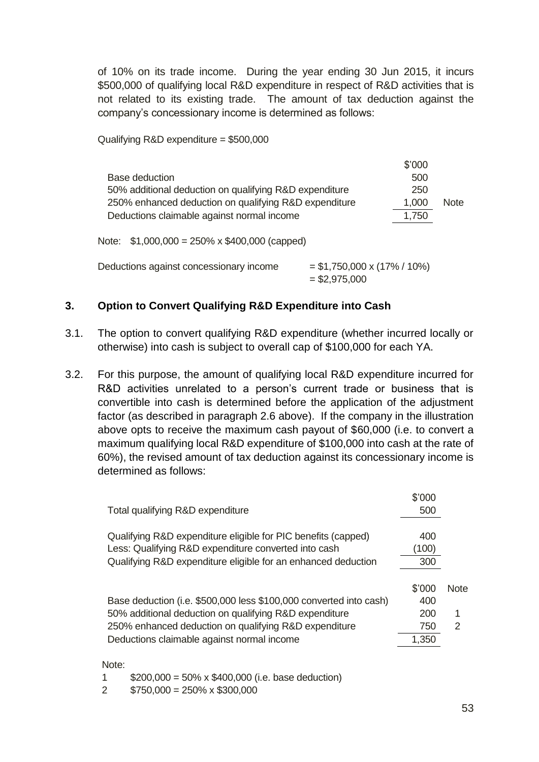of 10% on its trade income. During the year ending 30 Jun 2015, it incurs \$500,000 of qualifying local R&D expenditure in respect of R&D activities that is not related to its existing trade. The amount of tax deduction against the company's concessionary income is determined as follows:

Qualifying R&D expenditure = \$500,000

|                                                        | \$'000 |             |
|--------------------------------------------------------|--------|-------------|
| Base deduction                                         | 500    |             |
| 50% additional deduction on qualifying R&D expenditure | 250    |             |
| 250% enhanced deduction on qualifying R&D expenditure  | 1,000  | <b>Note</b> |
| Deductions claimable against normal income             | 1,750  |             |
| Note: $$1,000,000 = 250\% \times $400,000$ (capped)    |        |             |

| Deductions against concessionary income | $=$ \$1,750,000 x (17% / 10%) |
|-----------------------------------------|-------------------------------|
|                                         | $=$ \$2,975,000               |

### **3. Option to Convert Qualifying R&D Expenditure into Cash**

- 3.1. The option to convert qualifying R&D expenditure (whether incurred locally or otherwise) into cash is subject to overall cap of \$100,000 for each YA.
- 3.2. For this purpose, the amount of qualifying local R&D expenditure incurred for R&D activities unrelated to a person's current trade or business that is convertible into cash is determined before the application of the adjustment factor (as described in paragraph 2.6 above). If the company in the illustration above opts to receive the maximum cash payout of \$60,000 (i.e. to convert a maximum qualifying local R&D expenditure of \$100,000 into cash at the rate of 60%), the revised amount of tax deduction against its concessionary income is determined as follows:

|                                                                    | \$'000 |             |
|--------------------------------------------------------------------|--------|-------------|
| Total qualifying R&D expenditure                                   | 500    |             |
| Qualifying R&D expenditure eligible for PIC benefits (capped)      | 400    |             |
| Less: Qualifying R&D expenditure converted into cash               | (100)  |             |
| Qualifying R&D expenditure eligible for an enhanced deduction      | 300    |             |
|                                                                    |        |             |
|                                                                    | \$'000 | <b>Note</b> |
| Base deduction (i.e. \$500,000 less \$100,000 converted into cash) | 400    |             |
| 50% additional deduction on qualifying R&D expenditure             | 200    | 1           |
| 250% enhanced deduction on qualifying R&D expenditure              | 750    | 2           |
| Deductions claimable against normal income                         | 1,350  |             |

Note:

1  $$200,000 = 50\% \times $400,000$  (i.e. base deduction)

 $2$  \$750,000 = 250% x \$300,000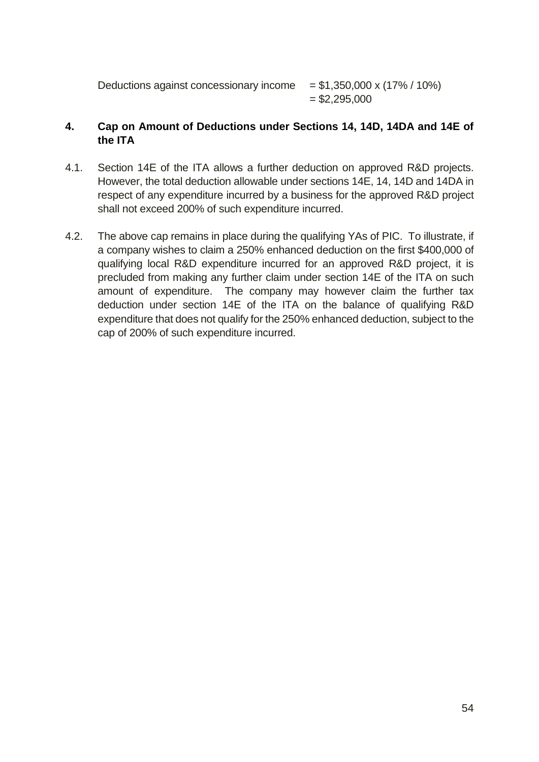Deductions against concessionary income  $= $1,350,000 \times (17\% / 10\%)$  $=$  \$2,295,000

#### **4. Cap on Amount of Deductions under Sections 14, 14D, 14DA and 14E of the ITA**

- 4.1. Section 14E of the ITA allows a further deduction on approved R&D projects. However, the total deduction allowable under sections 14E, 14, 14D and 14DA in respect of any expenditure incurred by a business for the approved R&D project shall not exceed 200% of such expenditure incurred.
- 4.2. The above cap remains in place during the qualifying YAs of PIC. To illustrate, if a company wishes to claim a 250% enhanced deduction on the first \$400,000 of qualifying local R&D expenditure incurred for an approved R&D project, it is precluded from making any further claim under section 14E of the ITA on such amount of expenditure. The company may however claim the further tax deduction under section 14E of the ITA on the balance of qualifying R&D expenditure that does not qualify for the 250% enhanced deduction, subject to the cap of 200% of such expenditure incurred.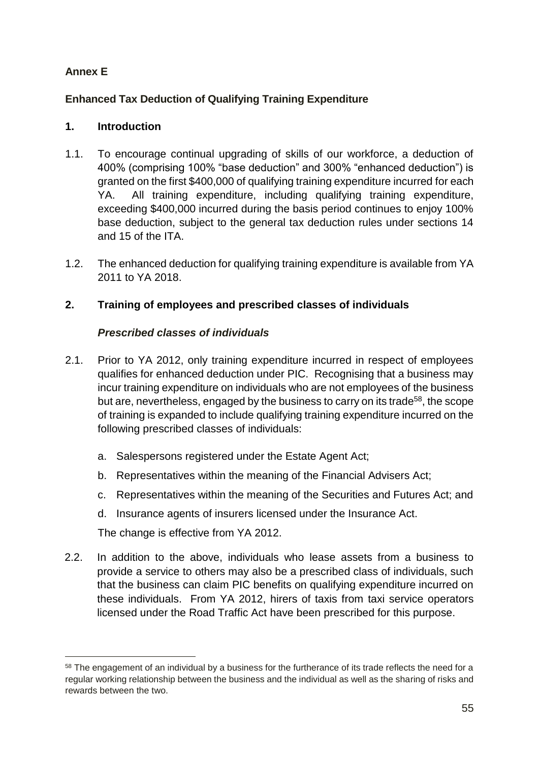# **Annex E**

-

# **Enhanced Tax Deduction of Qualifying Training Expenditure**

## **1. Introduction**

- 1.1. To encourage continual upgrading of skills of our workforce, a deduction of 400% (comprising 100% "base deduction" and 300% "enhanced deduction") is granted on the first \$400,000 of qualifying training expenditure incurred for each YA. All training expenditure, including qualifying training expenditure, exceeding \$400,000 incurred during the basis period continues to enjoy 100% base deduction, subject to the general tax deduction rules under sections 14 and 15 of the ITA.
- 1.2. The enhanced deduction for qualifying training expenditure is available from YA 2011 to YA 2018.

# **2. Training of employees and prescribed classes of individuals**

### *Prescribed classes of individuals*

- 2.1. Prior to YA 2012, only training expenditure incurred in respect of employees qualifies for enhanced deduction under PIC. Recognising that a business may incur training expenditure on individuals who are not employees of the business but are, nevertheless, engaged by the business to carry on its trade<sup>58</sup>, the scope of training is expanded to include qualifying training expenditure incurred on the following prescribed classes of individuals:
	- a. Salespersons registered under the Estate Agent Act;
	- b. Representatives within the meaning of the Financial Advisers Act;
	- c. Representatives within the meaning of the Securities and Futures Act; and
	- d. Insurance agents of insurers licensed under the Insurance Act.

The change is effective from YA 2012.

2.2. In addition to the above, individuals who lease assets from a business to provide a service to others may also be a prescribed class of individuals, such that the business can claim PIC benefits on qualifying expenditure incurred on these individuals. From YA 2012, hirers of taxis from taxi service operators licensed under the Road Traffic Act have been prescribed for this purpose.

<sup>&</sup>lt;sup>58</sup> The engagement of an individual by a business for the furtherance of its trade reflects the need for a regular working relationship between the business and the individual as well as the sharing of risks and rewards between the two.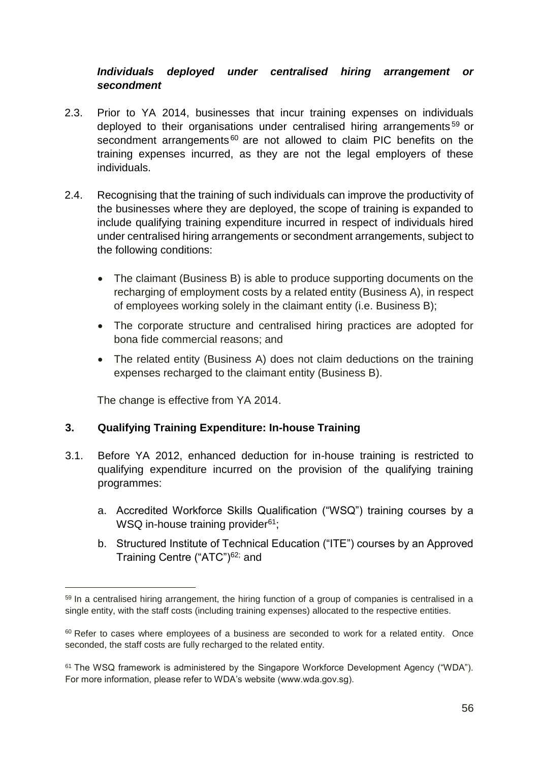### *Individuals deployed under centralised hiring arrangement or secondment*

- 2.3. Prior to YA 2014, businesses that incur training expenses on individuals deployed to their organisations under centralised hiring arrangements<sup>59</sup> or secondment arrangements<sup>60</sup> are not allowed to claim PIC benefits on the training expenses incurred, as they are not the legal employers of these individuals.
- 2.4. Recognising that the training of such individuals can improve the productivity of the businesses where they are deployed, the scope of training is expanded to include qualifying training expenditure incurred in respect of individuals hired under centralised hiring arrangements or secondment arrangements, subject to the following conditions:
	- The claimant (Business B) is able to produce supporting documents on the recharging of employment costs by a related entity (Business A), in respect of employees working solely in the claimant entity (i.e. Business B);
	- The corporate structure and centralised hiring practices are adopted for bona fide commercial reasons; and
	- The related entity (Business A) does not claim deductions on the training expenses recharged to the claimant entity (Business B).

The change is effective from YA 2014.

-

### **3. Qualifying Training Expenditure: In-house Training**

- 3.1. Before YA 2012, enhanced deduction for in-house training is restricted to qualifying expenditure incurred on the provision of the qualifying training programmes:
	- a. Accredited Workforce Skills Qualification ("WSQ") training courses by a WSQ in-house training provider<sup>61</sup>;
	- b. Structured Institute of Technical Education ("ITE") courses by an Approved Training Centre ("ATC")<sup>62;</sup> and

<sup>&</sup>lt;sup>59</sup> In a centralised hiring arrangement, the hiring function of a group of companies is centralised in a single entity, with the staff costs (including training expenses) allocated to the respective entities.

<sup>&</sup>lt;sup>60</sup> Refer to cases where employees of a business are seconded to work for a related entity. Once seconded, the staff costs are fully recharged to the related entity.

<sup>61</sup> The WSQ framework is administered by the Singapore Workforce Development Agency ("WDA"). For more information, please refer to WDA's website (www.wda.gov.sg).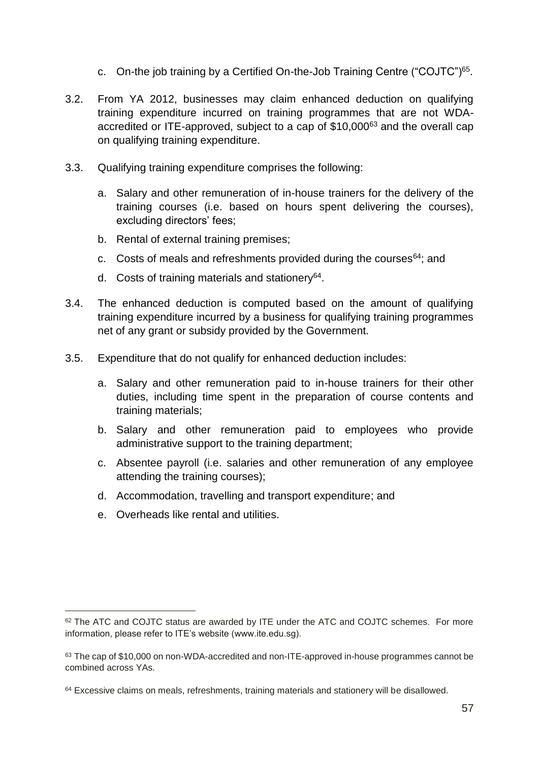- c. On-the job training by a Certified On-the-Job Training Centre ("COJTC")<sup>65</sup>.
- 3.2. From YA 2012, businesses may claim enhanced deduction on qualifying training expenditure incurred on training programmes that are not WDAaccredited or ITE-approved, subject to a cap of \$10,000<sup>63</sup> and the overall cap on qualifying training expenditure.
- 3.3. Qualifying training expenditure comprises the following:
	- a. Salary and other remuneration of in-house trainers for the delivery of the training courses (i.e. based on hours spent delivering the courses), excluding directors' fees;
	- b. Rental of external training premises;
	- c. Costs of meals and refreshments provided during the courses<sup>64</sup>; and
	- d. Costs of training materials and stationery<sup>[64](#page-61-0)</sup>.
- <span id="page-61-0"></span>3.4. The enhanced deduction is computed based on the amount of qualifying training expenditure incurred by a business for qualifying training programmes net of any grant or subsidy provided by the Government.
- 3.5. Expenditure that do not qualify for enhanced deduction includes:
	- a. Salary and other remuneration paid to in-house trainers for their other duties, including time spent in the preparation of course contents and training materials;
	- b. Salary and other remuneration paid to employees who provide administrative support to the training department;
	- c. Absentee payroll (i.e. salaries and other remuneration of any employee attending the training courses);
	- d. Accommodation, travelling and transport expenditure; and
	- e. Overheads like rental and utilities.

-

<sup>&</sup>lt;sup>62</sup> The ATC and COJTC status are awarded by ITE under the ATC and COJTC schemes. For more information, please refer to ITE's website (www.ite.edu.sg).

<sup>&</sup>lt;sup>63</sup> The cap of \$10,000 on non-WDA-accredited and non-ITE-approved in-house programmes cannot be combined across YAs.

<sup>&</sup>lt;sup>64</sup> Excessive claims on meals, refreshments, training materials and stationery will be disallowed.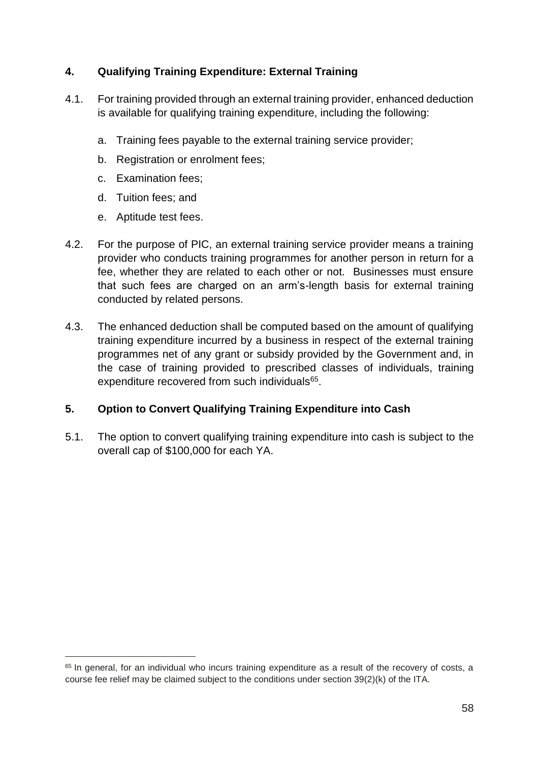## **4. Qualifying Training Expenditure: External Training**

- 4.1. For training provided through an external training provider, enhanced deduction is available for qualifying training expenditure, including the following:
	- a. Training fees payable to the external training service provider;
	- b. Registration or enrolment fees;
	- c. Examination fees;
	- d. Tuition fees; and
	- e. Aptitude test fees.

-

- 4.2. For the purpose of PIC, an external training service provider means a training provider who conducts training programmes for another person in return for a fee, whether they are related to each other or not. Businesses must ensure that such fees are charged on an arm's-length basis for external training conducted by related persons.
- 4.3. The enhanced deduction shall be computed based on the amount of qualifying training expenditure incurred by a business in respect of the external training programmes net of any grant or subsidy provided by the Government and, in the case of training provided to prescribed classes of individuals, training expenditure recovered from such individuals<sup>65</sup>.

### **5. Option to Convert Qualifying Training Expenditure into Cash**

5.1. The option to convert qualifying training expenditure into cash is subject to the overall cap of \$100,000 for each YA.

<sup>&</sup>lt;sup>65</sup> In general, for an individual who incurs training expenditure as a result of the recovery of costs, a course fee relief may be claimed subject to the conditions under section 39(2)(k) of the ITA.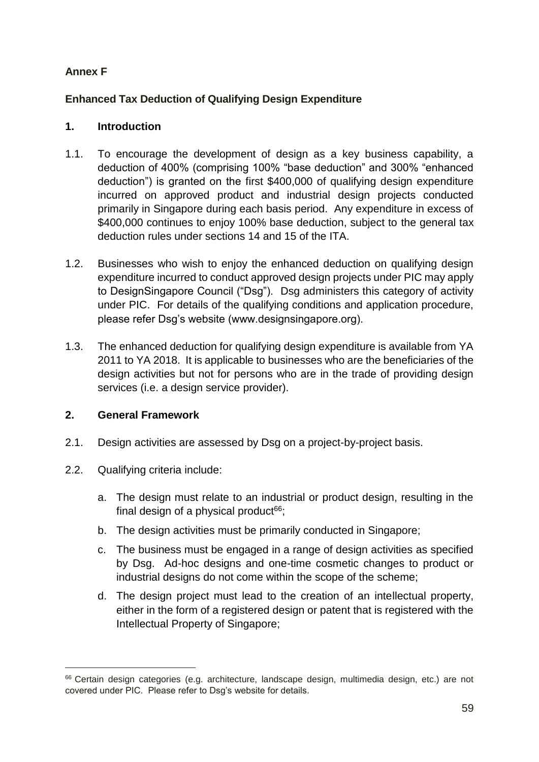## **Annex F**

### **Enhanced Tax Deduction of Qualifying Design Expenditure**

### **1. Introduction**

- 1.1. To encourage the development of design as a key business capability, a deduction of 400% (comprising 100% "base deduction" and 300% "enhanced deduction") is granted on the first \$400,000 of qualifying design expenditure incurred on approved product and industrial design projects conducted primarily in Singapore during each basis period. Any expenditure in excess of \$400,000 continues to enjoy 100% base deduction, subject to the general tax deduction rules under sections 14 and 15 of the ITA.
- 1.2. Businesses who wish to enjoy the enhanced deduction on qualifying design expenditure incurred to conduct approved design projects under PIC may apply to DesignSingapore Council ("Dsg"). Dsg administers this category of activity under PIC. For details of the qualifying conditions and application procedure, please refer Dsg's website (www.designsingapore.org).
- 1.3. The enhanced deduction for qualifying design expenditure is available from YA 2011 to YA 2018. It is applicable to businesses who are the beneficiaries of the design activities but not for persons who are in the trade of providing design services (i.e. a design service provider).

### **2. General Framework**

- 2.1. Design activities are assessed by Dsg on a project-by-project basis.
- 2.2. Qualifying criteria include:

-

- a. The design must relate to an industrial or product design, resulting in the final design of a physical product $66$ ;
- b. The design activities must be primarily conducted in Singapore;
- c. The business must be engaged in a range of design activities as specified by Dsg. Ad-hoc designs and one-time cosmetic changes to product or industrial designs do not come within the scope of the scheme;
- d. The design project must lead to the creation of an intellectual property, either in the form of a registered design or patent that is registered with the Intellectual Property of Singapore;

<sup>66</sup> Certain design categories (e.g. architecture, landscape design, multimedia design, etc.) are not covered under PIC. Please refer to Dsg's website for details.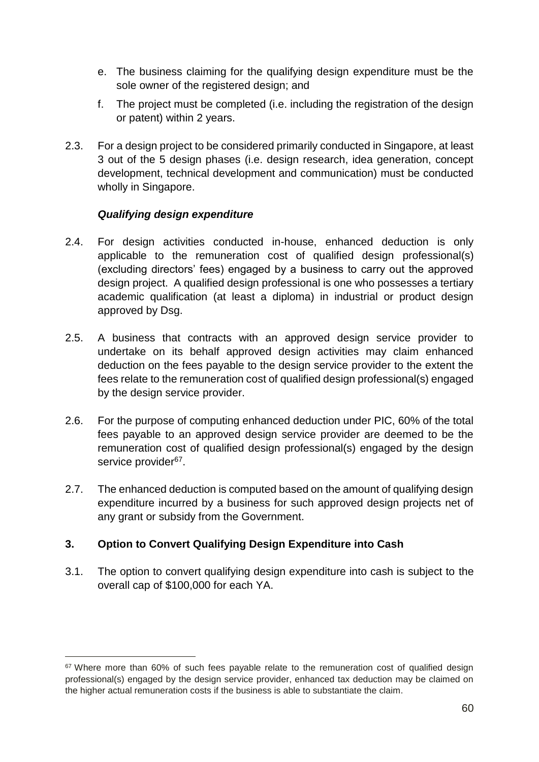- e. The business claiming for the qualifying design expenditure must be the sole owner of the registered design; and
- f. The project must be completed (i.e. including the registration of the design or patent) within 2 years.
- 2.3. For a design project to be considered primarily conducted in Singapore, at least 3 out of the 5 design phases (i.e. design research, idea generation, concept development, technical development and communication) must be conducted wholly in Singapore.

### *Qualifying design expenditure*

- 2.4. For design activities conducted in-house, enhanced deduction is only applicable to the remuneration cost of qualified design professional(s) (excluding directors' fees) engaged by a business to carry out the approved design project. A qualified design professional is one who possesses a tertiary academic qualification (at least a diploma) in industrial or product design approved by Dsg.
- 2.5. A business that contracts with an approved design service provider to undertake on its behalf approved design activities may claim enhanced deduction on the fees payable to the design service provider to the extent the fees relate to the remuneration cost of qualified design professional(s) engaged by the design service provider.
- 2.6. For the purpose of computing enhanced deduction under PIC, 60% of the total fees payable to an approved design service provider are deemed to be the remuneration cost of qualified design professional(s) engaged by the design service provider<sup>67</sup>.
- 2.7. The enhanced deduction is computed based on the amount of qualifying design expenditure incurred by a business for such approved design projects net of any grant or subsidy from the Government.

# **3. Option to Convert Qualifying Design Expenditure into Cash**

-

3.1. The option to convert qualifying design expenditure into cash is subject to the overall cap of \$100,000 for each YA.

<sup>&</sup>lt;sup>67</sup> Where more than 60% of such fees payable relate to the remuneration cost of qualified design professional(s) engaged by the design service provider, enhanced tax deduction may be claimed on the higher actual remuneration costs if the business is able to substantiate the claim.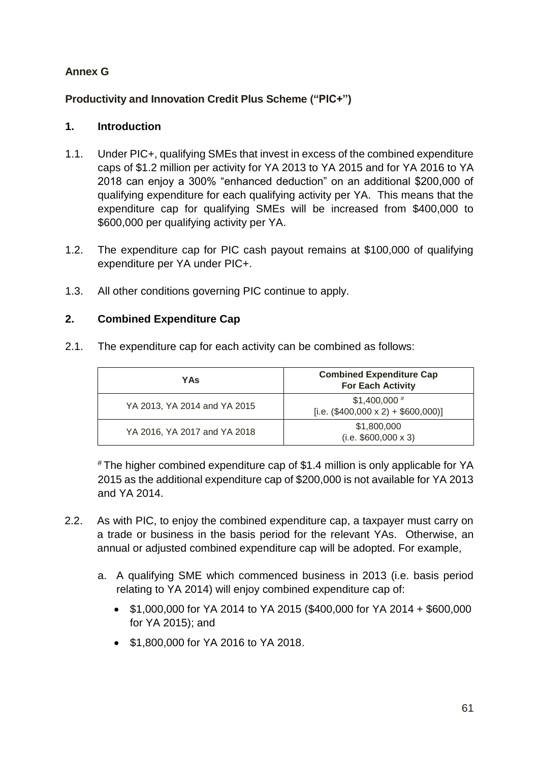# **Annex G**

# **Productivity and Innovation Credit Plus Scheme ("PIC+")**

## **1. Introduction**

- 1.1. Under PIC+, qualifying SMEs that invest in excess of the combined expenditure caps of \$1.2 million per activity for YA 2013 to YA 2015 and for YA 2016 to YA 2018 can enjoy a 300% "enhanced deduction" on an additional \$200,000 of qualifying expenditure for each qualifying activity per YA. This means that the expenditure cap for qualifying SMEs will be increased from \$400,000 to \$600,000 per qualifying activity per YA.
- 1.2. The expenditure cap for PIC cash payout remains at \$100,000 of qualifying expenditure per YA under PIC+.
- 1.3. All other conditions governing PIC continue to apply.

### **2. Combined Expenditure Cap**

2.1. The expenditure cap for each activity can be combined as follows:

| YAs                          | <b>Combined Expenditure Cap</b><br><b>For Each Activity</b>   |
|------------------------------|---------------------------------------------------------------|
| YA 2013, YA 2014 and YA 2015 | $$1,400,000$ #<br>[i.e. $(\$400,000 \times 2) + \$600,000]$ ] |
| YA 2016, YA 2017 and YA 2018 | \$1,800,000<br>$(i.e. $600,000 \times 3)$                     |

# The higher combined expenditure cap of \$1.4 million is only applicable for YA 2015 as the additional expenditure cap of \$200,000 is not available for YA 2013 and YA 2014.

- 2.2. As with PIC, to enjoy the combined expenditure cap, a taxpayer must carry on a trade or business in the basis period for the relevant YAs. Otherwise, an annual or adjusted combined expenditure cap will be adopted. For example,
	- a. A qualifying SME which commenced business in 2013 (i.e. basis period relating to YA 2014) will enjoy combined expenditure cap of:
		- \$1,000,000 for YA 2014 to YA 2015 (\$400,000 for YA 2014 + \$600,000 for YA 2015); and
		- \$1,800,000 for YA 2016 to YA 2018.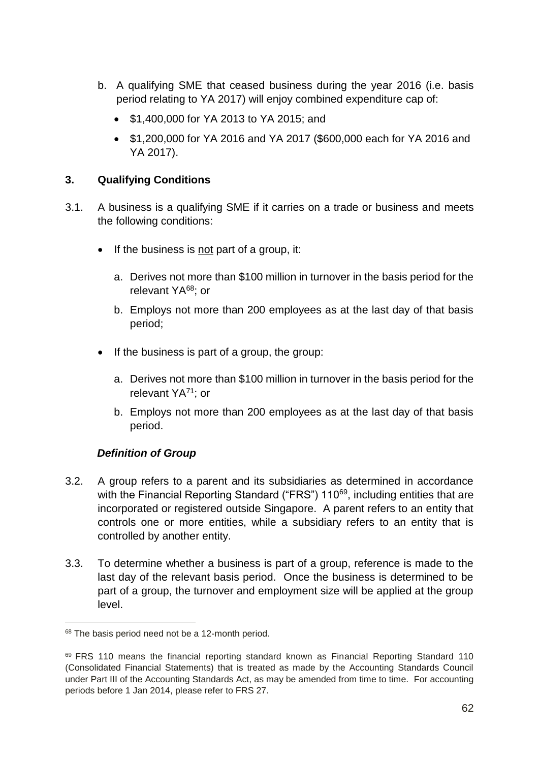- b. A qualifying SME that ceased business during the year 2016 (i.e. basis period relating to YA 2017) will enjoy combined expenditure cap of:
	- \$1,400,000 for YA 2013 to YA 2015; and
	- \$1,200,000 for YA 2016 and YA 2017 (\$600,000 each for YA 2016 and YA 2017).

### **3. Qualifying Conditions**

- 3.1. A business is a qualifying SME if it carries on a trade or business and meets the following conditions:
	- $\bullet$  If the business is not part of a group, it:
		- a. Derives not more than \$100 million in turnover in the basis period for the relevant YA<sup>68</sup>; or
		- b. Employs not more than 200 employees as at the last day of that basis period;
	- If the business is part of a group, the group:
		- a. Derives not more than \$100 million in turnover in the basis period for the relevant YA<sup>71</sup>; or
		- b. Employs not more than 200 employees as at the last day of that basis period.

# *Definition of Group*

- 3.2. A group refers to a parent and its subsidiaries as determined in accordance with the Financial Reporting Standard ("FRS") 110<sup>69</sup>, including entities that are incorporated or registered outside Singapore. A parent refers to an entity that controls one or more entities, while a subsidiary refers to an entity that is controlled by another entity.
- 3.3. To determine whether a business is part of a group, reference is made to the last day of the relevant basis period. Once the business is determined to be part of a group, the turnover and employment size will be applied at the group level.

 $\overline{a}$ 

<sup>68</sup> The basis period need not be a 12-month period.

<sup>&</sup>lt;sup>69</sup> FRS 110 means the financial reporting standard known as Financial Reporting Standard 110 (Consolidated Financial Statements) that is treated as made by the Accounting Standards Council under Part III of the Accounting Standards Act, as may be amended from time to time. For accounting periods before 1 Jan 2014, please refer to FRS 27.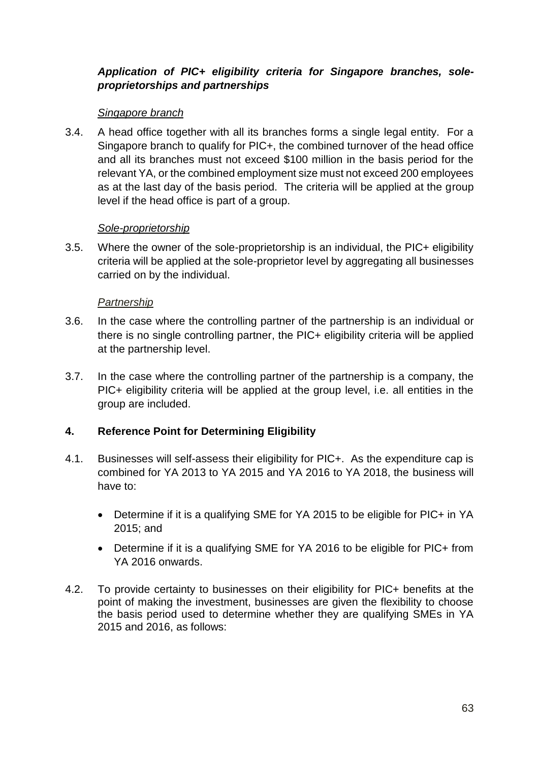### *Application of PIC+ eligibility criteria for Singapore branches, soleproprietorships and partnerships*

#### *Singapore branch*

3.4. A head office together with all its branches forms a single legal entity. For a Singapore branch to qualify for PIC+, the combined turnover of the head office and all its branches must not exceed \$100 million in the basis period for the relevant YA, or the combined employment size must not exceed 200 employees as at the last day of the basis period. The criteria will be applied at the group level if the head office is part of a group.

#### *Sole-proprietorship*

3.5. Where the owner of the sole-proprietorship is an individual, the PIC+ eligibility criteria will be applied at the sole-proprietor level by aggregating all businesses carried on by the individual.

#### *Partnership*

- 3.6. In the case where the controlling partner of the partnership is an individual or there is no single controlling partner, the PIC+ eligibility criteria will be applied at the partnership level.
- 3.7. In the case where the controlling partner of the partnership is a company, the PIC+ eligibility criteria will be applied at the group level, i.e. all entities in the group are included.

### **4. Reference Point for Determining Eligibility**

- 4.1. Businesses will self-assess their eligibility for PIC+. As the expenditure cap is combined for YA 2013 to YA 2015 and YA 2016 to YA 2018, the business will have to:
	- Determine if it is a qualifying SME for YA 2015 to be eligible for PIC+ in YA 2015; and
	- Determine if it is a qualifying SME for YA 2016 to be eligible for PIC+ from YA 2016 onwards.
- 4.2. To provide certainty to businesses on their eligibility for PIC+ benefits at the point of making the investment, businesses are given the flexibility to choose the basis period used to determine whether they are qualifying SMEs in YA 2015 and 2016, as follows: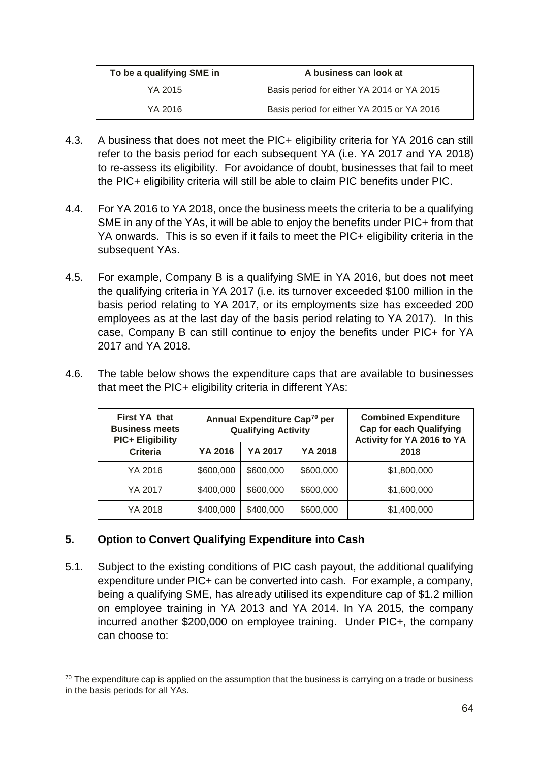| To be a qualifying SME in | A business can look at                     |  |
|---------------------------|--------------------------------------------|--|
| YA 2015                   | Basis period for either YA 2014 or YA 2015 |  |
| YA 2016                   | Basis period for either YA 2015 or YA 2016 |  |

- 4.3. A business that does not meet the PIC+ eligibility criteria for YA 2016 can still refer to the basis period for each subsequent YA (i.e. YA 2017 and YA 2018) to re-assess its eligibility. For avoidance of doubt, businesses that fail to meet the PIC+ eligibility criteria will still be able to claim PIC benefits under PIC.
- 4.4. For YA 2016 to YA 2018, once the business meets the criteria to be a qualifying SME in any of the YAs, it will be able to enjoy the benefits under PIC+ from that YA onwards. This is so even if it fails to meet the PIC+ eligibility criteria in the subsequent YAs.
- 4.5. For example, Company B is a qualifying SME in YA 2016, but does not meet the qualifying criteria in YA 2017 (i.e. its turnover exceeded \$100 million in the basis period relating to YA 2017, or its employments size has exceeded 200 employees as at the last day of the basis period relating to YA 2017). In this case, Company B can still continue to enjoy the benefits under PIC+ for YA 2017 and YA 2018.
- 4.6. The table below shows the expenditure caps that are available to businesses that meet the PIC+ eligibility criteria in different YAs:

| First YA that<br><b>Business meets</b><br><b>PIC+ Eligibility</b> |           | Annual Expenditure Cap <sup>70</sup> per<br><b>Qualifying Activity</b> |           | <b>Combined Expenditure</b><br><b>Cap for each Qualifying</b><br>Activity for YA 2016 to YA |  |
|-------------------------------------------------------------------|-----------|------------------------------------------------------------------------|-----------|---------------------------------------------------------------------------------------------|--|
| <b>Criteria</b>                                                   | YA 2016   | YA 2017                                                                | YA 2018   | 2018                                                                                        |  |
| YA 2016                                                           | \$600,000 | \$600,000                                                              | \$600,000 | \$1,800,000                                                                                 |  |
| YA 2017                                                           | \$400,000 | \$600,000                                                              | \$600,000 | \$1,600,000                                                                                 |  |
| YA 2018                                                           | \$400,000 | \$400,000                                                              | \$600,000 | \$1,400,000                                                                                 |  |

### **5. Option to Convert Qualifying Expenditure into Cash**

-

5.1. Subject to the existing conditions of PIC cash payout, the additional qualifying expenditure under PIC+ can be converted into cash. For example, a company, being a qualifying SME, has already utilised its expenditure cap of \$1.2 million on employee training in YA 2013 and YA 2014. In YA 2015, the company incurred another \$200,000 on employee training. Under PIC+, the company can choose to:

 $70$  The expenditure cap is applied on the assumption that the business is carrying on a trade or business in the basis periods for all YAs.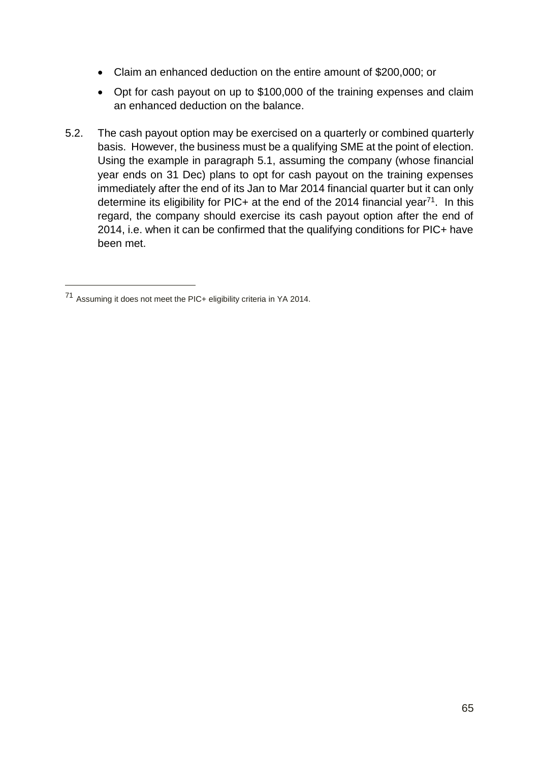- Claim an enhanced deduction on the entire amount of \$200,000; or
- Opt for cash payout on up to \$100,000 of the training expenses and claim an enhanced deduction on the balance.
- 5.2. The cash payout option may be exercised on a quarterly or combined quarterly basis. However, the business must be a qualifying SME at the point of election. Using the example in paragraph 5.1, assuming the company (whose financial year ends on 31 Dec) plans to opt for cash payout on the training expenses immediately after the end of its Jan to Mar 2014 financial quarter but it can only determine its eligibility for PIC+ at the end of the 2014 financial year<sup>71</sup>. In this regard, the company should exercise its cash payout option after the end of 2014, i.e. when it can be confirmed that the qualifying conditions for PIC+ have been met.

-

<sup>71</sup> Assuming it does not meet the PIC+ eligibility criteria in YA 2014.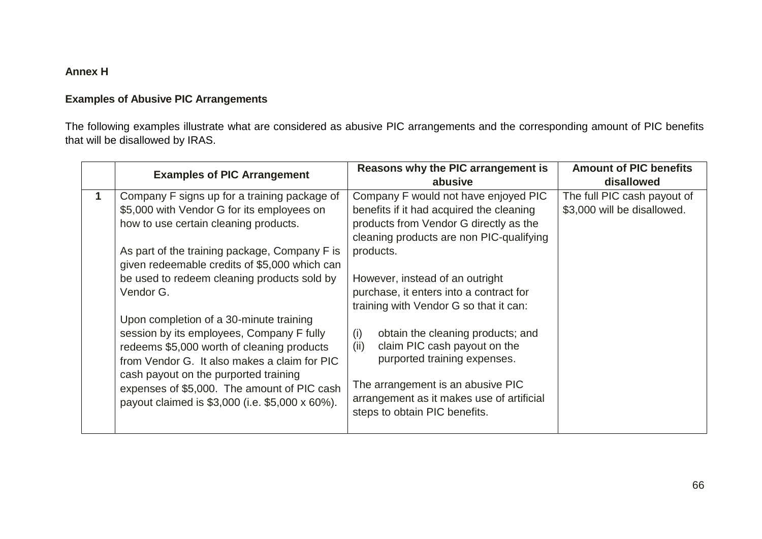## **Annex H**

### **Examples of Abusive PIC Arrangements**

The following examples illustrate what are considered as abusive PIC arrangements and the corresponding amount of PIC benefits that will be disallowed by IRAS.

|   | <b>Examples of PIC Arrangement</b>              | Reasons why the PIC arrangement is        | <b>Amount of PIC benefits</b> |
|---|-------------------------------------------------|-------------------------------------------|-------------------------------|
|   |                                                 | abusive                                   | disallowed                    |
| 1 | Company F signs up for a training package of    | Company F would not have enjoyed PIC      | The full PIC cash payout of   |
|   | \$5,000 with Vendor G for its employees on      | benefits if it had acquired the cleaning  | \$3,000 will be disallowed.   |
|   | how to use certain cleaning products.           | products from Vendor G directly as the    |                               |
|   |                                                 | cleaning products are non PIC-qualifying  |                               |
|   | As part of the training package, Company F is   | products.                                 |                               |
|   | given redeemable credits of \$5,000 which can   |                                           |                               |
|   | be used to redeem cleaning products sold by     | However, instead of an outright           |                               |
|   | Vendor G.                                       | purchase, it enters into a contract for   |                               |
|   |                                                 | training with Vendor G so that it can:    |                               |
|   | Upon completion of a 30-minute training         |                                           |                               |
|   | session by its employees, Company F fully       | (i)<br>obtain the cleaning products; and  |                               |
|   | redeems \$5,000 worth of cleaning products      | claim PIC cash payout on the<br>(ii)      |                               |
|   | from Vendor G. It also makes a claim for PIC    | purported training expenses.              |                               |
|   | cash payout on the purported training           |                                           |                               |
|   | expenses of \$5,000. The amount of PIC cash     | The arrangement is an abusive PIC         |                               |
|   | payout claimed is \$3,000 (i.e. \$5,000 x 60%). | arrangement as it makes use of artificial |                               |
|   |                                                 | steps to obtain PIC benefits.             |                               |
|   |                                                 |                                           |                               |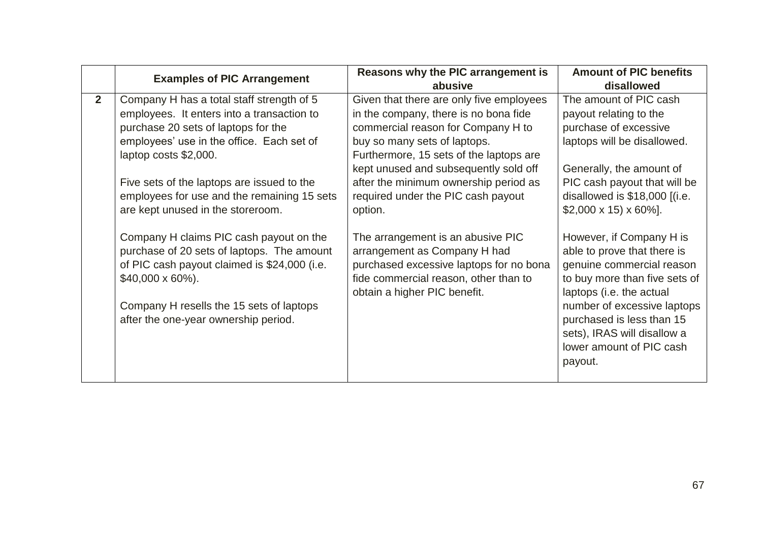|                | <b>Examples of PIC Arrangement</b>                                                         | Reasons why the PIC arrangement is                                               | <b>Amount of PIC benefits</b>                             |  |
|----------------|--------------------------------------------------------------------------------------------|----------------------------------------------------------------------------------|-----------------------------------------------------------|--|
|                |                                                                                            | abusive                                                                          | disallowed                                                |  |
| 2 <sup>2</sup> | Company H has a total staff strength of 5                                                  | Given that there are only five employees                                         | The amount of PIC cash                                    |  |
|                | employees. It enters into a transaction to                                                 | in the company, there is no bona fide                                            | payout relating to the                                    |  |
|                | purchase 20 sets of laptops for the                                                        | commercial reason for Company H to                                               | purchase of excessive                                     |  |
|                | employees' use in the office. Each set of                                                  | buy so many sets of laptops.                                                     | laptops will be disallowed.                               |  |
|                | laptop costs \$2,000.                                                                      | Furthermore, 15 sets of the laptops are                                          |                                                           |  |
|                |                                                                                            | kept unused and subsequently sold off                                            | Generally, the amount of                                  |  |
|                | Five sets of the laptops are issued to the                                                 | after the minimum ownership period as                                            | PIC cash payout that will be                              |  |
|                | employees for use and the remaining 15 sets                                                | required under the PIC cash payout                                               | disallowed is $$18,000$ [(i.e.                            |  |
|                | are kept unused in the storeroom.                                                          | option.                                                                          | $$2,000 \times 15$ $\times 60\%$ ].                       |  |
|                |                                                                                            |                                                                                  |                                                           |  |
|                | Company H claims PIC cash payout on the                                                    | The arrangement is an abusive PIC                                                | However, if Company H is                                  |  |
|                | purchase of 20 sets of laptops. The amount<br>of PIC cash payout claimed is \$24,000 (i.e. | arrangement as Company H had                                                     | able to prove that there is<br>genuine commercial reason  |  |
|                |                                                                                            | purchased excessive laptops for no bona<br>fide commercial reason, other than to |                                                           |  |
|                | $$40,000 \times 60\%$ ).                                                                   | obtain a higher PIC benefit.                                                     | to buy more than five sets of<br>laptops (i.e. the actual |  |
|                | Company H resells the 15 sets of laptops                                                   |                                                                                  | number of excessive laptops                               |  |
|                |                                                                                            |                                                                                  | purchased is less than 15                                 |  |
|                | after the one-year ownership period.                                                       |                                                                                  | sets), IRAS will disallow a                               |  |
|                |                                                                                            |                                                                                  | lower amount of PIC cash                                  |  |
|                |                                                                                            |                                                                                  |                                                           |  |
|                |                                                                                            |                                                                                  | payout.                                                   |  |
|                |                                                                                            |                                                                                  |                                                           |  |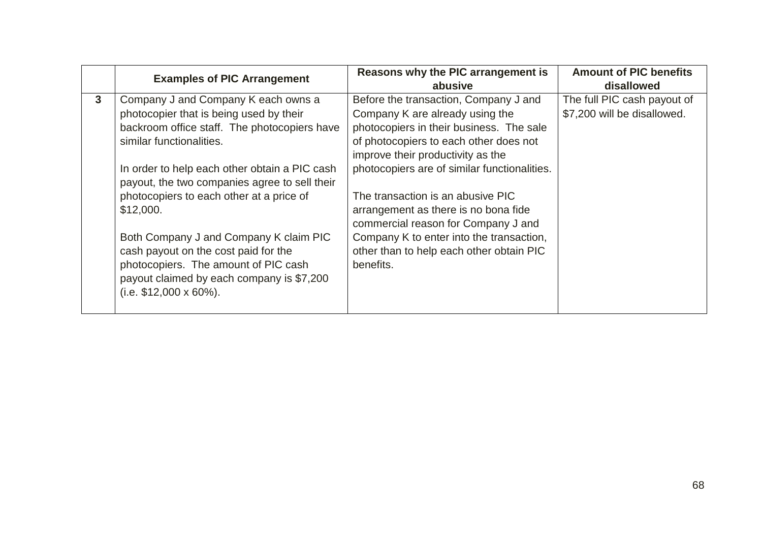|   | <b>Examples of PIC Arrangement</b>                                                             | Reasons why the PIC arrangement is                                          | <b>Amount of PIC benefits</b> |
|---|------------------------------------------------------------------------------------------------|-----------------------------------------------------------------------------|-------------------------------|
|   |                                                                                                | abusive                                                                     | disallowed                    |
| 3 | Company J and Company K each owns a                                                            | Before the transaction, Company J and                                       | The full PIC cash payout of   |
|   | photocopier that is being used by their                                                        | Company K are already using the                                             | \$7,200 will be disallowed.   |
|   | backroom office staff. The photocopiers have                                                   | photocopiers in their business. The sale                                    |                               |
|   | similar functionalities.                                                                       | of photocopiers to each other does not                                      |                               |
|   |                                                                                                | improve their productivity as the                                           |                               |
|   | In order to help each other obtain a PIC cash<br>payout, the two companies agree to sell their | photocopiers are of similar functionalities.                                |                               |
|   | photocopiers to each other at a price of                                                       | The transaction is an abusive PIC                                           |                               |
|   | \$12,000.                                                                                      | arrangement as there is no bona fide<br>commercial reason for Company J and |                               |
|   | Both Company J and Company K claim PIC                                                         | Company K to enter into the transaction,                                    |                               |
|   | cash payout on the cost paid for the                                                           | other than to help each other obtain PIC                                    |                               |
|   | photocopiers. The amount of PIC cash                                                           | benefits.                                                                   |                               |
|   | payout claimed by each company is \$7,200                                                      |                                                                             |                               |
|   | $(i.e. $12,000 \times 60\%).$                                                                  |                                                                             |                               |
|   |                                                                                                |                                                                             |                               |